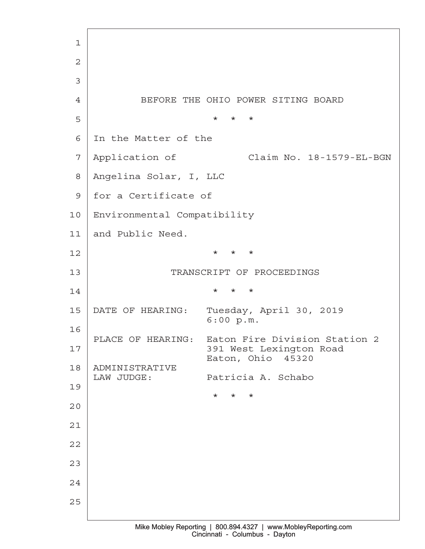·1 ·2 ·3 4 BEFORE THE OHIO POWER SITING BOARD ·5· · · · · · · · · · · \*· \* \* 6 In the Matter of the 7 | Application of Claim No. 18-1579-EL-BGN ·8· Angelina Solar, I, LLC 9 | for a Certificate of 10 | Environmental Compatibility 11 and Public Need.  $12$ 13 TRANSCRIPT OF PROCEEDINGS  $14$ 15 | DATE OF HEARING: Tuesday, April 30, 2019  $6:00 p.m.$ 16 PLACE OF HEARING: Eaton Fire Division Station 2 17· · · · · · · · · · ·391 West Lexington Road Eaton, Ohio 45320 18· ADMINISTRATIVE LAW JUDGE: Patricia A. Schabo 19  $\star$   $\star$   $\star$   $\star$ 20 21 22 23 24 25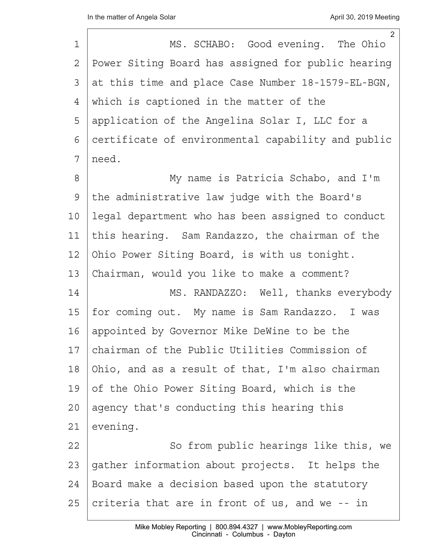| 1     | 2<br>MS. SCHABO: Good evening. The Ohio            |
|-------|----------------------------------------------------|
| 2     | Power Siting Board has assigned for public hearing |
| 3     | at this time and place Case Number 18-1579-EL-BGN, |
| 4     | which is captioned in the matter of the            |
| 5     | application of the Angelina Solar I, LLC for a     |
| 6     | certificate of environmental capability and public |
| 7     | need.                                              |
| $8\,$ | My name is Patricia Schabo, and I'm                |
| 9     | the administrative law judge with the Board's      |
| 10    | legal department who has been assigned to conduct  |
| 11    | this hearing. Sam Randazzo, the chairman of the    |
| 12    | Ohio Power Siting Board, is with us tonight.       |
| 13    | Chairman, would you like to make a comment?        |
| 14    | MS. RANDAZZO: Well, thanks everybody               |
| 15    | for coming out. My name is Sam Randazzo. I was     |
| 16    | appointed by Governor Mike DeWine to be the        |
| 17    | chairman of the Public Utilities Commission of     |
| 18    | Ohio, and as a result of that, I'm also chairman   |
| 19    | of the Ohio Power Siting Board, which is the       |
| 20    | agency that's conducting this hearing this         |
| 21    | evening.                                           |
| 22    | So from public hearings like this, we              |
| 23    | gather information about projects. It helps the    |
| 24    | Board make a decision based upon the statutory     |
| 25    | criteria that are in front of us, and we -- in     |
|       |                                                    |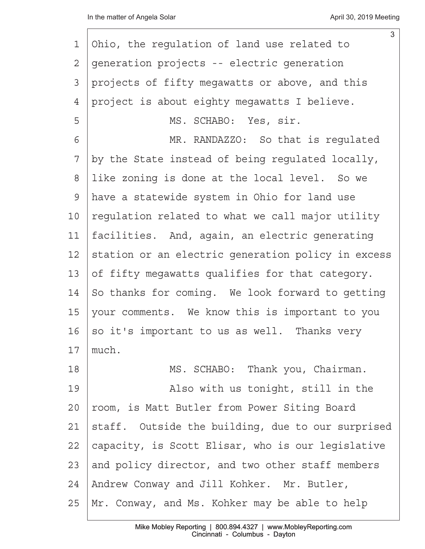|    | $\mathfrak{S}$                                     |
|----|----------------------------------------------------|
| 1  | Ohio, the regulation of land use related to        |
| 2  | generation projects -- electric generation         |
| 3  | projects of fifty megawatts or above, and this     |
| 4  | project is about eighty megawatts I believe.       |
| 5  | MS. SCHABO: Yes, sir.                              |
| 6  | MR. RANDAZZO: So that is regulated                 |
| 7  | by the State instead of being regulated locally,   |
| 8  | like zoning is done at the local level. So we      |
| 9  | have a statewide system in Ohio for land use       |
| 10 | regulation related to what we call major utility   |
| 11 | facilities. And, again, an electric generating     |
| 12 | station or an electric generation policy in excess |
| 13 | of fifty megawatts qualifies for that category.    |
| 14 | So thanks for coming. We look forward to getting   |
| 15 | your comments. We know this is important to you    |
| 16 | so it's important to us as well. Thanks very       |
| 17 | much.                                              |
| 18 | MS. SCHABO: Thank you, Chairman.                   |
| 19 | Also with us tonight, still in the                 |
| 20 | room, is Matt Butler from Power Siting Board       |
| 21 | staff. Outside the building, due to our surprised  |
| 22 | capacity, is Scott Elisar, who is our legislative  |
| 23 | and policy director, and two other staff members   |
| 24 | Andrew Conway and Jill Kohker. Mr. Butler,         |
| 25 | Mr. Conway, and Ms. Kohker may be able to help     |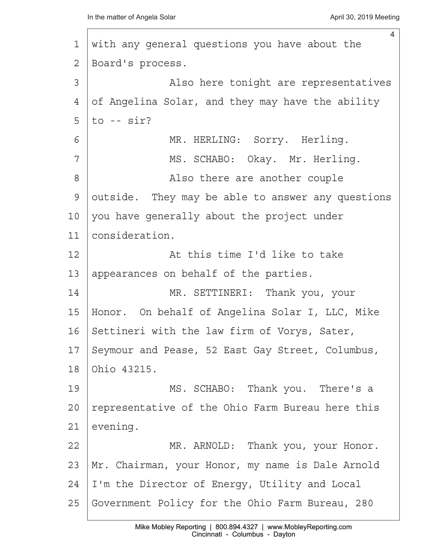|                | $\overline{4}$                                    |
|----------------|---------------------------------------------------|
| $\mathbf 1$    | with any general questions you have about the     |
| 2              | Board's process.                                  |
| 3              | Also here tonight are representatives             |
| $\overline{4}$ | of Angelina Solar, and they may have the ability  |
| 5              | to $--$ sir?                                      |
| 6              | MR. HERLING: Sorry. Herling.                      |
| 7              | MS. SCHABO: Okay. Mr. Herling.                    |
| 8              | Also there are another couple                     |
| 9              | outside. They may be able to answer any questions |
| 10             | you have generally about the project under        |
| 11             | consideration.                                    |
| 12             | At this time I'd like to take                     |
| 13             | appearances on behalf of the parties.             |
| 14             | MR. SETTINERI: Thank you, your                    |
| 15             | Honor. On behalf of Angelina Solar I, LLC, Mike   |
| 16             | Settineri with the law firm of Vorys, Sater,      |
| 17             | Seymour and Pease, 52 East Gay Street, Columbus,  |
| 18             | Ohio 43215.                                       |
| 19             | MS. SCHABO: Thank you. There's a                  |
| 20             | representative of the Ohio Farm Bureau here this  |
| 21             | evening.                                          |
| 22             | MR. ARNOLD: Thank you, your Honor.                |
| 23             | Mr. Chairman, your Honor, my name is Dale Arnold  |
| 24             | I'm the Director of Energy, Utility and Local     |
| 25             | Government Policy for the Ohio Farm Bureau, 280   |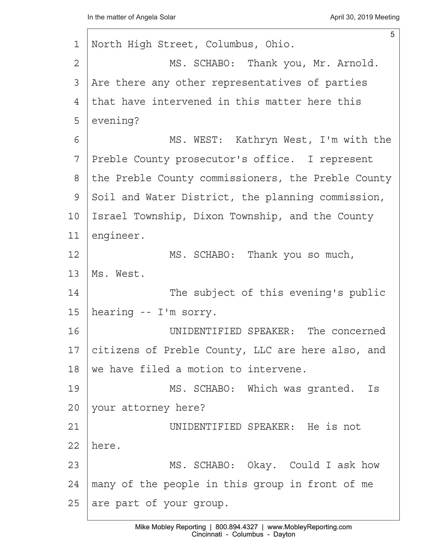| $\mathbf 1$   | 5<br>North High Street, Columbus, Ohio.            |
|---------------|----------------------------------------------------|
| 2             | MS. SCHABO: Thank you, Mr. Arnold.                 |
| 3             | Are there any other representatives of parties     |
| 4             | that have intervened in this matter here this      |
| 5             | evening?                                           |
| 6             | MS. WEST: Kathryn West, I'm with the               |
| 7             | Preble County prosecutor's office. I represent     |
| 8             | the Preble County commissioners, the Preble County |
| $\mathcal{G}$ | Soil and Water District, the planning commission,  |
| 10            | Israel Township, Dixon Township, and the County    |
| 11            | engineer.                                          |
| 12            | MS. SCHABO: Thank you so much,                     |
| 13            | Ms. West.                                          |
| 14            | The subject of this evening's public               |
| 15            | hearing -- I'm sorry.                              |
| 16            | UNIDENTIFIED SPEAKER: The concerned                |
| 17            | citizens of Preble County, LLC are here also, and  |
| 18            | we have filed a motion to intervene.               |
| 19            | MS. SCHABO: Which was granted. Is                  |
| 20            | your attorney here?                                |
| 21            | UNIDENTIFIED SPEAKER: He is not                    |
| 22            | here.                                              |
| 23            | MS. SCHABO: Okay. Could I ask how                  |
| 24            | many of the people in this group in front of me    |
| 25            | are part of your group.                            |
|               |                                                    |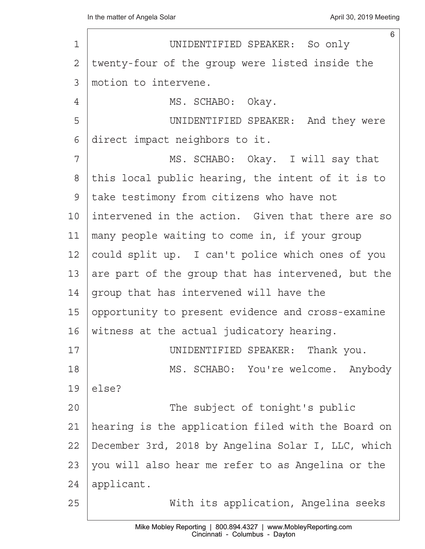| $\mathbf 1$ | 6<br>UNIDENTIFIED SPEAKER: So only                 |
|-------------|----------------------------------------------------|
| 2           | twenty-four of the group were listed inside the    |
| 3           | motion to intervene.                               |
| 4           | MS. SCHABO: Okay.                                  |
| 5           | UNIDENTIFIED SPEAKER: And they were                |
| 6           | direct impact neighbors to it.                     |
| 7           | MS. SCHABO: Okay. I will say that                  |
| 8           | this local public hearing, the intent of it is to  |
| 9           | take testimony from citizens who have not          |
| 10          | intervened in the action. Given that there are so  |
| 11          | many people waiting to come in, if your group      |
| 12          | could split up. I can't police which ones of you   |
| 13          | are part of the group that has intervened, but the |
| 14          | group that has intervened will have the            |
| 15          | opportunity to present evidence and cross-examine  |
| 16          | witness at the actual judicatory hearing.          |
| 17          | UNIDENTIFIED SPEAKER: Thank you.                   |
| 18          | MS. SCHABO: You're welcome. Anybody                |
| 19          | else?                                              |
| 20          | The subject of tonight's public                    |
| 21          | hearing is the application filed with the Board on |
| 22          | December 3rd, 2018 by Angelina Solar I, LLC, which |
| 23          | you will also hear me refer to as Angelina or the  |
| 24          | applicant.                                         |
| 25          | With its application, Angelina seeks               |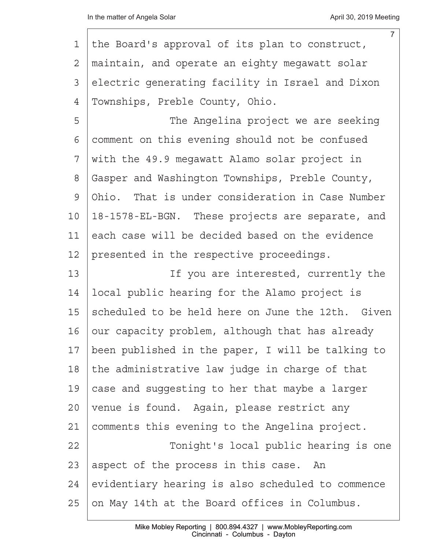|    | $\overline{7}$                                    |
|----|---------------------------------------------------|
| 1  | the Board's approval of its plan to construct,    |
| 2  | maintain, and operate an eighty megawatt solar    |
| 3  | electric generating facility in Israel and Dixon  |
| 4  | Townships, Preble County, Ohio.                   |
| 5  | The Angelina project we are seeking               |
| 6  | comment on this evening should not be confused    |
| 7  | with the 49.9 megawatt Alamo solar project in     |
| 8  | Gasper and Washington Townships, Preble County,   |
| 9  | Ohio. That is under consideration in Case Number  |
| 10 | 18-1578-EL-BGN. These projects are separate, and  |
| 11 | each case will be decided based on the evidence   |
| 12 | presented in the respective proceedings.          |
| 13 | If you are interested, currently the              |
| 14 | local public hearing for the Alamo project is     |
| 15 | scheduled to be held here on June the 12th. Given |
| 16 | our capacity problem, although that has already   |
| 17 | been published in the paper, I will be talking to |
| 18 | the administrative law judge in charge of that    |
| 19 | case and suggesting to her that maybe a larger    |
| 20 | venue is found. Again, please restrict any        |
| 21 | comments this evening to the Angelina project.    |
| 22 | Tonight's local public hearing is one             |
| 23 | aspect of the process in this case. An            |
| 24 | evidentiary hearing is also scheduled to commence |
| 25 | on May 14th at the Board offices in Columbus.     |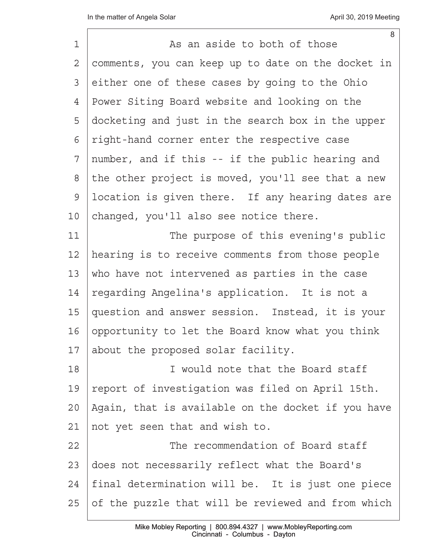| $\mathbf 1$ | 8<br>As an aside to both of those                  |
|-------------|----------------------------------------------------|
| 2           | comments, you can keep up to date on the docket in |
| 3           | either one of these cases by going to the Ohio     |
| 4           | Power Siting Board website and looking on the      |
| 5           | docketing and just in the search box in the upper  |
| 6           | right-hand corner enter the respective case        |
| 7           | number, and if this -- if the public hearing and   |
| 8           | the other project is moved, you'll see that a new  |
| 9           | location is given there. If any hearing dates are  |
| 10          | changed, you'll also see notice there.             |
| 11          | The purpose of this evening's public               |
| 12          | hearing is to receive comments from those people   |
| 13          | who have not intervened as parties in the case     |
| 14          | regarding Angelina's application. It is not a      |
| 15          | question and answer session. Instead, it is your   |
| 16          | opportunity to let the Board know what you think   |
| 17          | about the proposed solar facility.                 |
| 18          | I would note that the Board staff                  |
| 19          | report of investigation was filed on April 15th.   |
| 20          | Again, that is available on the docket if you have |
| 21          | not yet seen that and wish to.                     |
| 22          | The recommendation of Board staff                  |
| 23          | does not necessarily reflect what the Board's      |
| 24          | final determination will be. It is just one piece  |
| 25          | of the puzzle that will be reviewed and from which |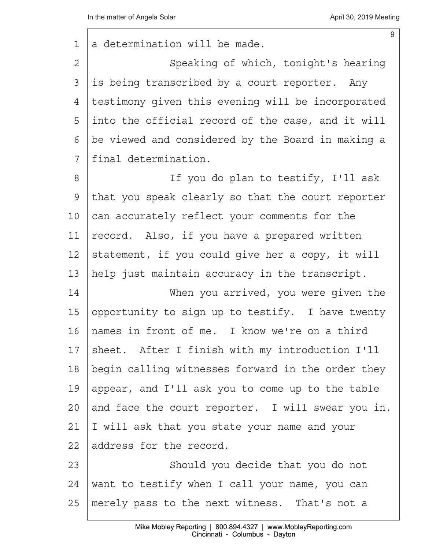$\sqrt{ }$ 

| 1               | $9\,$<br>a determination will be made.            |
|-----------------|---------------------------------------------------|
| 2               | Speaking of which, tonight's hearing              |
| 3               | is being transcribed by a court reporter. Any     |
| 4               | testimony given this evening will be incorporated |
| 5               | into the official record of the case, and it will |
| 6               | be viewed and considered by the Board in making a |
| 7               | final determination.                              |
| 8               | If you do plan to testify, I'll ask               |
| $\mathcal{G}$   | that you speak clearly so that the court reporter |
| 10              | can accurately reflect your comments for the      |
| 11              | record. Also, if you have a prepared written      |
| 12              | statement, if you could give her a copy, it will  |
| 13              | help just maintain accuracy in the transcript.    |
| 14              | When you arrived, you were given the              |
| 15              | opportunity to sign up to testify. I have twenty  |
| 16              | names in front of me. I know we're on a third     |
| 17              | sheet. After I finish with my introduction I'll   |
| 18              | begin calling witnesses forward in the order they |
| 19              | appear, and I'll ask you to come up to the table  |
| 20 <sub>o</sub> | and face the court reporter. I will swear you in. |
| 21              | I will ask that you state your name and your      |
| 22              | address for the record.                           |
| 23              | Should you decide that you do not                 |
| 24              | want to testify when I call your name, you can    |
| 25              | merely pass to the next witness. That's not a     |
|                 |                                                   |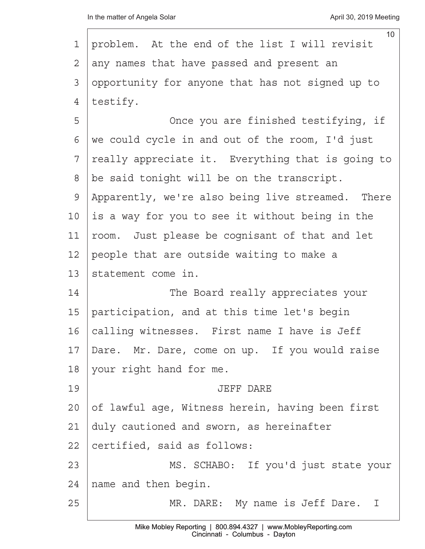|         | 10 <sup>°</sup>                                   |
|---------|---------------------------------------------------|
| 1       | problem. At the end of the list I will revisit    |
| 2       | any names that have passed and present an         |
| 3       | opportunity for anyone that has not signed up to  |
| 4       | testify.                                          |
| 5       | Once you are finished testifying, if              |
| 6       | we could cycle in and out of the room, I'd just   |
| 7       | really appreciate it. Everything that is going to |
| 8       | be said tonight will be on the transcript.        |
| 9       | Apparently, we're also being live streamed. There |
| 10      | is a way for you to see it without being in the   |
| 11      | room. Just please be cognisant of that and let    |
| 12      | people that are outside waiting to make a         |
| 13      | statement come in.                                |
| 14      | The Board really appreciates your                 |
| 15      | participation, and at this time let's begin       |
| 16      | calling witnesses. First name I have is Jeff      |
| 17      | Dare. Mr. Dare, come on up. If you would raise    |
| 18      | your right hand for me.                           |
| 19      | <b>JEFF DARE</b>                                  |
| $20 \,$ | of lawful age, Witness herein, having been first  |
| 21      | duly cautioned and sworn, as hereinafter          |
| 22      | certified, said as follows:                       |
| 23      | MS. SCHABO: If you'd just state your              |
| 24      | name and then begin.                              |
| 25      | MR. DARE: My name is Jeff Dare. I                 |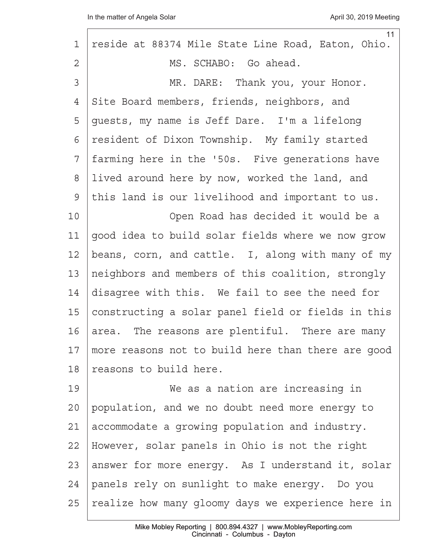| 11                                                 |
|----------------------------------------------------|
| reside at 88374 Mile State Line Road, Eaton, Ohio. |
| MS. SCHABO: Go ahead.                              |
| MR. DARE: Thank you, your Honor.                   |
| Site Board members, friends, neighbors, and        |
| quests, my name is Jeff Dare. I'm a lifelong       |
| resident of Dixon Township. My family started      |
| farming here in the '50s. Five generations have    |
| lived around here by now, worked the land, and     |
| this land is our livelihood and important to us.   |
| Open Road has decided it would be a                |
| good idea to build solar fields where we now grow  |
| beans, corn, and cattle. I, along with many of my  |
| neighbors and members of this coalition, strongly  |
| disagree with this. We fail to see the need for    |
| constructing a solar panel field or fields in this |
| area. The reasons are plentiful. There are many    |
| more reasons not to build here than there are good |
| reasons to build here.                             |
| We as a nation are increasing in                   |
| population, and we no doubt need more energy to    |
| accommodate a growing population and industry.     |
| However, solar panels in Ohio is not the right     |
| answer for more energy. As I understand it, solar  |
| panels rely on sunlight to make energy. Do you     |
| realize how many gloomy days we experience here in |
|                                                    |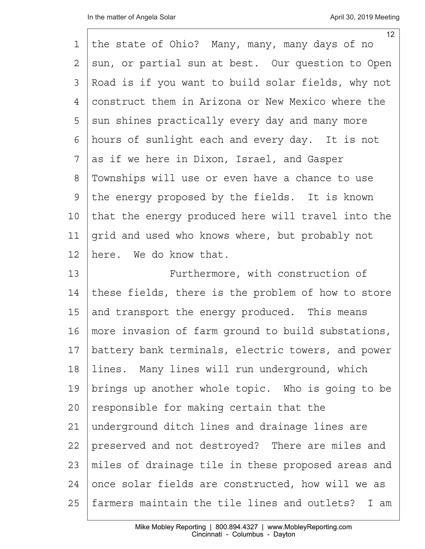|                | 12 <sup>2</sup>                                    |
|----------------|----------------------------------------------------|
| 1              | the state of Ohio? Many, many, many days of no     |
| $\overline{2}$ | sun, or partial sun at best. Our question to Open  |
| 3              | Road is if you want to build solar fields, why not |
| $\overline{4}$ | construct them in Arizona or New Mexico where the  |
| 5              | sun shines practically every day and many more     |
| 6              | hours of sunlight each and every day. It is not    |
| 7              | as if we here in Dixon, Israel, and Gasper         |
| $8\,$          | Townships will use or even have a chance to use    |
| $\mathsf 9$    | the energy proposed by the fields. It is known     |
| 10             | that the energy produced here will travel into the |
| 11             | grid and used who knows where, but probably not    |
| 12             | here. We do know that.                             |
| 13             | Furthermore, with construction of                  |
| 14             | these fields, there is the problem of how to store |
| 15             | and transport the energy produced. This means      |
| 16             | more invasion of farm ground to build substations, |
| 17             | battery bank terminals, electric towers, and power |
| 18             | lines. Many lines will run underground, which      |
| 19             | brings up another whole topic. Who is going to be  |
| 20             | responsible for making certain that the            |
| 21             | underground ditch lines and drainage lines are     |
| 22             | preserved and not destroyed? There are miles and   |
| 23             | miles of drainage tile in these proposed areas and |
| 24             | once solar fields are constructed, how will we as  |
| 25             | farmers maintain the tile lines and outlets? I am  |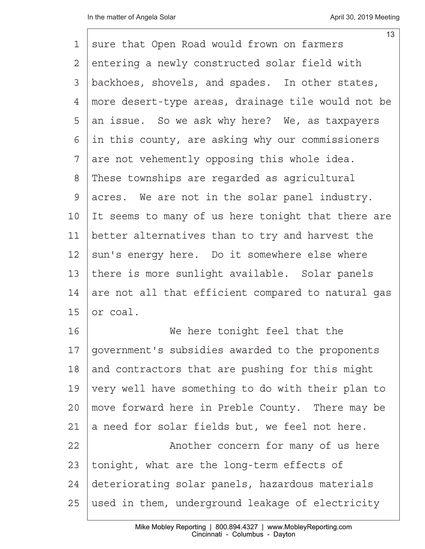| 1  | 13<br>sure that Open Road would frown on farmers   |
|----|----------------------------------------------------|
| 2  | entering a newly constructed solar field with      |
| 3  | backhoes, shovels, and spades. In other states,    |
| 4  | more desert-type areas, drainage tile would not be |
| 5  | an issue. So we ask why here? We, as taxpayers     |
| 6  | in this county, are asking why our commissioners   |
| 7  | are not vehemently opposing this whole idea.       |
| 8  | These townships are regarded as agricultural       |
| 9  | acres. We are not in the solar panel industry.     |
| 10 | It seems to many of us here tonight that there are |
| 11 | better alternatives than to try and harvest the    |
| 12 | sun's energy here. Do it somewhere else where      |
| 13 | there is more sunlight available. Solar panels     |
| 14 | are not all that efficient compared to natural gas |
| 15 | or coal.                                           |
| 16 | We here tonight feel that the                      |
| 17 | government's subsidies awarded to the proponents   |
| 18 | and contractors that are pushing for this might    |
| 19 | very well have something to do with their plan to  |
| 20 | move forward here in Preble County. There may be   |
| 21 | a need for solar fields but, we feel not here.     |
| 22 | Another concern for many of us here                |
| 23 | tonight, what are the long-term effects of         |
| 24 | deteriorating solar panels, hazardous materials    |
| 25 | used in them, underground leakage of electricity   |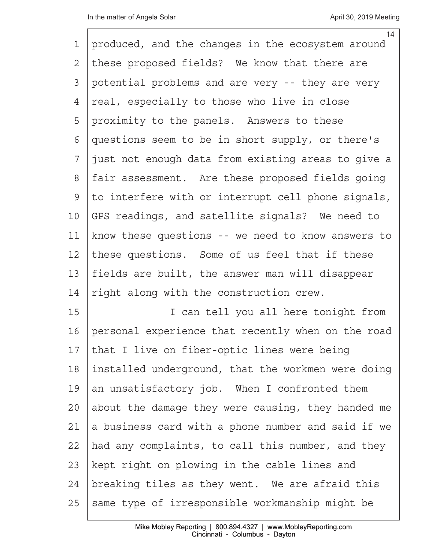|               | 14                                                 |
|---------------|----------------------------------------------------|
| 1             | produced, and the changes in the ecosystem around  |
| 2             | these proposed fields? We know that there are      |
| 3             | potential problems and are very -- they are very   |
| 4             | real, especially to those who live in close        |
| 5             | proximity to the panels. Answers to these          |
| 6             | questions seem to be in short supply, or there's   |
| 7             | just not enough data from existing areas to give a |
| $\,8\,$       | fair assessment. Are these proposed fields going   |
| $\mathcal{G}$ | to interfere with or interrupt cell phone signals, |
| 10            | GPS readings, and satellite signals? We need to    |
| 11            | know these questions -- we need to know answers to |
| 12            | these questions. Some of us feel that if these     |
| 13            | fields are built, the answer man will disappear    |
| 14            | right along with the construction crew.            |
| 15            | I can tell you all here tonight from               |
| 16            | personal experience that recently when on the road |
| 17            | that I live on fiber-optic lines were being        |
| 18            | installed underground, that the workmen were doing |
| 19            | an unsatisfactory job. When I confronted them      |
| 20            | about the damage they were causing, they handed me |
| 21            | a business card with a phone number and said if we |
| 22            | had any complaints, to call this number, and they  |
| 23            | kept right on plowing in the cable lines and       |
| 24            | breaking tiles as they went. We are afraid this    |
| 25            | same type of irresponsible workmanship might be    |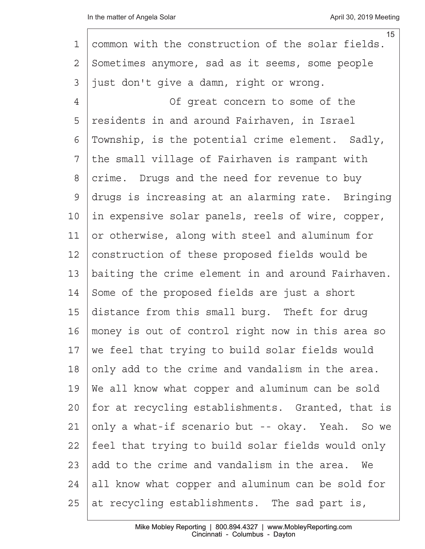| $\mathbf 1$    | 15<br>common with the construction of the solar fields. |
|----------------|---------------------------------------------------------|
| $\overline{2}$ | Sometimes anymore, sad as it seems, some people         |
| 3              | just don't give a damn, right or wrong.                 |
| $\overline{4}$ | Of great concern to some of the                         |
| 5              | residents in and around Fairhaven, in Israel            |
| 6              | Township, is the potential crime element. Sadly,        |
| 7              | the small village of Fairhaven is rampant with          |
| $8\,$          | crime. Drugs and the need for revenue to buy            |
| $\mathsf{S}$   | drugs is increasing at an alarming rate. Bringing       |
| 10             | in expensive solar panels, reels of wire, copper,       |
| 11             | or otherwise, along with steel and aluminum for         |
| 12             | construction of these proposed fields would be          |
| 13             | baiting the crime element in and around Fairhaven.      |
| 14             | Some of the proposed fields are just a short            |
| 15             | distance from this small burg. Theft for drug           |
| 16             | money is out of control right now in this area so       |
| 17             | we feel that trying to build solar fields would         |
| 18             | only add to the crime and vandalism in the area.        |
| 19             | We all know what copper and aluminum can be sold        |
| 20             | for at recycling establishments. Granted, that is       |
| 21             | only a what-if scenario but -- okay. Yeah. So we        |
| 22             | feel that trying to build solar fields would only       |
| 23             | add to the crime and vandalism in the area. We          |
| 24             | all know what copper and aluminum can be sold for       |
| 25             | at recycling establishments. The sad part is,           |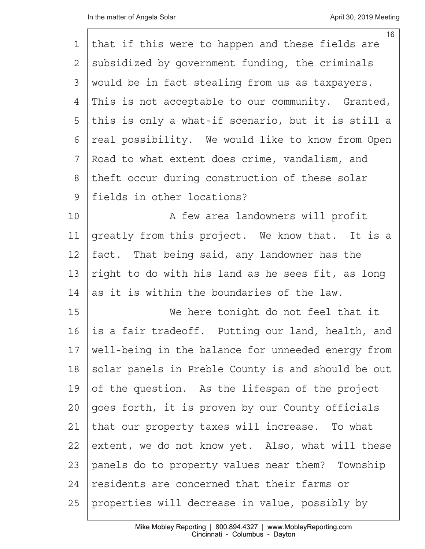|    | 16                                                 |
|----|----------------------------------------------------|
| 1  | that if this were to happen and these fields are   |
| 2  | subsidized by government funding, the criminals    |
| 3  | would be in fact stealing from us as taxpayers.    |
| 4  | This is not acceptable to our community. Granted,  |
| 5  | this is only a what-if scenario, but it is still a |
| 6  | real possibility. We would like to know from Open  |
| 7  | Road to what extent does crime, vandalism, and     |
| 8  | theft occur during construction of these solar     |
| 9  | fields in other locations?                         |
| 10 | A few area landowners will profit                  |
| 11 | greatly from this project. We know that. It is a   |
| 12 | fact. That being said, any landowner has the       |
| 13 | right to do with his land as he sees fit, as long  |
| 14 | as it is within the boundaries of the law.         |
| 15 | We here tonight do not feel that it                |
| 16 | is a fair tradeoff. Putting our land, health, and  |
| 17 | well-being in the balance for unneeded energy from |
| 18 | solar panels in Preble County is and should be out |
| 19 | of the question. As the lifespan of the project    |
| 20 | goes forth, it is proven by our County officials   |
| 21 | that our property taxes will increase. To what     |
| 22 | extent, we do not know yet. Also, what will these  |
| 23 | panels do to property values near them? Township   |
| 24 | residents are concerned that their farms or        |
| 25 | properties will decrease in value, possibly by     |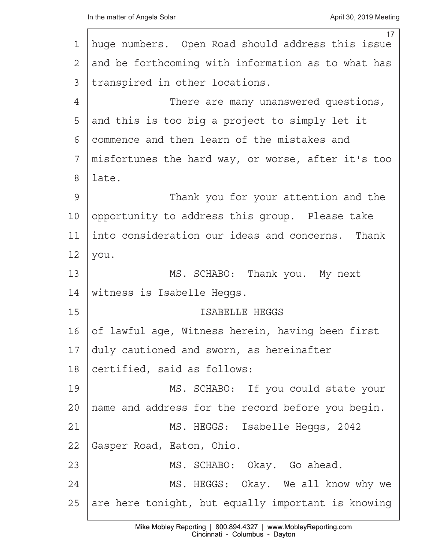|    | 17                                                 |
|----|----------------------------------------------------|
| 1  | huge numbers. Open Road should address this issue  |
| 2  | and be forthcoming with information as to what has |
| 3  | transpired in other locations.                     |
| 4  | There are many unanswered questions,               |
| 5  | and this is too big a project to simply let it     |
| 6  | commence and then learn of the mistakes and        |
| 7  | misfortunes the hard way, or worse, after it's too |
| 8  | late.                                              |
| 9  | Thank you for your attention and the               |
| 10 | opportunity to address this group. Please take     |
| 11 | into consideration our ideas and concerns. Thank   |
| 12 | you.                                               |
| 13 | MS. SCHABO: Thank you. My next                     |
| 14 | witness is Isabelle Heggs.                         |
| 15 | ISABELLE HEGGS                                     |
| 16 | of lawful age, Witness herein, having been first   |
| 17 | duly cautioned and sworn, as hereinafter           |
| 18 | certified, said as follows:                        |
| 19 | MS. SCHABO: If you could state your                |
| 20 | name and address for the record before you begin.  |
| 21 | MS. HEGGS: Isabelle Heggs, 2042                    |
| 22 | Gasper Road, Eaton, Ohio.                          |
| 23 | MS. SCHABO: Okay. Go ahead.                        |
| 24 | MS. HEGGS: Okay. We all know why we                |
| 25 | are here tonight, but equally important is knowing |
|    |                                                    |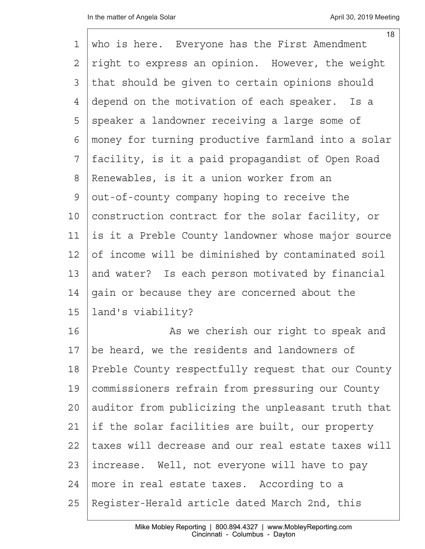| 1              | 18<br>who is here. Everyone has the First Amendment |
|----------------|-----------------------------------------------------|
| $\overline{2}$ | right to express an opinion. However, the weight    |
| 3              | that should be given to certain opinions should     |
| 4              | depend on the motivation of each speaker.<br>Is a   |
| 5              | speaker a landowner receiving a large some of       |
| 6              | money for turning productive farmland into a solar  |
| 7              | facility, is it a paid propagandist of Open Road    |
| 8              | Renewables, is it a union worker from an            |
| $\mathcal{G}$  | out-of-county company hoping to receive the         |
| 10             | construction contract for the solar facility, or    |
| 11             | is it a Preble County landowner whose major source  |
| 12             | of income will be diminished by contaminated soil   |
| 13             | and water? Is each person motivated by financial    |
| 14             | gain or because they are concerned about the        |
| 15             | land's viability?                                   |
| 16             | As we cherish our right to speak and                |
| 17             | be heard, we the residents and landowners of        |
| 18             | Preble County respectfully request that our County  |
| 19             | commissioners refrain from pressuring our County    |
| 20             | auditor from publicizing the unpleasant truth that  |
| 21             | if the solar facilities are built, our property     |
| 22             | taxes will decrease and our real estate taxes will  |
| 23             | increase. Well, not everyone will have to pay       |
| 24             | more in real estate taxes. According to a           |
| 25             | Register-Herald article dated March 2nd, this       |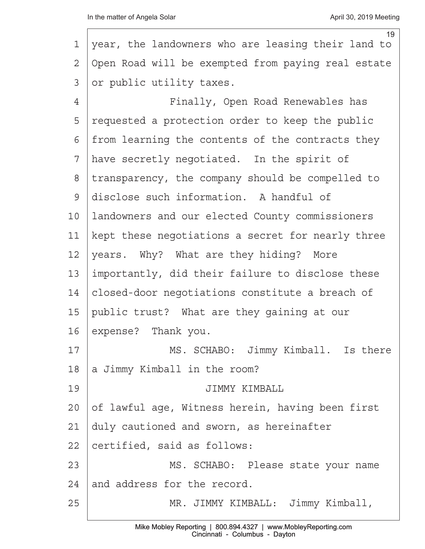|                 | 19                                                 |
|-----------------|----------------------------------------------------|
| 1               | year, the landowners who are leasing their land to |
| 2               | Open Road will be exempted from paying real estate |
| 3               | or public utility taxes.                           |
| 4               | Finally, Open Road Renewables has                  |
| 5               | requested a protection order to keep the public    |
| 6               | from learning the contents of the contracts they   |
| 7               | have secretly negotiated. In the spirit of         |
| 8               | transparency, the company should be compelled to   |
| 9               | disclose such information. A handful of            |
| 10 <sub>o</sub> | landowners and our elected County commissioners    |
| 11              | kept these negotiations a secret for nearly three  |
| 12              | years. Why? What are they hiding? More             |
| 13              | importantly, did their failure to disclose these   |
| 14              | closed-door negotiations constitute a breach of    |
| 15              | public trust? What are they gaining at our         |
| 16              | expense? Thank you.                                |
| 17              | MS. SCHABO: Jimmy Kimball. Is there                |
| 18              | a Jimmy Kimball in the room?                       |
| 19              | JIMMY KIMBALL                                      |
| 20              | of lawful age, Witness herein, having been first   |
| 21              | duly cautioned and sworn, as hereinafter           |
| 22              | certified, said as follows:                        |
| 23              | MS. SCHABO: Please state your name                 |
| 24              | and address for the record.                        |
| 25              | MR. JIMMY KIMBALL: Jimmy Kimball,                  |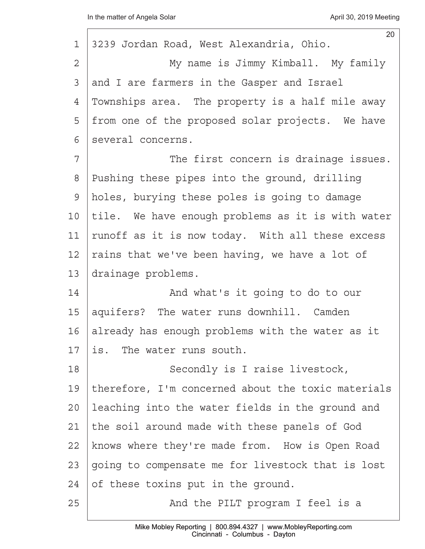| 20<br>3239 Jordan Road, West Alexandria, Ohio.     |
|----------------------------------------------------|
| My name is Jimmy Kimball. My family                |
|                                                    |
| and I are farmers in the Gasper and Israel         |
| Townships area. The property is a half mile away   |
| from one of the proposed solar projects. We have   |
| several concerns.                                  |
| The first concern is drainage issues.              |
| Pushing these pipes into the ground, drilling      |
| holes, burying these poles is going to damage      |
| tile. We have enough problems as it is with water  |
| runoff as it is now today. With all these excess   |
| rains that we've been having, we have a lot of     |
| drainage problems.                                 |
| And what's it going to do to our                   |
| aquifers? The water runs downhill. Camden          |
| already has enough problems with the water as it   |
| is. The water runs south.                          |
| Secondly is I raise livestock,                     |
| therefore, I'm concerned about the toxic materials |
| leaching into the water fields in the ground and   |
| the soil around made with these panels of God      |
| knows where they're made from. How is Open Road    |
| going to compensate me for livestock that is lost  |
| of these toxins put in the ground.                 |
| And the PILT program I feel is a                   |
|                                                    |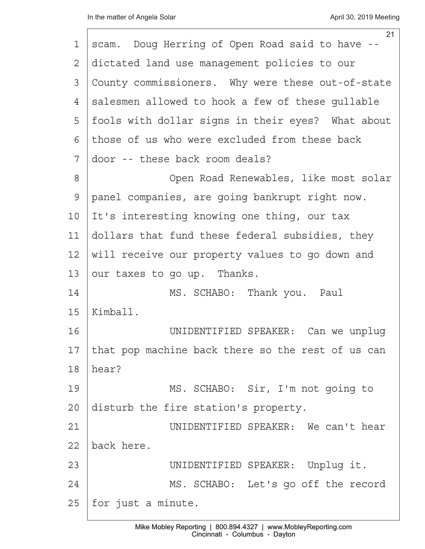|                 | 21                                                |
|-----------------|---------------------------------------------------|
| $\mathbf 1$     | scam. Doug Herring of Open Road said to have --   |
| 2               | dictated land use management policies to our      |
| 3               | County commissioners. Why were these out-of-state |
| 4               | salesmen allowed to hook a few of these gullable  |
| 5               | fools with dollar signs in their eyes? What about |
| 6               | those of us who were excluded from these back     |
| 7               | door -- these back room deals?                    |
| 8               | Open Road Renewables, like most solar             |
| $\mathcal{G}$   | panel companies, are going bankrupt right now.    |
| 10 <sub>o</sub> | It's interesting knowing one thing, our tax       |
| 11              | dollars that fund these federal subsidies, they   |
| 12              | will receive our property values to go down and   |
| 13              | our taxes to go up. Thanks.                       |
| 14              | MS. SCHABO: Thank you. Paul                       |
| 15              | Kimball.                                          |
| 16              | UNIDENTIFIED SPEAKER: Can we unplug               |
| 17              | that pop machine back there so the rest of us can |
| 18              | hear?                                             |
| 19              | MS. SCHABO: Sir, I'm not going to                 |
| 20              | disturb the fire station's property.              |
| 21              | UNIDENTIFIED SPEAKER: We can't hear               |
| 22              | back here.                                        |
| 23              | UNIDENTIFIED SPEAKER: Unplug it.                  |
| 24              | MS. SCHABO: Let's go off the record               |
| 25              | for just a minute.                                |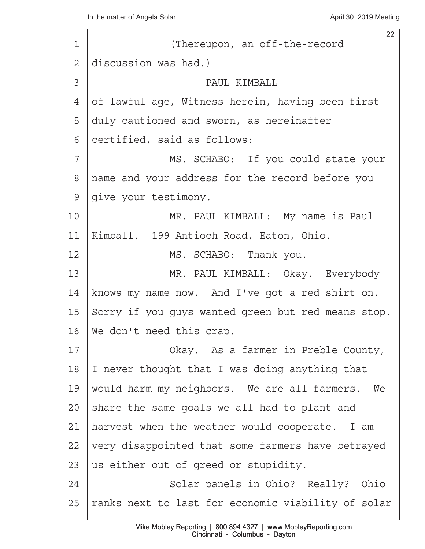22 1 | (Thereupon, an off-the-record 2 discussion was had.) ·3· · · · · · · · · · ·PAUL KIMBALL 4 of lawful age, Witness herein, having been first 5 duly cautioned and sworn, as hereinafter 6 certified, said as follows: 7 | MS. SCHABO: If you could state your 8 | name and your address for the record before you 9 qive your testimony. 10 | The Soleman MR. PAUL KIMBALL: My name is Paul 11 | Kimball. 199 Antioch Road, Eaton, Ohio. 12 | MS. SCHABO: Thank you. 13· · · · · · · ·MR. PAUL KIMBALL:· Okay.· Everybody 14 | knows my name now. And I've got a red shirt on. 15 Sorry if you guys wanted green but red means stop. 16 We don't need this crap. 17· · · · · · · ·Okay.· As a farmer in Preble County, 18  $|$  I never thought that I was doing anything that 19 | would harm my neighbors. We are all farmers. We  $20$  share the same goals we all had to plant and 21 | harvest when the weather would cooperate. I am 22 very disappointed that some farmers have betrayed 23 | us either out of greed or stupidity. 24 | Solar panels in Ohio? Really? Ohio 25 | ranks next to last for economic viability of solar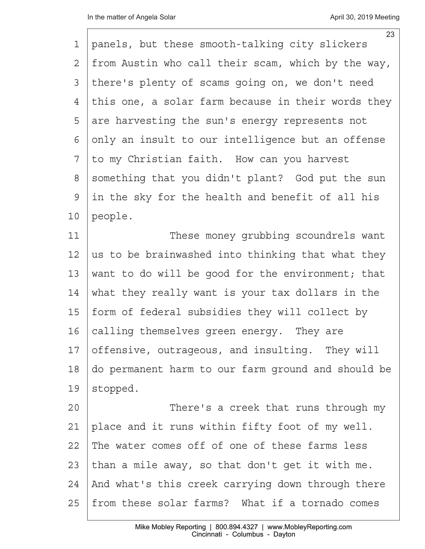|             | 23                                                 |
|-------------|----------------------------------------------------|
| 1           | panels, but these smooth-talking city slickers     |
| 2           | from Austin who call their scam, which by the way, |
| 3           | there's plenty of scams going on, we don't need    |
| 4           | this one, a solar farm because in their words they |
| 5           | are harvesting the sun's energy represents not     |
| 6           | only an insult to our intelligence but an offense  |
| 7           | to my Christian faith. How can you harvest         |
| $8\,$       | something that you didn't plant? God put the sun   |
| $\mathsf 9$ | in the sky for the health and benefit of all his   |
| 10          | people.                                            |
| 11          | These money grubbing scoundrels want               |
| 12          | us to be brainwashed into thinking that what they  |
| 13          | want to do will be good for the environment; that  |
| 14          | what they really want is your tax dollars in the   |
| 15          | form of federal subsidies they will collect by     |
| 16          | calling themselves green energy. They are          |
| 17          | offensive, outrageous, and insulting. They will    |
| 18          | do permanent harm to our farm ground and should be |
| 19          | stopped.                                           |
| 20          | There's a creek that runs through my               |
| 21          | place and it runs within fifty foot of my well.    |
| 22          | The water comes off of one of these farms less     |
| 23          | than a mile away, so that don't get it with me.    |
| 24          | And what's this creek carrying down through there  |
| 25          | from these solar farms? What if a tornado comes    |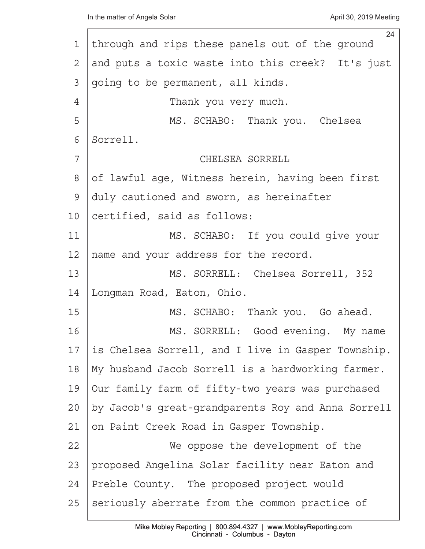|    | 24                                                 |
|----|----------------------------------------------------|
| 1  | through and rips these panels out of the ground    |
| 2  | and puts a toxic waste into this creek? It's just  |
| 3  | going to be permanent, all kinds.                  |
| 4  | Thank you very much.                               |
| 5  | MS. SCHABO: Thank you. Chelsea                     |
| 6  | Sorrell.                                           |
| 7  | CHELSEA SORRELL                                    |
| 8  | of lawful age, Witness herein, having been first   |
| 9  | duly cautioned and sworn, as hereinafter           |
| 10 | certified, said as follows:                        |
| 11 | MS. SCHABO: If you could give your                 |
| 12 | name and your address for the record.              |
| 13 | MS. SORRELL: Chelsea Sorrell, 352                  |
| 14 | Longman Road, Eaton, Ohio.                         |
| 15 | MS. SCHABO: Thank you. Go ahead.                   |
| 16 | MS. SORRELL: Good evening. My name                 |
| 17 | is Chelsea Sorrell, and I live in Gasper Township. |
| 18 | My husband Jacob Sorrell is a hardworking farmer.  |
| 19 | Our family farm of fifty-two years was purchased   |
| 20 | by Jacob's great-grandparents Roy and Anna Sorrell |
| 21 | on Paint Creek Road in Gasper Township.            |
| 22 | We oppose the development of the                   |
| 23 | proposed Angelina Solar facility near Eaton and    |
| 24 | Preble County. The proposed project would          |
| 25 | seriously aberrate from the common practice of     |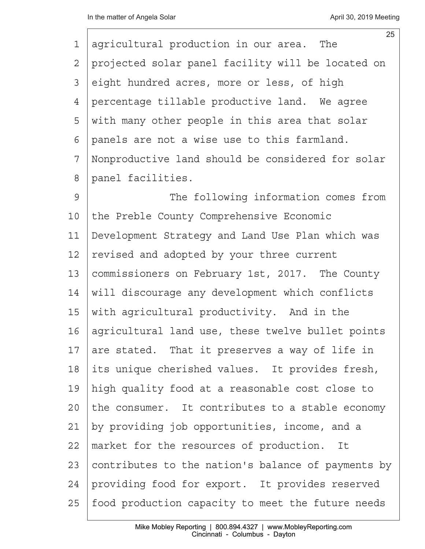|              | 25                                                 |
|--------------|----------------------------------------------------|
| 1            | agricultural production in our area. The           |
| $\mathbf{2}$ | projected solar panel facility will be located on  |
| 3            | eight hundred acres, more or less, of high         |
| 4            | percentage tillable productive land. We agree      |
| 5            | with many other people in this area that solar     |
| 6            | panels are not a wise use to this farmland.        |
| 7            | Nonproductive land should be considered for solar  |
| 8            | panel facilities.                                  |
| 9            | The following information comes from               |
| 10           | the Preble County Comprehensive Economic           |
| 11           | Development Strategy and Land Use Plan which was   |
| 12           | revised and adopted by your three current          |
| 13           | commissioners on February 1st, 2017. The County    |
| 14           | will discourage any development which conflicts    |
| 15           | with agricultural productivity. And in the         |
| 16           | agricultural land use, these twelve bullet points  |
| 17           | are stated. That it preserves a way of life in     |
| 18           | its unique cherished values. It provides fresh,    |
| 19           | high quality food at a reasonable cost close to    |
| 20           | the consumer. It contributes to a stable economy   |
| 21           | by providing job opportunities, income, and a      |
| 22           | market for the resources of production.<br>It      |
| 23           | contributes to the nation's balance of payments by |
| 24           | providing food for export. It provides reserved    |
| 25           | food production capacity to meet the future needs  |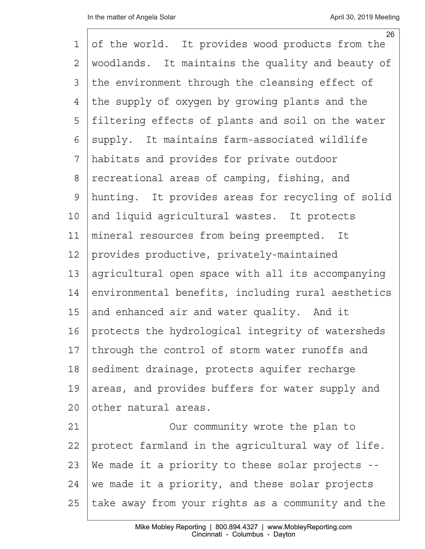| 1              | 26<br>of the world. It provides wood products from the |
|----------------|--------------------------------------------------------|
|                |                                                        |
| $\overline{2}$ | woodlands. It maintains the quality and beauty of      |
| 3              | the environment through the cleansing effect of        |
| 4              | the supply of oxygen by growing plants and the         |
| 5              | filtering effects of plants and soil on the water      |
| 6              | supply. It maintains farm-associated wildlife          |
| 7              | habitats and provides for private outdoor              |
| $\,8\,$        | recreational areas of camping, fishing, and            |
| $\mathsf{S}$   | hunting. It provides areas for recycling of solid      |
| 10             | and liquid agricultural wastes. It protects            |
| 11             | mineral resources from being preempted. It             |
| 12             | provides productive, privately-maintained              |
| 13             | agricultural open space with all its accompanying      |
| 14             | environmental benefits, including rural aesthetics     |
| 15             | and enhanced air and water quality. And it             |
| 16             | protects the hydrological integrity of watersheds      |
| 17             | through the control of storm water runoffs and         |
| 18             | sediment drainage, protects aquifer recharge           |
| 19             | areas, and provides buffers for water supply and       |
| 20             | other natural areas.                                   |
| 21             | Our community wrote the plan to                        |
| 22             | protect farmland in the agricultural way of life.      |
| 23             | We made it a priority to these solar projects --       |
| 24             | we made it a priority, and these solar projects        |
| 25             | take away from your rights as a community and the      |
|                |                                                        |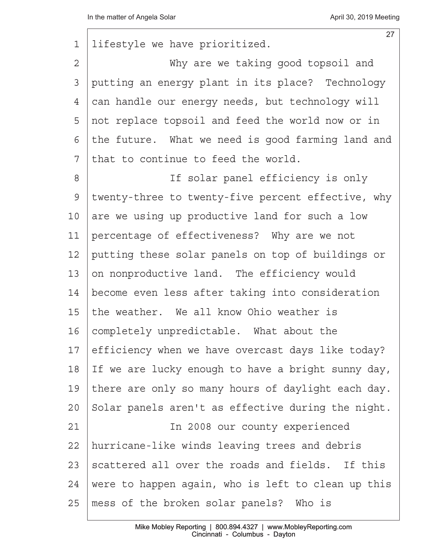| 1              | 27<br>lifestyle we have prioritized.               |
|----------------|----------------------------------------------------|
| $\overline{2}$ | Why are we taking good topsoil and                 |
| 3              | putting an energy plant in its place? Technology   |
| 4              | can handle our energy needs, but technology will   |
| 5              | not replace topsoil and feed the world now or in   |
| 6              | the future. What we need is good farming land and  |
| 7              | that to continue to feed the world.                |
| 8              | If solar panel efficiency is only                  |
| 9              | twenty-three to twenty-five percent effective, why |
| 10             | are we using up productive land for such a low     |
| 11             | percentage of effectiveness? Why are we not        |
| 12             | putting these solar panels on top of buildings or  |
| 13             | on nonproductive land. The efficiency would        |
| 14             | become even less after taking into consideration   |
| 15             | the weather. We all know Ohio weather is           |
| 16             | completely unpredictable. What about the           |
| 17             | efficiency when we have overcast days like today?  |
| 18             | If we are lucky enough to have a bright sunny day, |
| 19             | there are only so many hours of daylight each day. |
| $20 \,$        | Solar panels aren't as effective during the night. |
| 21             | In 2008 our county experienced                     |
| 22             | hurricane-like winds leaving trees and debris      |
| 23             | scattered all over the roads and fields. If this   |
| 24             | were to happen again, who is left to clean up this |
| 25             | mess of the broken solar panels? Who is            |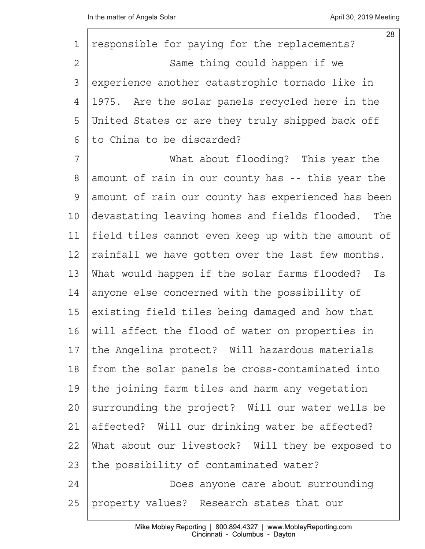| 1              | 28<br>responsible for paying for the replacements?   |
|----------------|------------------------------------------------------|
| $\overline{2}$ | Same thing could happen if we                        |
| 3              | experience another catastrophic tornado like in      |
| 4              | 1975. Are the solar panels recycled here in the      |
| 5              | United States or are they truly shipped back off     |
| 6              | to China to be discarded?                            |
| 7              | What about flooding? This year the                   |
| 8              | amount of rain in our county has -- this year the    |
| 9              | amount of rain our county has experienced has been   |
| 10             | devastating leaving homes and fields flooded.<br>The |
| 11             | field tiles cannot even keep up with the amount of   |
| 12             | rainfall we have gotten over the last few months.    |
| 13             | What would happen if the solar farms flooded? Is     |
| 14             | anyone else concerned with the possibility of        |
| 15             | existing field tiles being damaged and how that      |
| 16             | will affect the flood of water on properties in      |
| 17             | the Angelina protect? Will hazardous materials       |
| 18             | from the solar panels be cross-contaminated into     |
| 19             | the joining farm tiles and harm any vegetation       |
| 20             | surrounding the project? Will our water wells be     |
| 21             | affected? Will our drinking water be affected?       |
| 22             | What about our livestock? Will they be exposed to    |
| 23             | the possibility of contaminated water?               |
| 24             | Does anyone care about surrounding                   |
| 25             | property values? Research states that our            |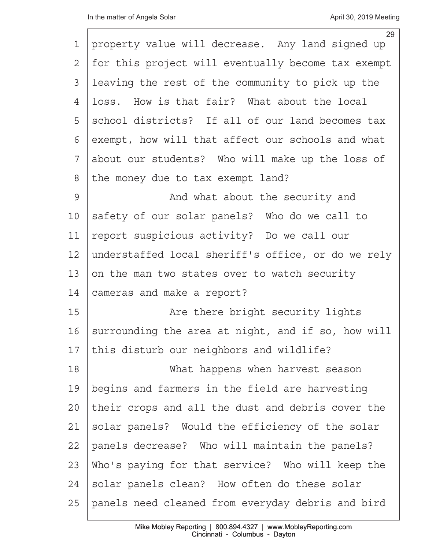|                | 29                                                 |
|----------------|----------------------------------------------------|
| 1              | property value will decrease. Any land signed up   |
| $\overline{2}$ | for this project will eventually become tax exempt |
| 3              | leaving the rest of the community to pick up the   |
| $\overline{4}$ | loss. How is that fair? What about the local       |
| 5              | school districts? If all of our land becomes tax   |
| 6              | exempt, how will that affect our schools and what  |
| 7              | about our students? Who will make up the loss of   |
| 8              | the money due to tax exempt land?                  |
| 9              | And what about the security and                    |
| 10             | safety of our solar panels? Who do we call to      |
| 11             | report suspicious activity? Do we call our         |
| 12             | understaffed local sheriff's office, or do we rely |
| 13             | on the man two states over to watch security       |
| 14             | cameras and make a report?                         |
| 15             | Are there bright security lights                   |
| 16             | surrounding the area at night, and if so, how will |
| 17             | this disturb our neighbors and wildlife?           |
| 18             | What happens when harvest season                   |
| 19             | begins and farmers in the field are harvesting     |
| 20             | their crops and all the dust and debris cover the  |
| 21             | solar panels? Would the efficiency of the solar    |
| 22             | panels decrease? Who will maintain the panels?     |
| 23             | Who's paying for that service? Who will keep the   |
| 24             | solar panels clean? How often do these solar       |
| 25             | panels need cleaned from everyday debris and bird  |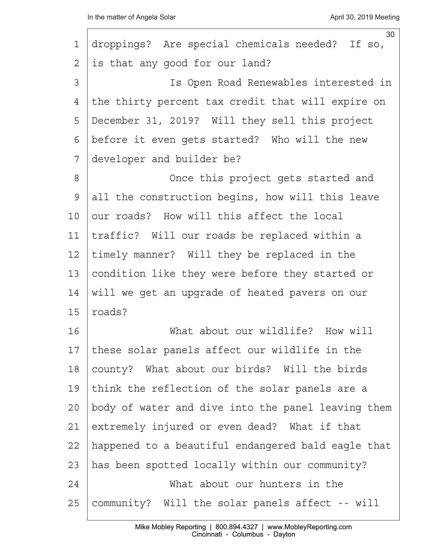| 1       | 30<br>droppings? Are special chemicals needed? If so, |
|---------|-------------------------------------------------------|
| 2       | is that any good for our land?                        |
| 3       | Is Open Road Renewables interested in                 |
| 4       | the thirty percent tax credit that will expire on     |
| 5       | December 31, 2019? Will they sell this project        |
| 6       | before it even gets started? Who will the new         |
| 7       | developer and builder be?                             |
| 8       | Once this project gets started and                    |
| 9       | all the construction begins, how will this leave      |
| 10      | our roads? How will this affect the local             |
| 11      | traffic? Will our roads be replaced within a          |
| 12      | timely manner? Will they be replaced in the           |
| 13      | condition like they were before they started or       |
| 14      | will we get an upgrade of heated pavers on our        |
| 15      | roads?                                                |
| 16      | What about our wildlife? How will                     |
| 17      | these solar panels affect our wildlife in the         |
| 18      | county? What about our birds? Will the birds          |
| 19      | think the reflection of the solar panels are a        |
| $20 \,$ | body of water and dive into the panel leaving them    |
| 21      | extremely injured or even dead? What if that          |
| 22      | happened to a beautiful endangered bald eagle that    |
| 23      | has been spotted locally within our community?        |
| 24      | What about our hunters in the                         |
| 25      | community? Will the solar panels affect -- will       |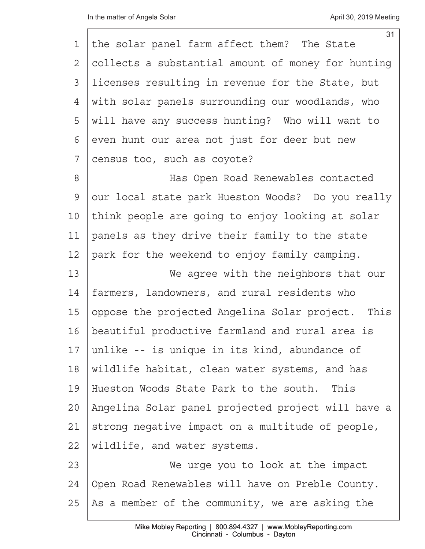| 1              | 31<br>the solar panel farm affect them? The State  |
|----------------|----------------------------------------------------|
| $\overline{2}$ | collects a substantial amount of money for hunting |
| 3              | licenses resulting in revenue for the State, but   |
| 4              | with solar panels surrounding our woodlands, who   |
| 5              | will have any success hunting? Who will want to    |
| 6              | even hunt our area not just for deer but new       |
| 7              | census too, such as coyote?                        |
| 8              | Has Open Road Renewables contacted                 |
| $\mathsf{S}$   | our local state park Hueston Woods? Do you really  |
| 10             | think people are going to enjoy looking at solar   |
| 11             | panels as they drive their family to the state     |
| 12             | park for the weekend to enjoy family camping.      |
| 13             | We agree with the neighbors that our               |
| 14             | farmers, landowners, and rural residents who       |
| 15             | oppose the projected Angelina Solar project. This  |
| 16             | beautiful productive farmland and rural area is    |
| 17             | unlike -- is unique in its kind, abundance of      |
| 18             | wildlife habitat, clean water systems, and has     |
| 19             | Hueston Woods State Park to the south. This        |
| 20             | Angelina Solar panel projected project will have a |
| 21             | strong negative impact on a multitude of people,   |
| 22             | wildlife, and water systems.                       |
| 23             | We urge you to look at the impact                  |
| 24             | Open Road Renewables will have on Preble County.   |
| 25             | As a member of the community, we are asking the    |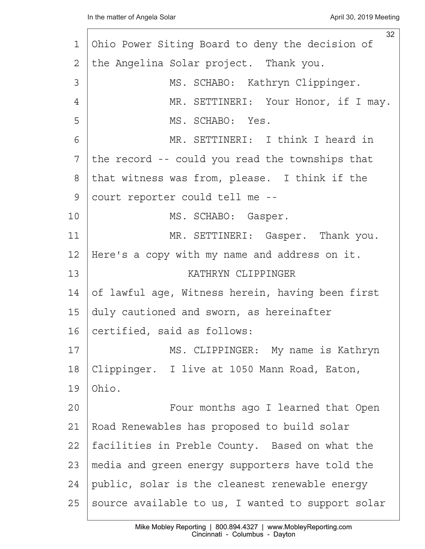|                | 32                                                |
|----------------|---------------------------------------------------|
| 1              | Ohio Power Siting Board to deny the decision of   |
| $\overline{2}$ | the Angelina Solar project. Thank you.            |
| 3              | MS. SCHABO: Kathryn Clippinger.                   |
| 4              | MR. SETTINERI: Your Honor, if I may.              |
| 5              | MS. SCHABO: Yes.                                  |
| 6              | MR. SETTINERI: I think I heard in                 |
| 7              | the record -- could you read the townships that   |
| 8              | that witness was from, please. I think if the     |
| 9              | court reporter could tell me --                   |
| 10             | MS. SCHABO: Gasper.                               |
| 11             | MR. SETTINERI: Gasper. Thank you.                 |
| 12             | Here's a copy with my name and address on it.     |
| 13             | KATHRYN CLIPPINGER                                |
| 14             | of lawful age, Witness herein, having been first  |
| 15             | duly cautioned and sworn, as hereinafter          |
| 16             | certified, said as follows:                       |
| 17             | MS. CLIPPINGER: My name is Kathryn                |
| 18             | Clippinger. I live at 1050 Mann Road, Eaton,      |
| 19             | Ohio.                                             |
| 20             | Four months ago I learned that Open               |
| 21             | Road Renewables has proposed to build solar       |
| 22             | facilities in Preble County. Based on what the    |
| 23             | media and green energy supporters have told the   |
| 24             | public, solar is the cleanest renewable energy    |
| 25             | source available to us, I wanted to support solar |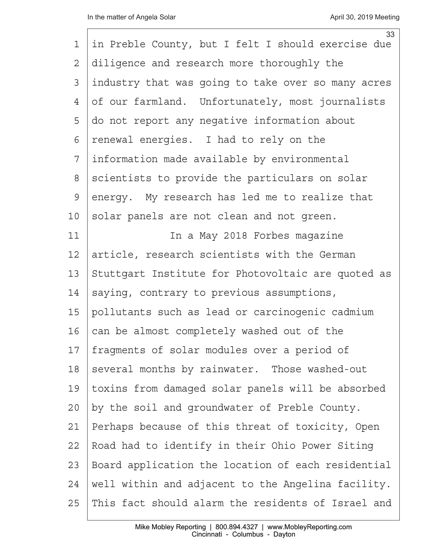| $\mathbf 1$  | 33<br>in Preble County, but I felt I should exercise due |
|--------------|----------------------------------------------------------|
|              |                                                          |
| 2            | diligence and research more thoroughly the               |
| 3            | industry that was going to take over so many acres       |
| 4            | of our farmland. Unfortunately, most journalists         |
| 5            | do not report any negative information about             |
| 6            | renewal energies. I had to rely on the                   |
| 7            | information made available by environmental              |
| 8            | scientists to provide the particulars on solar           |
| $\mathsf{S}$ | energy. My research has led me to realize that           |
| 10           | solar panels are not clean and not green.                |
| 11           | In a May 2018 Forbes magazine                            |
| 12           | article, research scientists with the German             |
| 13           | Stuttgart Institute for Photovoltaic are quoted as       |
| 14           | saying, contrary to previous assumptions,                |
| 15           | pollutants such as lead or carcinogenic cadmium          |
| 16           | can be almost completely washed out of the               |
| 17           | fragments of solar modules over a period of              |
| 18           | several months by rainwater. Those washed-out            |
| 19           | toxins from damaged solar panels will be absorbed        |
| 20           | by the soil and groundwater of Preble County.            |
| 21           | Perhaps because of this threat of toxicity, Open         |
| 22           | Road had to identify in their Ohio Power Siting          |
| 23           | Board application the location of each residential       |
| 24           | well within and adjacent to the Angelina facility.       |
| 25           | This fact should alarm the residents of Israel and       |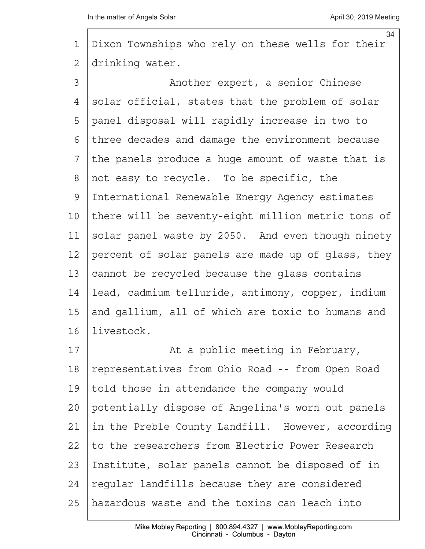|    | 34                                                 |
|----|----------------------------------------------------|
| 1  | Dixon Townships who rely on these wells for their  |
| 2  | drinking water.                                    |
| 3  | Another expert, a senior Chinese                   |
| 4  | solar official, states that the problem of solar   |
| 5  | panel disposal will rapidly increase in two to     |
| 6  | three decades and damage the environment because   |
| 7  | the panels produce a huge amount of waste that is  |
| 8  | not easy to recycle. To be specific, the           |
| 9  | International Renewable Energy Agency estimates    |
| 10 | there will be seventy-eight million metric tons of |
| 11 | solar panel waste by 2050. And even though ninety  |
| 12 | percent of solar panels are made up of glass, they |
| 13 | cannot be recycled because the glass contains      |
| 14 | lead, cadmium telluride, antimony, copper, indium  |
| 15 | and gallium, all of which are toxic to humans and  |
| 16 | livestock.                                         |
| 17 | At a public meeting in February,                   |
| 18 | representatives from Ohio Road -- from Open Road   |
| 19 | told those in attendance the company would         |
| 20 | potentially dispose of Angelina's worn out panels  |
| 21 | in the Preble County Landfill. However, according  |
| 22 | to the researchers from Electric Power Research    |
| 23 | Institute, solar panels cannot be disposed of in   |
| 24 | regular landfills because they are considered      |
| 25 | hazardous waste and the toxins can leach into      |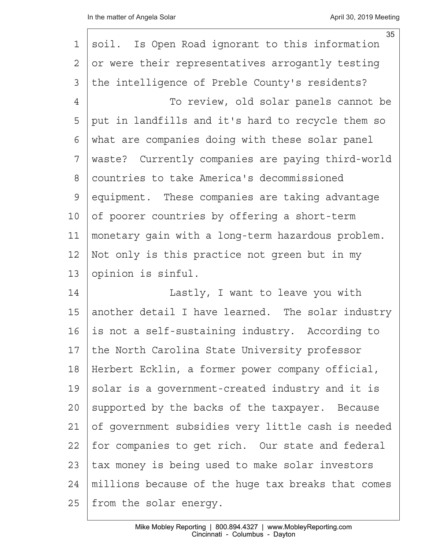| $\mathbf 1$    | 35<br>soil. Is Open Road ignorant to this information |
|----------------|-------------------------------------------------------|
| $\overline{2}$ | or were their representatives arrogantly testing      |
| 3              | the intelligence of Preble County's residents?        |
| $\overline{4}$ | To review, old solar panels cannot be                 |
| 5              | put in landfills and it's hard to recycle them so     |
| 6              | what are companies doing with these solar panel       |
| 7              | waste? Currently companies are paying third-world     |
| 8              | countries to take America's decommissioned            |
| $\mathcal{G}$  | equipment. These companies are taking advantage       |
| 10             | of poorer countries by offering a short-term          |
| 11             | monetary gain with a long-term hazardous problem.     |
| 12             | Not only is this practice not green but in my         |
| 13             | opinion is sinful.                                    |
| 14             | Lastly, I want to leave you with                      |
| 15             | another detail I have learned. The solar industry     |
| 16             | is not a self-sustaining industry. According to       |
| 17             | the North Carolina State University professor         |
| 18             | Herbert Ecklin, a former power company official,      |
| 19             | solar is a government-created industry and it is      |
| 20             | supported by the backs of the taxpayer. Because       |
| 21             | of government subsidies very little cash is needed    |
| 22             | for companies to get rich. Our state and federal      |
| 23             | tax money is being used to make solar investors       |
| 24             | millions because of the huge tax breaks that comes    |
| 25             | from the solar energy.                                |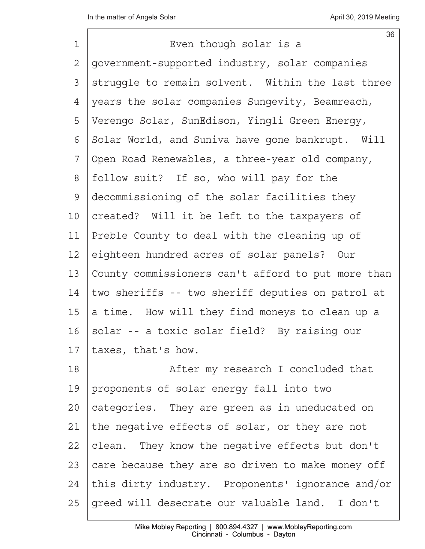|                | 36                                                 |
|----------------|----------------------------------------------------|
| 1              | Even though solar is a                             |
| $\overline{2}$ | government-supported industry, solar companies     |
| 3              | struggle to remain solvent. Within the last three  |
| 4              | years the solar companies Sungevity, Beamreach,    |
| 5              | Verengo Solar, SunEdison, Yingli Green Energy,     |
| 6              | Solar World, and Suniva have gone bankrupt. Will   |
| 7              | Open Road Renewables, a three-year old company,    |
| 8              | follow suit? If so, who will pay for the           |
| $\mathsf{S}$   | decommissioning of the solar facilities they       |
| 10             | created? Will it be left to the taxpayers of       |
| 11             | Preble County to deal with the cleaning up of      |
| 12             | eighteen hundred acres of solar panels? Our        |
| 13             | County commissioners can't afford to put more than |
| 14             | two sheriffs -- two sheriff deputies on patrol at  |
| 15             | a time. How will they find moneys to clean up a    |
| 16             | solar -- a toxic solar field? By raising our       |
| 17             | taxes, that's how.                                 |
| 18             | After my research I concluded that                 |
| 19             | proponents of solar energy fall into two           |
| 20             | categories. They are green as in uneducated on     |
| 21             | the negative effects of solar, or they are not     |
| 22             | clean. They know the negative effects but don't    |
| 23             | care because they are so driven to make money off  |
| 24             | this dirty industry. Proponents' ignorance and/or  |
| 25             | greed will desecrate our valuable land. I don't    |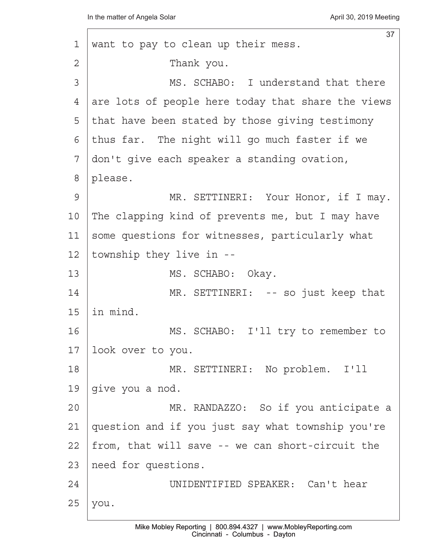| 1              | 37<br>want to pay to clean up their mess.          |
|----------------|----------------------------------------------------|
| $\overline{2}$ | Thank you.                                         |
| 3              | MS. SCHABO: I understand that there                |
| 4              | are lots of people here today that share the views |
| 5              | that have been stated by those giving testimony    |
| 6              | thus far. The night will go much faster if we      |
| 7              | don't give each speaker a standing ovation,        |
| 8              | please.                                            |
| 9              | MR. SETTINERI: Your Honor, if I may.               |
| 10             | The clapping kind of prevents me, but I may have   |
| 11             | some questions for witnesses, particularly what    |
| 12             | township they live in --                           |
| 13             | MS. SCHABO: Okay.                                  |
| 14             | MR. SETTINERI: -- so just keep that                |
| 15             | in mind.                                           |
| 16             | MS. SCHABO: I'll try to remember to                |
| 17             | look over to you.                                  |
| 18             | MR. SETTINERI: No problem. I'll                    |
| 19             | give you a nod.                                    |
| 20             | MR. RANDAZZO: So if you anticipate a               |
| 21             | question and if you just say what township you're  |
| 22             | from, that will save -- we can short-circuit the   |
| 23             | need for questions.                                |
| 24             | UNIDENTIFIED SPEAKER: Can't hear                   |
| 25             | you.                                               |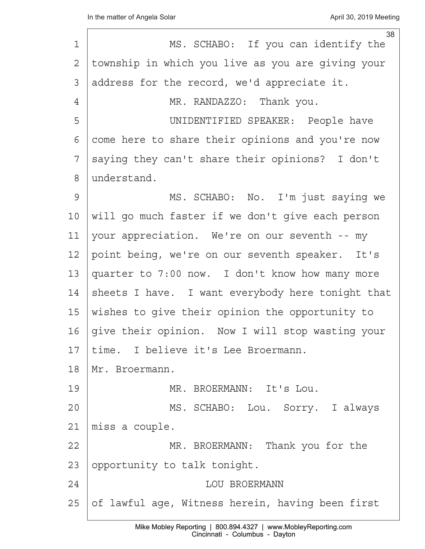| $\mathbf 1$     | 38<br>MS. SCHABO: If you can identify the         |
|-----------------|---------------------------------------------------|
|                 |                                                   |
| $\mathbf{2}$    | township in which you live as you are giving your |
| 3               | address for the record, we'd appreciate it.       |
| $\overline{4}$  | MR. RANDAZZO: Thank you.                          |
| 5               | UNIDENTIFIED SPEAKER: People have                 |
| 6               | come here to share their opinions and you're now  |
| 7               | saying they can't share their opinions? I don't   |
| 8               | understand.                                       |
| 9               | MS. SCHABO: No. I'm just saying we                |
| 10 <sub>o</sub> | will go much faster if we don't give each person  |
| 11              | your appreciation. We're on our seventh -- my     |
| 12              | point being, we're on our seventh speaker. It's   |
| 13              | quarter to 7:00 now. I don't know how many more   |
| 14              | sheets I have. I want everybody here tonight that |
| 15              | wishes to give their opinion the opportunity to   |
| 16              | give their opinion. Now I will stop wasting your  |
| 17              | time. I believe it's Lee Broermann.               |
| 18              | Mr. Broermann.                                    |
| 19              | MR. BROERMANN: It's Lou.                          |
| 20              | MS. SCHABO: Lou. Sorry. I always                  |
| 21              | miss a couple.                                    |
| 22              | MR. BROERMANN: Thank you for the                  |
| 23              | opportunity to talk tonight.                      |
| 24              | <b>LOU BROERMANN</b>                              |
| 25              | of lawful age, Witness herein, having been first  |
|                 |                                                   |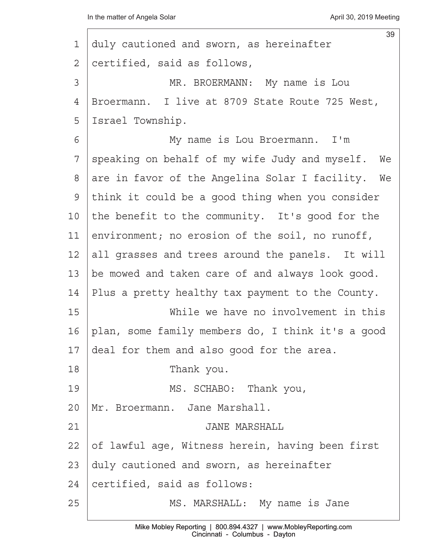|    | 39                                                |
|----|---------------------------------------------------|
| 1  | duly cautioned and sworn, as hereinafter          |
| 2  | certified, said as follows,                       |
| 3  | MR. BROERMANN: My name is Lou                     |
| 4  | Broermann. I live at 8709 State Route 725 West,   |
| 5  | Israel Township.                                  |
| 6  | My name is Lou Broermann. I'm                     |
| 7  | speaking on behalf of my wife Judy and myself. We |
| 8  | are in favor of the Angelina Solar I facility. We |
| 9  | think it could be a good thing when you consider  |
| 10 | the benefit to the community. It's good for the   |
| 11 | environment; no erosion of the soil, no runoff,   |
| 12 | all grasses and trees around the panels. It will  |
| 13 | be mowed and taken care of and always look good.  |
| 14 | Plus a pretty healthy tax payment to the County.  |
| 15 | While we have no involvement in this              |
| 16 | plan, some family members do, I think it's a good |
| 17 | deal for them and also good for the area.         |
| 18 | Thank you.                                        |
| 19 | MS. SCHABO: Thank you,                            |
| 20 | Mr. Broermann. Jane Marshall.                     |
| 21 | <b>JANE MARSHALL</b>                              |
| 22 | of lawful age, Witness herein, having been first  |
| 23 | duly cautioned and sworn, as hereinafter          |
| 24 | certified, said as follows:                       |
| 25 | MS. MARSHALL: My name is Jane                     |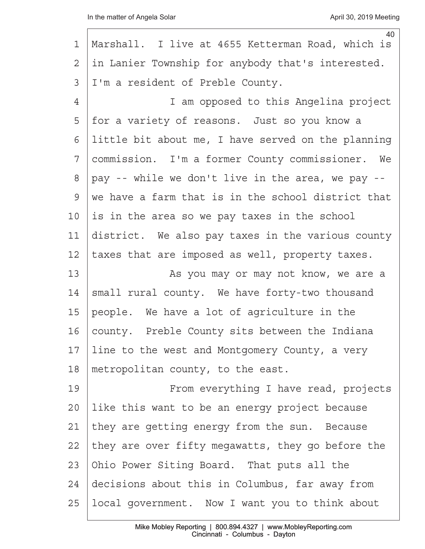| 1              | 40<br>Marshall. I live at 4655 Ketterman Road, which is |
|----------------|---------------------------------------------------------|
|                |                                                         |
| $\overline{2}$ | in Lanier Township for anybody that's interested.       |
| 3              | I'm a resident of Preble County.                        |
| 4              | I am opposed to this Angelina project                   |
| 5              | for a variety of reasons. Just so you know a            |
| 6              | little bit about me, I have served on the planning      |
| 7              | commission. I'm a former County commissioner. We        |
| 8              | pay -- while we don't live in the area, we pay --       |
| 9              | we have a farm that is in the school district that      |
| 10             | is in the area so we pay taxes in the school            |
| 11             | district. We also pay taxes in the various county       |
| 12             | taxes that are imposed as well, property taxes.         |
| 13             | As you may or may not know, we are a                    |
| 14             | small rural county. We have forty-two thousand          |
| 15             | people. We have a lot of agriculture in the             |
| 16             | county. Preble County sits between the Indiana          |
| 17             | line to the west and Montgomery County, a very          |
| 18             | metropolitan county, to the east.                       |
| 19             | From everything I have read, projects                   |
| 20             | like this want to be an energy project because          |
| 21             | they are getting energy from the sun. Because           |
| 22             | they are over fifty megawatts, they go before the       |
| 23             | Ohio Power Siting Board. That puts all the              |
| 24             | decisions about this in Columbus, far away from         |
| 25             | local government. Now I want you to think about         |
|                |                                                         |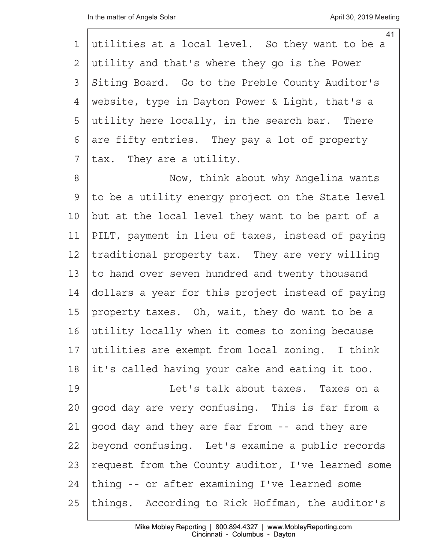|               | 41                                                 |
|---------------|----------------------------------------------------|
| 1             | utilities at a local level. So they want to be a   |
| 2             | utility and that's where they go is the Power      |
| 3             | Siting Board. Go to the Preble County Auditor's    |
| 4             | website, type in Dayton Power & Light, that's a    |
| 5             | utility here locally, in the search bar. There     |
| 6             | are fifty entries. They pay a lot of property      |
| 7             | tax. They are a utility.                           |
| 8             | Now, think about why Angelina wants                |
| $\mathcal{G}$ | to be a utility energy project on the State level  |
| 10            | but at the local level they want to be part of a   |
| 11            | PILT, payment in lieu of taxes, instead of paying  |
| 12            | traditional property tax. They are very willing    |
| 13            | to hand over seven hundred and twenty thousand     |
| 14            | dollars a year for this project instead of paying  |
| 15            | property taxes. Oh, wait, they do want to be a     |
| 16            | utility locally when it comes to zoning because    |
| 17            | utilities are exempt from local zoning. I think    |
| 18            | it's called having your cake and eating it too.    |
| 19            | Let's talk about taxes. Taxes on a                 |
| 20            | good day are very confusing. This is far from a    |
| 21            | good day and they are far from -- and they are     |
| 22            | beyond confusing. Let's examine a public records   |
| 23            | request from the County auditor, I've learned some |
| 24            | thing -- or after examining I've learned some      |
| 25            | things. According to Rick Hoffman, the auditor's   |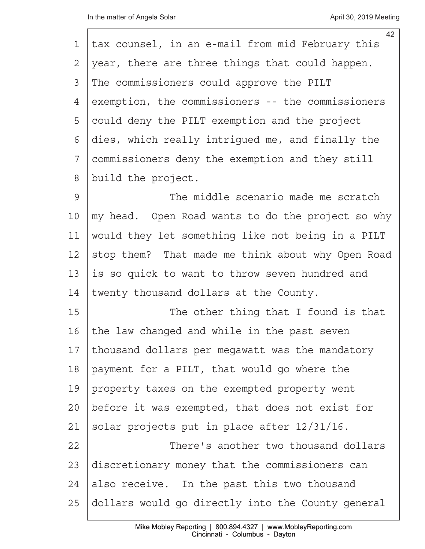| 1              | 42<br>tax counsel, in an e-mail from mid February this |
|----------------|--------------------------------------------------------|
| $\overline{2}$ | year, there are three things that could happen.        |
| 3              | The commissioners could approve the PILT               |
| 4              | exemption, the commissioners -- the commissioners      |
| 5              | could deny the PILT exemption and the project          |
| 6              | dies, which really intrigued me, and finally the       |
| 7              | commissioners deny the exemption and they still        |
| 8              | build the project.                                     |
| 9              | The middle scenario made me scratch                    |
| 10             | my head. Open Road wants to do the project so why      |
| 11             | would they let something like not being in a PILT      |
| 12             | stop them? That made me think about why Open Road      |
| 13             | is so quick to want to throw seven hundred and         |
| 14             | twenty thousand dollars at the County.                 |
| 15             | The other thing that I found is that                   |
| 16             | the law changed and while in the past seven            |
| 17             | thousand dollars per megawatt was the mandatory        |
| 18             | payment for a PILT, that would go where the            |
| 19             | property taxes on the exempted property went           |
| 20             | before it was exempted, that does not exist for        |
| 21             | solar projects put in place after 12/31/16.            |
| 22             | There's another two thousand dollars                   |
| 23             | discretionary money that the commissioners can         |
| 24             | also receive. In the past this two thousand            |
| 25             | dollars would go directly into the County general      |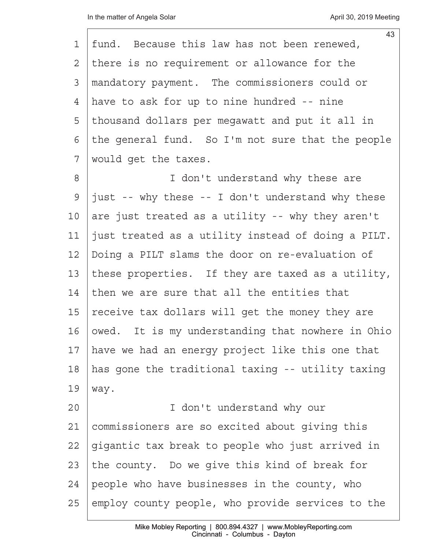I

| 1  | 43<br>fund. Because this law has not been renewed, |
|----|----------------------------------------------------|
| 2  | there is no requirement or allowance for the       |
| 3  | mandatory payment. The commissioners could or      |
| 4  | have to ask for up to nine hundred -- nine         |
| 5  | thousand dollars per megawatt and put it all in    |
| 6  | the general fund. So I'm not sure that the people  |
| 7  | would get the taxes.                               |
| 8  | I don't understand why these are                   |
| 9  | just -- why these -- I don't understand why these  |
| 10 | are just treated as a utility -- why they aren't   |
| 11 | just treated as a utility instead of doing a PILT. |
| 12 | Doing a PILT slams the door on re-evaluation of    |
| 13 | these properties. If they are taxed as a utility,  |
| 14 | then we are sure that all the entities that        |
| 15 | receive tax dollars will get the money they are    |
| 16 | owed. It is my understanding that nowhere in Ohio  |
| 17 | have we had an energy project like this one that   |
| 18 | has gone the traditional taxing -- utility taxing  |
| 19 | way.                                               |
| 20 | I don't understand why our                         |
| 21 | commissioners are so excited about giving this     |
| 22 | gigantic tax break to people who just arrived in   |
| 23 | the county. Do we give this kind of break for      |
| 24 | people who have businesses in the county, who      |
| 25 | employ county people, who provide services to the  |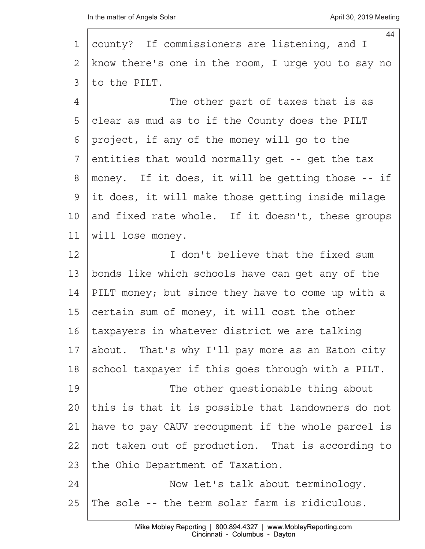|                | 44                                                 |
|----------------|----------------------------------------------------|
| 1              | county? If commissioners are listening, and I      |
| 2              | know there's one in the room, I urge you to say no |
| 3              | to the PILT.                                       |
| $\overline{4}$ | The other part of taxes that is as                 |
| 5              | clear as mud as to if the County does the PILT     |
| 6              | project, if any of the money will go to the        |
| 7              | entities that would normally get -- get the tax    |
| 8              | money. If it does, it will be getting those -- if  |
| 9              | it does, it will make those getting inside milage  |
| 10             | and fixed rate whole. If it doesn't, these groups  |
| 11             | will lose money.                                   |
| 12             | I don't believe that the fixed sum                 |
| 13             | bonds like which schools have can get any of the   |
| 14             | PILT money; but since they have to come up with a  |
| 15             | certain sum of money, it will cost the other       |
| 16             | taxpayers in whatever district we are talking      |
| 17             | about. That's why I'll pay more as an Eaton city   |
| 18             | school taxpayer if this goes through with a PILT.  |
| 19             | The other questionable thing about                 |
| 20             | this is that it is possible that landowners do not |
| 21             | have to pay CAUV recoupment if the whole parcel is |
| 22             | not taken out of production. That is according to  |
| 23             | the Ohio Department of Taxation.                   |
| 24             | Now let's talk about terminology.                  |
| 25             | The sole -- the term solar farm is ridiculous.     |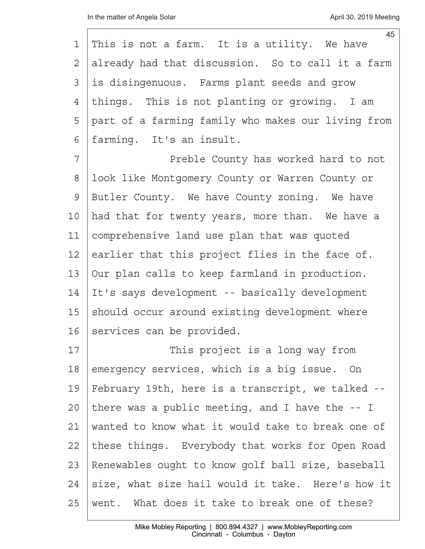|    | 45                                                 |
|----|----------------------------------------------------|
| 1  | This is not a farm. It is a utility. We have       |
| 2  | already had that discussion. So to call it a farm  |
| 3  | is disingenuous. Farms plant seeds and grow        |
| 4  | things. This is not planting or growing. I am      |
| 5  | part of a farming family who makes our living from |
| 6  | farming. It's an insult.                           |
| 7  | Preble County has worked hard to not               |
| 8  | look like Montgomery County or Warren County or    |
| 9  | Butler County. We have County zoning. We have      |
| 10 | had that for twenty years, more than. We have a    |
| 11 | comprehensive land use plan that was quoted        |
| 12 | earlier that this project flies in the face of.    |
| 13 | Our plan calls to keep farmland in production.     |
| 14 | It's says development -- basically development     |
| 15 | should occur around existing development where     |
| 16 | services can be provided.                          |
| 17 | This project is a long way from                    |
| 18 | emergency services, which is a big issue. On       |
| 19 | February 19th, here is a transcript, we talked --  |
| 20 | there was a public meeting, and I have the $-1$    |
| 21 | wanted to know what it would take to break one of  |
| 22 | these things. Everybody that works for Open Road   |
| 23 | Renewables ought to know golf ball size, baseball  |
| 24 | size, what size hail would it take. Here's how it  |
| 25 | went. What does it take to break one of these?     |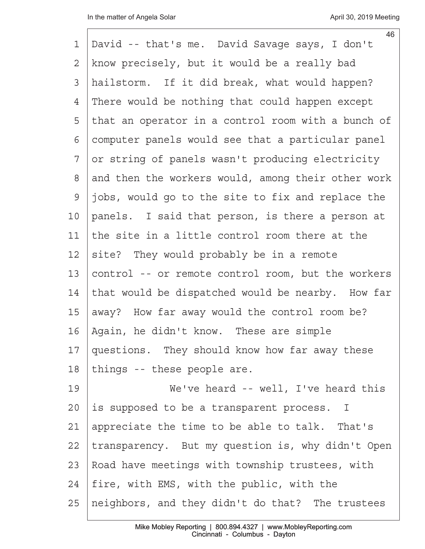| 1              | 46<br>David -- that's me. David Savage says, I don't |
|----------------|------------------------------------------------------|
| $\overline{2}$ | know precisely, but it would be a really bad         |
| 3              | hailstorm. If it did break, what would happen?       |
| 4              | There would be nothing that could happen except      |
| 5              | that an operator in a control room with a bunch of   |
| 6              | computer panels would see that a particular panel    |
| 7              | or string of panels wasn't producing electricity     |
| 8              | and then the workers would, among their other work   |
| $\mathcal{G}$  | jobs, would go to the site to fix and replace the    |
| 10             | panels. I said that person, is there a person at     |
| 11             | the site in a little control room there at the       |
| 12             | site? They would probably be in a remote             |
| 13             | control -- or remote control room, but the workers   |
| 14             | that would be dispatched would be nearby. How far    |
| 15             | away? How far away would the control room be?        |
| 16             | Again, he didn't know. These are simple              |
| 17             | questions. They should know how far away these       |
| 18             | things -- these people are.                          |
| 19             | We've heard -- well, I've heard this                 |
| 20             | is supposed to be a transparent process. I           |
| 21             | appreciate the time to be able to talk. That's       |
| 22             | transparency. But my question is, why didn't Open    |
| 23             | Road have meetings with township trustees, with      |
| 24             | fire, with EMS, with the public, with the            |
| 25             | neighbors, and they didn't do that? The trustees     |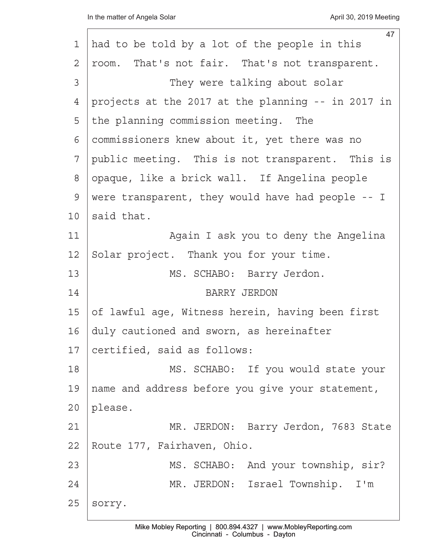|    | 47                                                 |
|----|----------------------------------------------------|
| 1  | had to be told by a lot of the people in this      |
| 2  | room. That's not fair. That's not transparent.     |
| 3  | They were talking about solar                      |
| 4  | projects at the 2017 at the planning -- in 2017 in |
| 5  | the planning commission meeting. The               |
| 6  | commissioners knew about it, yet there was no      |
| 7  | public meeting. This is not transparent. This is   |
| 8  | opaque, like a brick wall. If Angelina people      |
| 9  | were transparent, they would have had people -- I  |
| 10 | said that.                                         |
| 11 | Again I ask you to deny the Angelina               |
| 12 | Solar project. Thank you for your time.            |
| 13 | MS. SCHABO: Barry Jerdon.                          |
| 14 | <b>BARRY JERDON</b>                                |
| 15 | of lawful age, Witness herein, having been first   |
| 16 | duly cautioned and sworn, as hereinafter           |
| 17 | certified, said as follows:                        |
| 18 | MS. SCHABO: If you would state your                |
| 19 | name and address before you give your statement,   |
| 20 | please.                                            |
| 21 | MR. JERDON: Barry Jerdon, 7683 State               |
| 22 | Route 177, Fairhaven, Ohio.                        |
| 23 | MS. SCHABO: And your township, sir?                |
| 24 | MR. JERDON: Israel Township. I'm                   |
| 25 | sorry.                                             |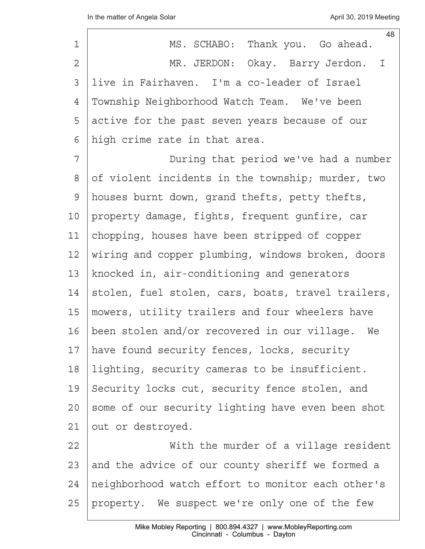| 48<br>MS. SCHABO: Thank you. Go ahead.             |
|----------------------------------------------------|
| MR. JERDON: Okay. Barry Jerdon. I                  |
| live in Fairhaven. I'm a co-leader of Israel       |
| Township Neighborhood Watch Team. We've been       |
| active for the past seven years because of our     |
| high crime rate in that area.                      |
| During that period we've had a number              |
| of violent incidents in the township; murder, two  |
| houses burnt down, grand thefts, petty thefts,     |
| property damage, fights, frequent gunfire, car     |
| chopping, houses have been stripped of copper      |
| wiring and copper plumbing, windows broken, doors  |
| knocked in, air-conditioning and generators        |
| stolen, fuel stolen, cars, boats, travel trailers, |
| mowers, utility trailers and four wheelers have    |
| been stolen and/or recovered in our village.<br>We |
| have found security fences, locks, security        |
| lighting, security cameras to be insufficient.     |
| Security locks cut, security fence stolen, and     |
| some of our security lighting have even been shot  |
| out or destroyed.                                  |
| With the murder of a village resident              |
| and the advice of our county sheriff we formed a   |
| neighborhood watch effort to monitor each other's  |
| property. We suspect we're only one of the few     |
|                                                    |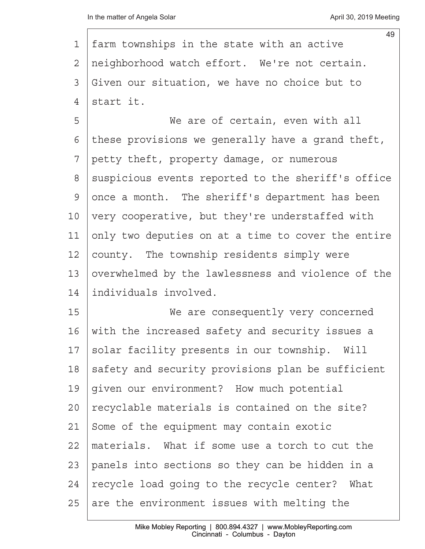| 1              | 49<br>farm townships in the state with an active   |
|----------------|----------------------------------------------------|
| $\overline{2}$ | neighborhood watch effort. We're not certain.      |
| 3              | Given our situation, we have no choice but to      |
| $\overline{4}$ | start it.                                          |
| 5              | We are of certain, even with all                   |
| 6              | these provisions we generally have a grand theft,  |
| 7              | petty theft, property damage, or numerous          |
| 8              | suspicious events reported to the sheriff's office |
| $\mathcal{G}$  | once a month. The sheriff's department has been    |
| 10             | very cooperative, but they're understaffed with    |
| 11             | only two deputies on at a time to cover the entire |
| 12             | county. The township residents simply were         |
| 13             | overwhelmed by the lawlessness and violence of the |
| 14             | individuals involved.                              |
| 15             | We are consequently very concerned                 |
| 16             | with the increased safety and security issues a    |
| 17             | solar facility presents in our township. Will      |
| 18             | safety and security provisions plan be sufficient  |
| 19             | given our environment? How much potential          |
| 20             | recyclable materials is contained on the site?     |
| 21             | Some of the equipment may contain exotic           |
| 22             | materials. What if some use a torch to cut the     |
| 23             | panels into sections so they can be hidden in a    |
| 24             | recycle load going to the recycle center? What     |
| 25             | are the environment issues with melting the        |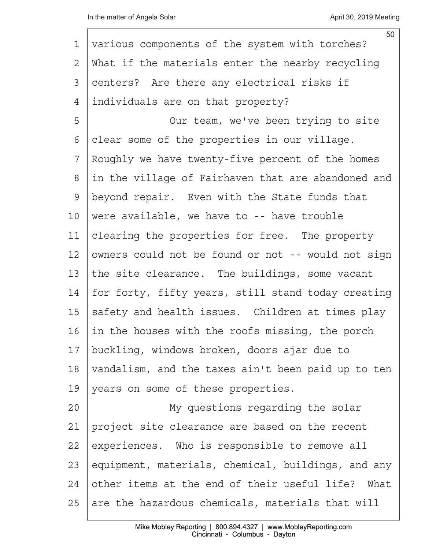| 1  | 50<br>various components of the system with torches? |
|----|------------------------------------------------------|
| 2  | What if the materials enter the nearby recycling     |
| 3  | centers? Are there any electrical risks if           |
| 4  | individuals are on that property?                    |
| 5  | Our team, we've been trying to site                  |
| 6  | clear some of the properties in our village.         |
| 7  | Roughly we have twenty-five percent of the homes     |
| 8  | in the village of Fairhaven that are abandoned and   |
| 9  | beyond repair. Even with the State funds that        |
| 10 | were available, we have to -- have trouble           |
| 11 | clearing the properties for free. The property       |
| 12 | owners could not be found or not -- would not sign   |
| 13 | the site clearance. The buildings, some vacant       |
| 14 | for forty, fifty years, still stand today creating   |
| 15 | safety and health issues. Children at times play     |
| 16 | in the houses with the roofs missing, the porch      |
| 17 | buckling, windows broken, doors ajar due to          |
| 18 | vandalism, and the taxes ain't been paid up to ten   |
| 19 | years on some of these properties.                   |
| 20 | My questions regarding the solar                     |
| 21 | project site clearance are based on the recent       |
| 22 | experiences. Who is responsible to remove all        |
| 23 | equipment, materials, chemical, buildings, and any   |
| 24 | other items at the end of their useful life?<br>What |
| 25 | are the hazardous chemicals, materials that will     |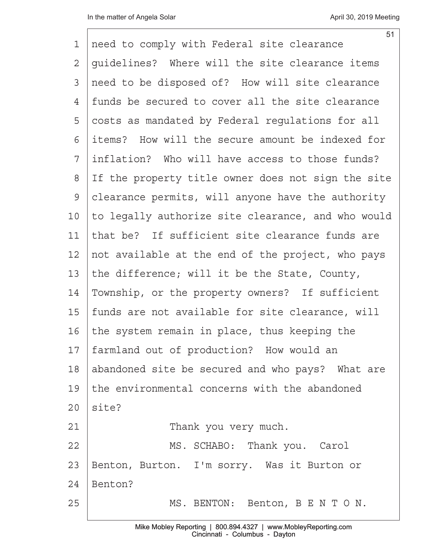$\mathbf{I}$ 

| 1  | 51<br>need to comply with Federal site clearance   |
|----|----------------------------------------------------|
| 2  | quidelines? Where will the site clearance items    |
| 3  | need to be disposed of? How will site clearance    |
| 4  | funds be secured to cover all the site clearance   |
| 5  | costs as mandated by Federal regulations for all   |
| 6  | items? How will the secure amount be indexed for   |
| 7  | inflation? Who will have access to those funds?    |
| 8  | If the property title owner does not sign the site |
| 9  | clearance permits, will anyone have the authority  |
| 10 | to legally authorize site clearance, and who would |
| 11 | that be? If sufficient site clearance funds are    |
| 12 | not available at the end of the project, who pays  |
| 13 | the difference; will it be the State, County,      |
| 14 | Township, or the property owners? If sufficient    |
| 15 | funds are not available for site clearance, will   |
| 16 | the system remain in place, thus keeping the       |
| 17 | farmland out of production? How would an           |
| 18 | abandoned site be secured and who pays? What are   |
| 19 | the environmental concerns with the abandoned      |
| 20 | site?                                              |
| 21 | Thank you very much.                               |
| 22 | MS. SCHABO: Thank you. Carol                       |
| 23 | Benton, Burton. I'm sorry. Was it Burton or        |
| 24 | Benton?                                            |
| 25 | MS. BENTON: Benton, B E N T O N.                   |
|    |                                                    |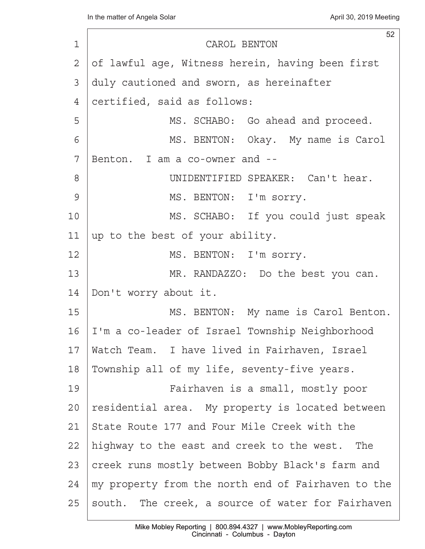| $\mathbf 1$ | 52<br>CAROL BENTON                                 |
|-------------|----------------------------------------------------|
| 2           | of lawful age, Witness herein, having been first   |
| 3           | duly cautioned and sworn, as hereinafter           |
| 4           | certified, said as follows:                        |
| 5           | MS. SCHABO: Go ahead and proceed.                  |
| 6           | MS. BENTON: Okay. My name is Carol                 |
| 7           | Benton. I am a co-owner and --                     |
| 8           | UNIDENTIFIED SPEAKER: Can't hear.                  |
| 9           |                                                    |
|             | MS. BENTON: I'm sorry.                             |
| 10          | MS. SCHABO: If you could just speak                |
| 11          | up to the best of your ability.                    |
| 12          | MS. BENTON: I'm sorry.                             |
| 13          | MR. RANDAZZO: Do the best you can.                 |
| 14          | Don't worry about it.                              |
| 15          | MS. BENTON: My name is Carol Benton.               |
| 16          | I'm a co-leader of Israel Township Neighborhood    |
| 17          | Watch Team. I have lived in Fairhaven, Israel      |
| 18          | Township all of my life, seventy-five years.       |
| 19          | Fairhaven is a small, mostly poor                  |
| 20          | residential area. My property is located between   |
| 21          | State Route 177 and Four Mile Creek with the       |
| 22          | highway to the east and creek to the west. The     |
| 23          | creek runs mostly between Bobby Black's farm and   |
| 24          | my property from the north end of Fairhaven to the |
| 25          | south. The creek, a source of water for Fairhaven  |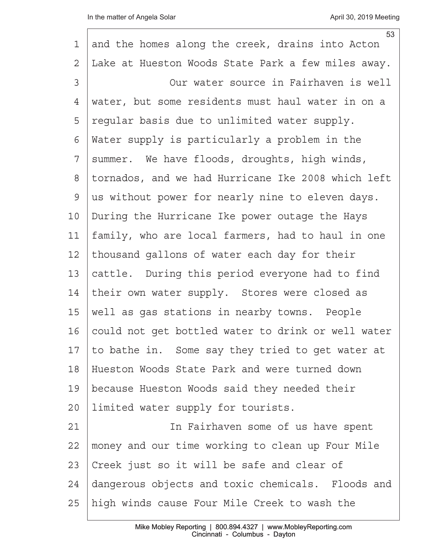I

|                 | 53                                                 |
|-----------------|----------------------------------------------------|
| 1               | and the homes along the creek, drains into Acton   |
| 2               | Lake at Hueston Woods State Park a few miles away. |
| 3               | Our water source in Fairhaven is well              |
| 4               | water, but some residents must haul water in on a  |
| 5               | regular basis due to unlimited water supply.       |
| 6               | Water supply is particularly a problem in the      |
| 7               | summer. We have floods, droughts, high winds,      |
| 8               | tornados, and we had Hurricane Ike 2008 which left |
| 9               | us without power for nearly nine to eleven days.   |
| 10 <sub>o</sub> | During the Hurricane Ike power outage the Hays     |
| 11              | family, who are local farmers, had to haul in one  |
| 12              | thousand gallons of water each day for their       |
| 13              | cattle. During this period everyone had to find    |
| 14              | their own water supply. Stores were closed as      |
| 15              | well as gas stations in nearby towns. People       |
| 16              | could not get bottled water to drink or well water |
| 17              | to bathe in. Some say they tried to get water at   |
| 18              | Hueston Woods State Park and were turned down      |
| 19              | because Hueston Woods said they needed their       |
| 20              | limited water supply for tourists.                 |
| 21              | In Fairhaven some of us have spent                 |
| 22              | money and our time working to clean up Four Mile   |
| 23              | Creek just so it will be safe and clear of         |
| 24              | dangerous objects and toxic chemicals. Floods and  |
| 25              | high winds cause Four Mile Creek to wash the       |
|                 |                                                    |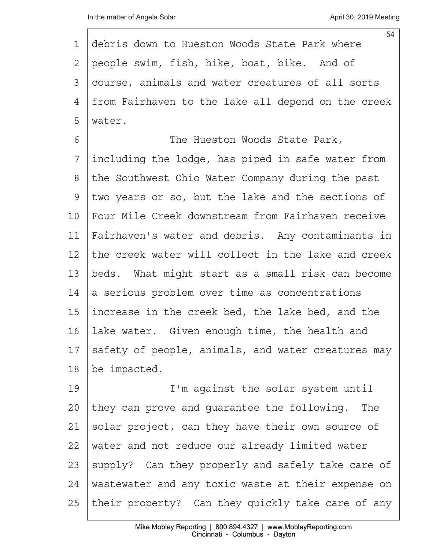|              | 54                                                 |
|--------------|----------------------------------------------------|
| 1            | debris down to Hueston Woods State Park where      |
| $\mathbf{2}$ | people swim, fish, hike, boat, bike. And of        |
| 3            | course, animals and water creatures of all sorts   |
| 4            | from Fairhaven to the lake all depend on the creek |
| 5            | water.                                             |
| 6            | The Hueston Woods State Park,                      |
| 7            | including the lodge, has piped in safe water from  |
| 8            | the Southwest Ohio Water Company during the past   |
| 9            | two years or so, but the lake and the sections of  |
| 10           | Four Mile Creek downstream from Fairhaven receive  |
| 11           | Fairhaven's water and debris. Any contaminants in  |
| 12           | the creek water will collect in the lake and creek |
| 13           | beds. What might start as a small risk can become  |
| 14           | a serious problem over time as concentrations      |
| 15           | increase in the creek bed, the lake bed, and the   |
| 16           | lake water. Given enough time, the health and      |
| 17           | safety of people, animals, and water creatures may |
| 18           | be impacted.                                       |
| 19           | I'm against the solar system until                 |
| 20           | they can prove and guarantee the following. The    |
| 21           | solar project, can they have their own source of   |
| 22           | water and not reduce our already limited water     |
| 23           | supply? Can they properly and safely take care of  |
| 24           | wastewater and any toxic waste at their expense on |
| 25           | their property? Can they quickly take care of any  |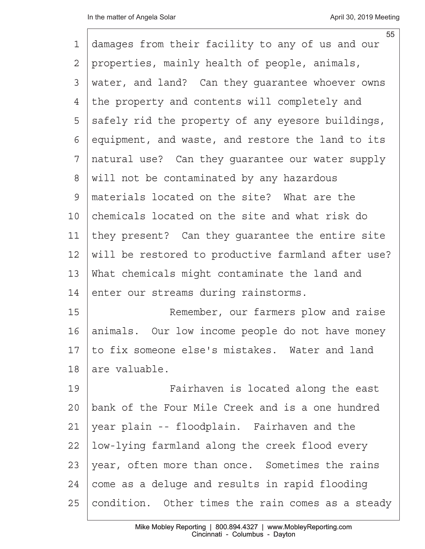| 1  | 55<br>damages from their facility to any of us and our |
|----|--------------------------------------------------------|
| 2  | properties, mainly health of people, animals,          |
| 3  | water, and land? Can they guarantee whoever owns       |
| 4  |                                                        |
|    | the property and contents will completely and          |
| 5  | safely rid the property of any eyesore buildings,      |
| 6  | equipment, and waste, and restore the land to its      |
| 7  | natural use? Can they guarantee our water supply       |
| 8  | will not be contaminated by any hazardous              |
| 9  | materials located on the site? What are the            |
| 10 | chemicals located on the site and what risk do         |
| 11 | they present? Can they guarantee the entire site       |
| 12 | will be restored to productive farmland after use?     |
| 13 | What chemicals might contaminate the land and          |
| 14 | enter our streams during rainstorms.                   |
| 15 | Remember, our farmers plow and raise                   |
| 16 | animals. Our low income people do not have money       |
| 17 | to fix someone else's mistakes. Water and land         |
| 18 | are valuable.                                          |
| 19 | Fairhaven is located along the east                    |
| 20 | bank of the Four Mile Creek and is a one hundred       |
| 21 | year plain -- floodplain. Fairhaven and the            |
| 22 | low-lying farmland along the creek flood every         |
| 23 | year, often more than once. Sometimes the rains        |
| 24 | come as a deluge and results in rapid flooding         |
| 25 | condition. Other times the rain comes as a steady      |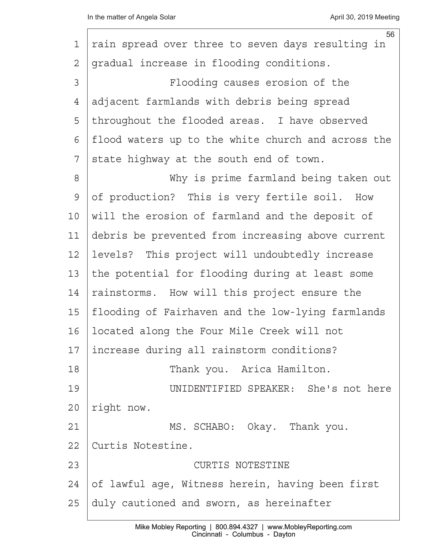| 1           | 56<br>rain spread over three to seven days resulting in |
|-------------|---------------------------------------------------------|
| 2           | gradual increase in flooding conditions.                |
| 3           | Flooding causes erosion of the                          |
| 4           | adjacent farmlands with debris being spread             |
| 5           | throughout the flooded areas. I have observed           |
| 6           | flood waters up to the white church and across the      |
| 7           | state highway at the south end of town.                 |
| 8           | Why is prime farmland being taken out                   |
| $\mathsf 9$ | of production? This is very fertile soil. How           |
| 10          | will the erosion of farmland and the deposit of         |
| 11          | debris be prevented from increasing above current       |
| 12          | levels? This project will undoubtedly increase          |
| 13          | the potential for flooding during at least some         |
| 14          | rainstorms. How will this project ensure the            |
| 15          | flooding of Fairhaven and the low-lying farmlands       |
| 16          | located along the Four Mile Creek will not              |
| 17          | increase during all rainstorm conditions?               |
| 18          | Thank you. Arica Hamilton.                              |
| 19          | UNIDENTIFIED SPEAKER: She's not here                    |
| 20          | right now.                                              |
| 21          | MS. SCHABO: Okay. Thank you.                            |
| 22          | Curtis Notestine.                                       |
| 23          | CURTIS NOTESTINE                                        |
| 24          | of lawful age, Witness herein, having been first        |
| 25          | duly cautioned and sworn, as hereinafter                |
|             |                                                         |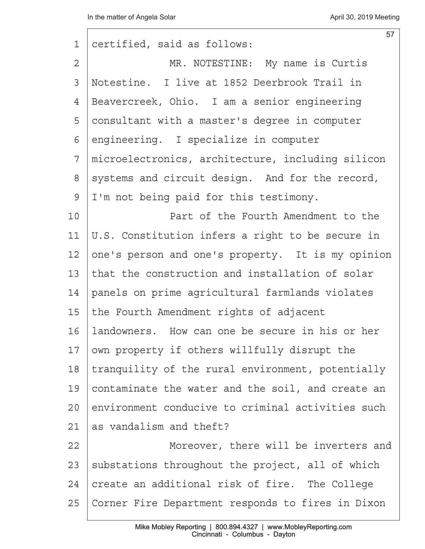| 1              | 57<br>certified, said as follows:                 |
|----------------|---------------------------------------------------|
| $\overline{2}$ | MR. NOTESTINE: My name is Curtis                  |
| 3              | Notestine. I live at 1852 Deerbrook Trail in      |
| 4              | Beavercreek, Ohio. I am a senior engineering      |
| 5              | consultant with a master's degree in computer     |
| 6              | engineering. I specialize in computer             |
| 7              | microelectronics, architecture, including silicon |
| 8              | systems and circuit design. And for the record,   |
| $\mathcal{G}$  | I'm not being paid for this testimony.            |
| 10             | Part of the Fourth Amendment to the               |
| 11             | U.S. Constitution infers a right to be secure in  |
| 12             | one's person and one's property. It is my opinion |
| 13             | that the construction and installation of solar   |
| 14             | panels on prime agricultural farmlands violates   |
| 15             | the Fourth Amendment rights of adjacent           |
| 16             | landowners. How can one be secure in his or her   |
| 17             | own property if others willfully disrupt the      |
| 18             | tranquility of the rural environment, potentially |
| 19             | contaminate the water and the soil, and create an |
| 20             | environment conducive to criminal activities such |
| 21             | as vandalism and theft?                           |
| 22             | Moreover, there will be inverters and             |
| 23             | substations throughout the project, all of which  |
| 24             | create an additional risk of fire. The College    |
| 25             | Corner Fire Department responds to fires in Dixon |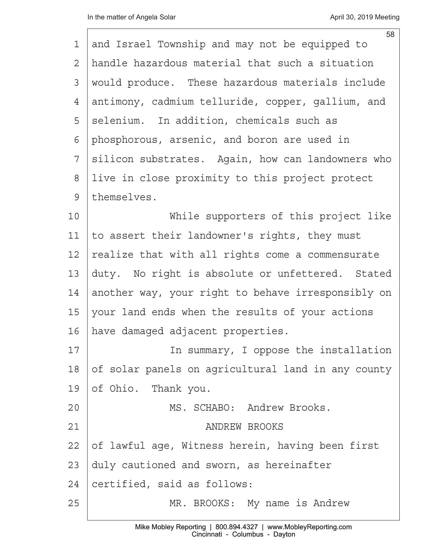| 1  | 58<br>and Israel Township and may not be equipped to |
|----|------------------------------------------------------|
| 2  | handle hazardous material that such a situation      |
| 3  | would produce. These hazardous materials include     |
| 4  | antimony, cadmium telluride, copper, gallium, and    |
| 5  | selenium. In addition, chemicals such as             |
| 6  | phosphorous, arsenic, and boron are used in          |
| 7  | silicon substrates. Again, how can landowners who    |
| 8  | live in close proximity to this project protect      |
| 9  | themselves.                                          |
| 10 | While supporters of this project like                |
| 11 | to assert their landowner's rights, they must        |
| 12 | realize that with all rights come a commensurate     |
| 13 | duty. No right is absolute or unfettered. Stated     |
| 14 | another way, your right to behave irresponsibly on   |
| 15 | your land ends when the results of your actions      |
| 16 | have damaged adjacent properties.                    |
| 17 | In summary, I oppose the installation                |
| 18 | of solar panels on agricultural land in any county   |
| 19 | of Ohio. Thank you.                                  |
| 20 | MS. SCHABO: Andrew Brooks.                           |
| 21 | <b>ANDREW BROOKS</b>                                 |
| 22 | of lawful age, Witness herein, having been first     |
| 23 | duly cautioned and sworn, as hereinafter             |
| 24 | certified, said as follows:                          |
| 25 | MR. BROOKS: My name is Andrew                        |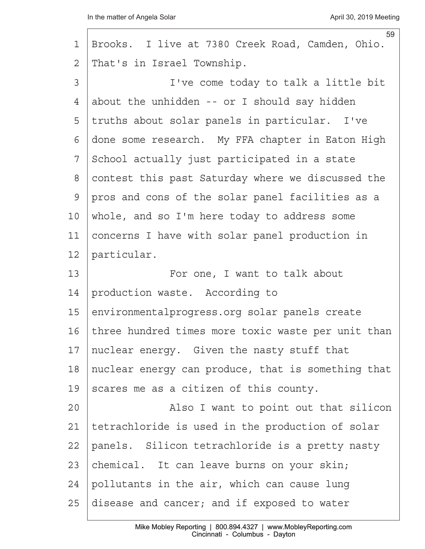| 1              | 59<br>Brooks. I live at 7380 Creek Road, Camden, Ohio. |
|----------------|--------------------------------------------------------|
| $\overline{2}$ | That's in Israel Township.                             |
| 3              | I've come today to talk a little bit                   |
| 4              | about the unhidden -- or I should say hidden           |
| 5              | truths about solar panels in particular. I've          |
| 6              | done some research. My FFA chapter in Eaton High       |
| 7              | School actually just participated in a state           |
| 8              | contest this past Saturday where we discussed the      |
| $\mathsf{S}$   | pros and cons of the solar panel facilities as a       |
| 10             | whole, and so I'm here today to address some           |
| 11             | concerns I have with solar panel production in         |
| 12             | particular.                                            |
| 13             | For one, I want to talk about                          |
| 14             | production waste. According to                         |
| 15             | environmentalprogress.org solar panels create          |
| 16             | three hundred times more toxic waste per unit than     |
| 17             | nuclear energy. Given the nasty stuff that             |
| $18\,$         | nuclear energy can produce, that is something that     |
| 19             | scares me as a citizen of this county.                 |
| 20             | Also I want to point out that silicon                  |
| 21             | tetrachloride is used in the production of solar       |
| 22             | panels. Silicon tetrachloride is a pretty nasty        |
| 23             | chemical. It can leave burns on your skin;             |
| 24             | pollutants in the air, which can cause lung            |
| 25             | disease and cancer; and if exposed to water            |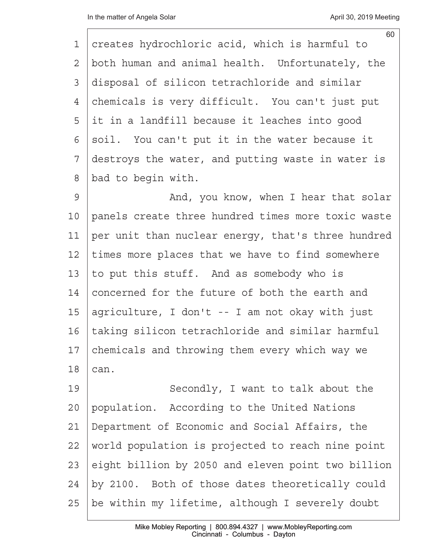| 1  | 60<br>creates hydrochloric acid, which is harmful to |
|----|------------------------------------------------------|
| 2  | both human and animal health. Unfortunately, the     |
| 3  | disposal of silicon tetrachloride and similar        |
| 4  | chemicals is very difficult. You can't just put      |
| 5  | it in a landfill because it leaches into good        |
| 6  | soil. You can't put it in the water because it       |
| 7  | destroys the water, and putting waste in water is    |
| 8  | bad to begin with.                                   |
| 9  | And, you know, when I hear that solar                |
| 10 | panels create three hundred times more toxic waste   |
| 11 | per unit than nuclear energy, that's three hundred   |
| 12 | times more places that we have to find somewhere     |
| 13 | to put this stuff. And as somebody who is            |
| 14 | concerned for the future of both the earth and       |
| 15 | agriculture, I don't -- I am not okay with just      |
| 16 | taking silicon tetrachloride and similar harmful     |
| 17 | chemicals and throwing them every which way we       |
| 18 | can.                                                 |
| 19 | Secondly, I want to talk about the                   |
| 20 | population. According to the United Nations          |
| 21 | Department of Economic and Social Affairs, the       |
| 22 | world population is projected to reach nine point    |
| 23 | eight billion by 2050 and eleven point two billion   |
| 24 | by 2100. Both of those dates theoretically could     |
| 25 | be within my lifetime, although I severely doubt     |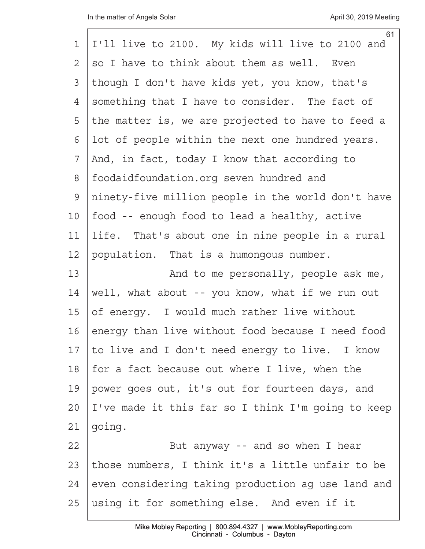|    | 61                                                 |
|----|----------------------------------------------------|
| 1  | I'll live to 2100. My kids will live to 2100 and   |
| 2  | so I have to think about them as well. Even        |
| 3  | though I don't have kids yet, you know, that's     |
| 4  | something that I have to consider. The fact of     |
| 5  | the matter is, we are projected to have to feed a  |
| 6  | lot of people within the next one hundred years.   |
| 7  | And, in fact, today I know that according to       |
| 8  | foodaidfoundation.org seven hundred and            |
| 9  | ninety-five million people in the world don't have |
| 10 | food -- enough food to lead a healthy, active      |
| 11 | life. That's about one in nine people in a rural   |
| 12 | population. That is a humongous number.            |
| 13 | And to me personally, people ask me,               |
| 14 | well, what about -- you know, what if we run out   |
| 15 | of energy. I would much rather live without        |
| 16 | energy than live without food because I need food  |
| 17 | to live and I don't need energy to live. I know    |
| 18 | for a fact because out where I live, when the      |
| 19 | power goes out, it's out for fourteen days, and    |
| 20 | I've made it this far so I think I'm going to keep |
| 21 | going.                                             |
| 22 | But anyway -- and so when I hear                   |
| 23 | those numbers, I think it's a little unfair to be  |
| 24 | even considering taking production ag use land and |
| 25 | using it for something else. And even if it        |
|    |                                                    |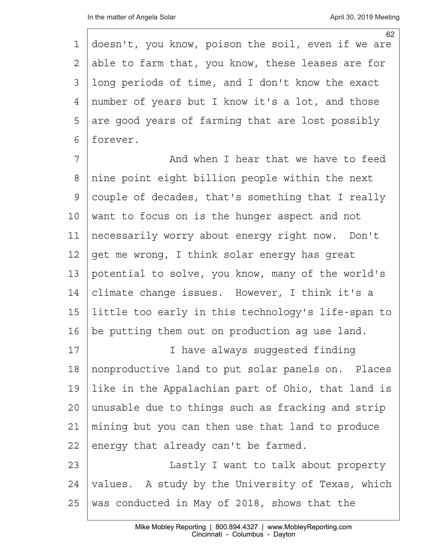62 1 doesn't, you know, poison the soil, even if we are 2 able to farm that, you know, these leases are for 3 Iong periods of time, and I don't know the exact 4 | number of years but I know it's a lot, and those  $5$  are good years of farming that are lost possibly 6 | forever.

7 a <sup>7</sup> <sup>2</sup> <sup>2</sup> And when I hear that we have to feed 8 Inine point eight billion people within the next 9 couple of decades, that's something that I really  $10$  want to focus on is the hunger aspect and not 11 | necessarily worry about energy right now. Don't 12  $\sqrt{q}$  qet me wrong, I think solar energy has great 13 potential to solve, you know, many of the world's 14  $|$  climate change issues. However, I think it's a 15· little too early in this technology's life-span to 16 | be putting them out on production ag use land.

17 | **I** have always suqqested finding 18 | nonproductive land to put solar panels on. Places 19 | like in the Appalachian part of Ohio, that land is 20 | unusable due to things such as fracking and strip 21 | mining but you can then use that land to produce  $22$  energy that already can't be farmed.

23 | Lastly I want to talk about property 24 | values. A study by the University of Texas, which 25 | was conducted in May of 2018, shows that the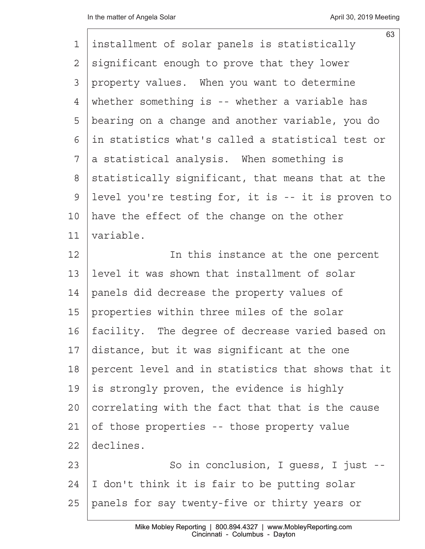|                | 63                                                 |
|----------------|----------------------------------------------------|
| 1              | installment of solar panels is statistically       |
| $\overline{2}$ | significant enough to prove that they lower        |
| 3              | property values. When you want to determine        |
| 4              | whether something is -- whether a variable has     |
| 5              | bearing on a change and another variable, you do   |
| 6              | in statistics what's called a statistical test or  |
| 7              | a statistical analysis. When something is          |
| 8              | statistically significant, that means that at the  |
| $\mathcal{G}$  | level you're testing for, it is -- it is proven to |
| 10             | have the effect of the change on the other         |
| 11             | variable.                                          |
| 12             | In this instance at the one percent                |
| 13             | level it was shown that installment of solar       |
| 14             | panels did decrease the property values of         |
| 15             | properties within three miles of the solar         |
| 16             | facility. The degree of decrease varied based on   |
| 17             | distance, but it was significant at the one        |
| 18             | percent level and in statistics that shows that it |
| 19             | is strongly proven, the evidence is highly         |
| 20             | correlating with the fact that that is the cause   |
| 21             | of those properties -- those property value        |
| 22             | declines.                                          |
| 23             | So in conclusion, I guess, I just --               |
| 24             | I don't think it is fair to be putting solar       |
| 25             | panels for say twenty-five or thirty years or      |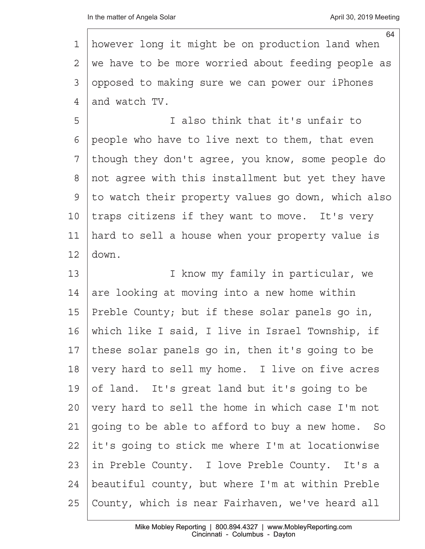| 1  | 64<br>however long it might be on production land when |
|----|--------------------------------------------------------|
| 2  | we have to be more worried about feeding people as     |
| 3  | opposed to making sure we can power our iPhones        |
| 4  | and watch TV.                                          |
| 5  | I also think that it's unfair to                       |
| 6  | people who have to live next to them, that even        |
| 7  | though they don't agree, you know, some people do      |
| 8  | not agree with this installment but yet they have      |
| 9  | to watch their property values go down, which also     |
| 10 | traps citizens if they want to move. It's very         |
| 11 | hard to sell a house when your property value is       |
| 12 | down.                                                  |
| 13 | I know my family in particular, we                     |
| 14 | are looking at moving into a new home within           |
| 15 | Preble County; but if these solar panels go in,        |
| 16 | which like I said, I live in Israel Township, if       |
| 17 | these solar panels go in, then it's going to be        |
| 18 | very hard to sell my home. I live on five acres        |
| 19 | of land. It's great land but it's going to be          |
| 20 | very hard to sell the home in which case I'm not       |
| 21 | going to be able to afford to buy a new home. So       |
| 22 | it's going to stick me where I'm at locationwise       |
| 23 | in Preble County. I love Preble County. It's a         |
| 24 | beautiful county, but where I'm at within Preble       |
| 25 | County, which is near Fairhaven, we've heard all       |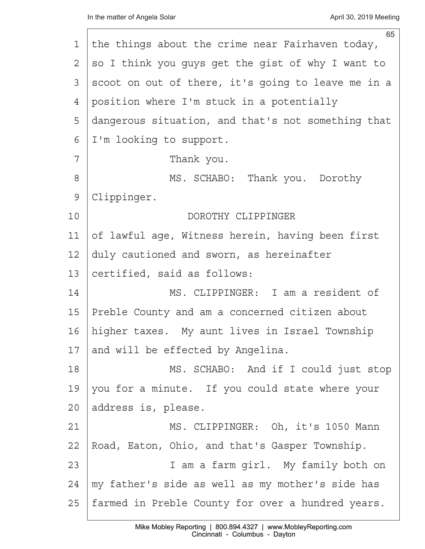|               | 65                                                 |
|---------------|----------------------------------------------------|
| 1             | the things about the crime near Fairhaven today,   |
| 2             | so I think you guys get the gist of why I want to  |
| 3             | scoot on out of there, it's going to leave me in a |
| 4             | position where I'm stuck in a potentially          |
| 5             | dangerous situation, and that's not something that |
| 6             | I'm looking to support.                            |
| 7             | Thank you.                                         |
| $8\,$         | MS. SCHABO: Thank you. Dorothy                     |
| $\mathcal{G}$ | Clippinger.                                        |
| 10            | DOROTHY CLIPPINGER                                 |
| 11            | of lawful age, Witness herein, having been first   |
| 12            | duly cautioned and sworn, as hereinafter           |
| 13            | certified, said as follows:                        |
| 14            | MS. CLIPPINGER: I am a resident of                 |
| 15            | Preble County and am a concerned citizen about     |
| 16            | higher taxes. My aunt lives in Israel Township     |
| 17            | and will be effected by Angelina.                  |
| 18            | MS. SCHABO: And if I could just stop               |
| 19            | you for a minute. If you could state where your    |
| 20            | address is, please.                                |
| 21            | MS. CLIPPINGER: Oh, it's 1050 Mann                 |
| 22            | Road, Eaton, Ohio, and that's Gasper Township.     |
| 23            | I am a farm girl. My family both on                |
| 24            | my father's side as well as my mother's side has   |
| 25            | farmed in Preble County for over a hundred years.  |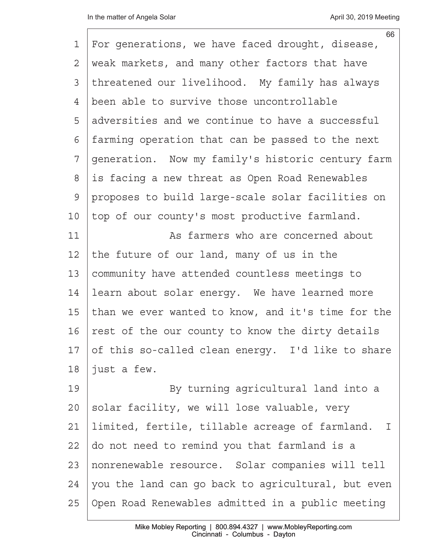|             | 66                                                 |
|-------------|----------------------------------------------------|
| 1           | For generations, we have faced drought, disease,   |
| 2           | weak markets, and many other factors that have     |
| 3           | threatened our livelihood. My family has always    |
| 4           | been able to survive those uncontrollable          |
| 5           | adversities and we continue to have a successful   |
| 6           | farming operation that can be passed to the next   |
| 7           | generation. Now my family's historic century farm  |
| 8           | is facing a new threat as Open Road Renewables     |
| $\mathsf 9$ | proposes to build large-scale solar facilities on  |
| 10          | top of our county's most productive farmland.      |
| 11          | As farmers who are concerned about                 |
| 12          | the future of our land, many of us in the          |
| 13          | community have attended countless meetings to      |
| 14          | learn about solar energy. We have learned more     |
| 15          | than we ever wanted to know, and it's time for the |
| 16          | rest of the our county to know the dirty details   |
| 17          | of this so-called clean energy. I'd like to share  |
| $18$        | just a few.                                        |
| 19          | By turning agricultural land into a                |
| 20          | solar facility, we will lose valuable, very        |
| 21          | limited, fertile, tillable acreage of farmland. I  |
| 22          | do not need to remind you that farmland is a       |
| 23          | nonrenewable resource. Solar companies will tell   |
| 24          | you the land can go back to agricultural, but even |
| 25          | Open Road Renewables admitted in a public meeting  |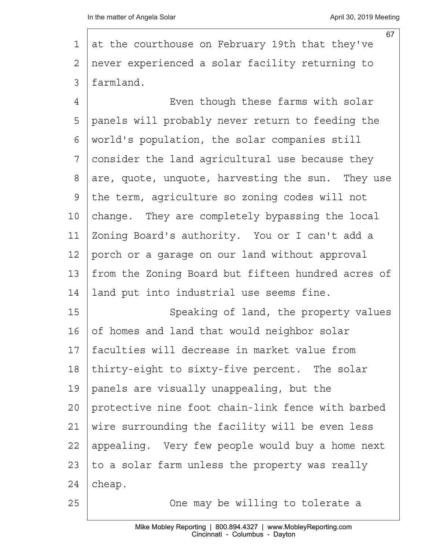|    | 67                                                 |
|----|----------------------------------------------------|
| 1  | at the courthouse on February 19th that they've    |
| 2  | never experienced a solar facility returning to    |
| 3  | farmland.                                          |
| 4  | Even though these farms with solar                 |
| 5  | panels will probably never return to feeding the   |
| 6  | world's population, the solar companies still      |
| 7  | consider the land agricultural use because they    |
| 8  | are, quote, unquote, harvesting the sun. They use  |
| 9  | the term, agriculture so zoning codes will not     |
| 10 | change. They are completely bypassing the local    |
| 11 | Zoning Board's authority. You or I can't add a     |
| 12 | porch or a garage on our land without approval     |
| 13 | from the Zoning Board but fifteen hundred acres of |
| 14 | land put into industrial use seems fine.           |
| 15 | Speaking of land, the property values              |
| 16 | of homes and land that would neighbor solar        |
| 17 | faculties will decrease in market value from       |
| 18 | thirty-eight to sixty-five percent. The solar      |
| 19 | panels are visually unappealing, but the           |
| 20 | protective nine foot chain-link fence with barbed  |
| 21 | wire surrounding the facility will be even less    |
| 22 | appealing. Very few people would buy a home next   |
| 23 | to a solar farm unless the property was really     |
| 24 | cheap.                                             |
| 25 | One may be willing to tolerate a                   |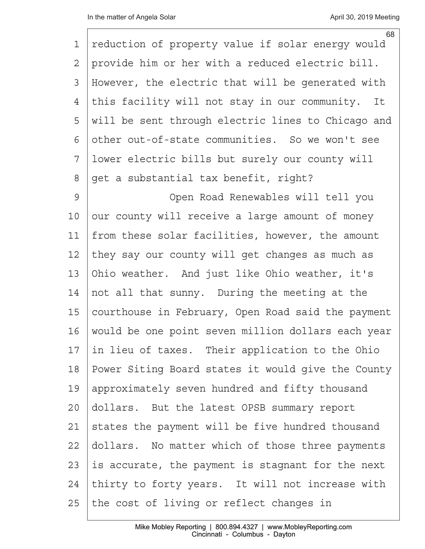|                | 68                                                 |
|----------------|----------------------------------------------------|
| $\mathbf 1$    | reduction of property value if solar energy would  |
| $\overline{2}$ | provide him or her with a reduced electric bill.   |
| 3              | However, the electric that will be generated with  |
| 4              | this facility will not stay in our community. It   |
| 5              | will be sent through electric lines to Chicago and |
| 6              | other out-of-state communities. So we won't see    |
| 7              | lower electric bills but surely our county will    |
| $\,8\,$        | get a substantial tax benefit, right?              |
| 9              | Open Road Renewables will tell you                 |
| 10             | our county will receive a large amount of money    |
| 11             | from these solar facilities, however, the amount   |
| 12             | they say our county will get changes as much as    |
| 13             | Ohio weather. And just like Ohio weather, it's     |
| 14             | not all that sunny. During the meeting at the      |
| 15             | courthouse in February, Open Road said the payment |
| 16             | would be one point seven million dollars each year |
| 17             | in lieu of taxes. Their application to the Ohio    |
| 18             | Power Siting Board states it would give the County |
| 19             | approximately seven hundred and fifty thousand     |
| 20             | dollars. But the latest OPSB summary report        |
| 21             | states the payment will be five hundred thousand   |
| 22             | dollars. No matter which of those three payments   |
| 23             | is accurate, the payment is stagnant for the next  |
| 24             | thirty to forty years. It will not increase with   |
| 25             | the cost of living or reflect changes in           |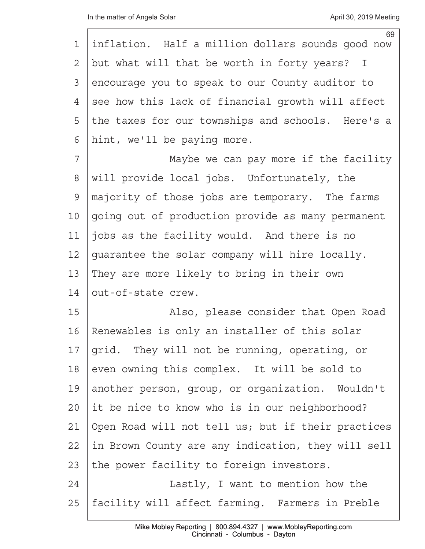| 1  | 69<br>inflation. Half a million dollars sounds good now |
|----|---------------------------------------------------------|
| 2  | but what will that be worth in forty years? I           |
| 3  | encourage you to speak to our County auditor to         |
| 4  | see how this lack of financial growth will affect       |
| 5  | the taxes for our townships and schools. Here's a       |
| 6  | hint, we'll be paying more.                             |
| 7  | Maybe we can pay more if the facility                   |
| 8  | will provide local jobs. Unfortunately, the             |
| 9  | majority of those jobs are temporary. The farms         |
| 10 | going out of production provide as many permanent       |
| 11 | jobs as the facility would. And there is no             |
| 12 | guarantee the solar company will hire locally.          |
| 13 | They are more likely to bring in their own              |
| 14 | out-of-state crew.                                      |
| 15 | Also, please consider that Open Road                    |
| 16 | Renewables is only an installer of this solar           |
| 17 | grid. They will not be running, operating, or           |
| 18 | even owning this complex. It will be sold to            |
| 19 | another person, group, or organization. Wouldn't        |
| 20 | it be nice to know who is in our neighborhood?          |
| 21 | Open Road will not tell us; but if their practices      |
| 22 | in Brown County are any indication, they will sell      |
| 23 | the power facility to foreign investors.                |
| 24 | Lastly, I want to mention how the                       |
| 25 | facility will affect farming. Farmers in Preble         |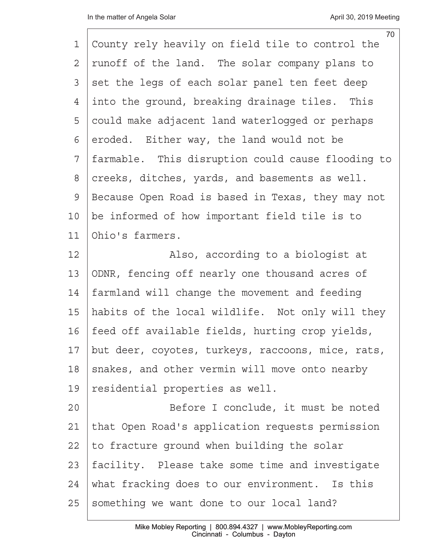|              | 70                                                |
|--------------|---------------------------------------------------|
| 1            | County rely heavily on field tile to control the  |
| $\mathbf{2}$ | runoff of the land. The solar company plans to    |
| 3            | set the legs of each solar panel ten feet deep    |
| 4            | into the ground, breaking drainage tiles. This    |
| 5            | could make adjacent land waterlogged or perhaps   |
| 6            | eroded. Either way, the land would not be         |
| 7            | farmable. This disruption could cause flooding to |
| 8            | creeks, ditches, yards, and basements as well.    |
| $\mathsf 9$  | Because Open Road is based in Texas, they may not |
| 10           | be informed of how important field tile is to     |
| 11           | Ohio's farmers.                                   |
| 12           | Also, according to a biologist at                 |
| 13           | ODNR, fencing off nearly one thousand acres of    |
| 14           | farmland will change the movement and feeding     |
| 15           | habits of the local wildlife. Not only will they  |
| 16           | feed off available fields, hurting crop yields,   |
| 17           | but deer, coyotes, turkeys, raccoons, mice, rats, |
| 18           | snakes, and other vermin will move onto nearby    |
| 19           | residential properties as well.                   |
| 20           | Before I conclude, it must be noted               |
| 21           | that Open Road's application requests permission  |
| 22           | to fracture ground when building the solar        |
| 23           | facility. Please take some time and investigate   |
| 24           | what fracking does to our environment. Is this    |
| 25           | something we want done to our local land?         |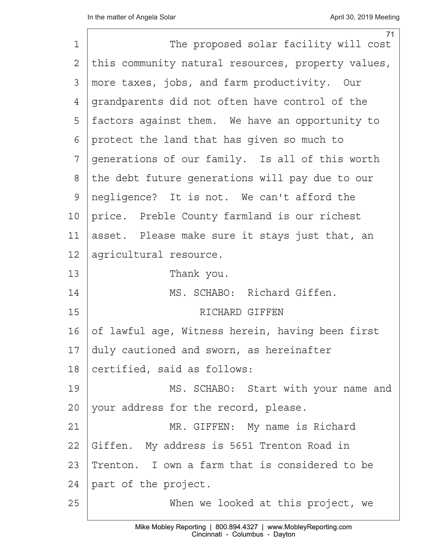| $\mathbf 1$ | 71<br>The proposed solar facility will cost        |
|-------------|----------------------------------------------------|
| 2           | this community natural resources, property values, |
| 3           | more taxes, jobs, and farm productivity. Our       |
| 4           | grandparents did not often have control of the     |
| 5           | factors against them. We have an opportunity to    |
| 6           | protect the land that has given so much to         |
| 7           | generations of our family. Is all of this worth    |
| 8           | the debt future generations will pay due to our    |
| 9           | negligence? It is not. We can't afford the         |
| 10          | price. Preble County farmland is our richest       |
| 11          | asset. Please make sure it stays just that, an     |
| 12          | agricultural resource.                             |
| 13          | Thank you.                                         |
| 14          | MS. SCHABO: Richard Giffen.                        |
| 15          | RICHARD GIFFEN                                     |
| 16          | of lawful age, Witness herein, having been first   |
| 17          | duly cautioned and sworn, as hereinafter           |
| 18          | certified, said as follows:                        |
| 19          | MS. SCHABO: Start with your name and               |
| 20          | your address for the record, please.               |
| 21          | MR. GIFFEN: My name is Richard                     |
| 22          | Giffen. My address is 5651 Trenton Road in         |
| 23          | Trenton. I own a farm that is considered to be     |
| 24          | part of the project.                               |
| 25          | When we looked at this project, we                 |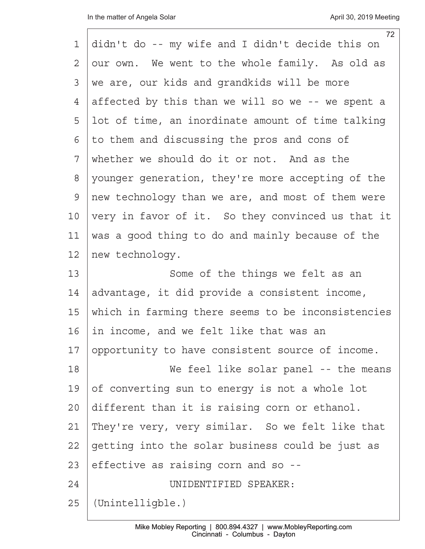|                | 72                                                 |
|----------------|----------------------------------------------------|
| 1              | didn't do -- my wife and I didn't decide this on   |
| $\overline{2}$ | our own. We went to the whole family. As old as    |
| 3              | we are, our kids and grandkids will be more        |
| 4              | affected by this than we will so we -- we spent a  |
| 5              | lot of time, an inordinate amount of time talking  |
| 6              | to them and discussing the pros and cons of        |
| 7              | whether we should do it or not. And as the         |
| 8              | younger generation, they're more accepting of the  |
| 9              | new technology than we are, and most of them were  |
| 10             | very in favor of it. So they convinced us that it  |
| 11             | was a good thing to do and mainly because of the   |
| 12             | new technology.                                    |
| 13             | Some of the things we felt as an                   |
| 14             | advantage, it did provide a consistent income,     |
| 15             | which in farming there seems to be inconsistencies |
| 16             | in income, and we felt like that was an            |
| 17             | opportunity to have consistent source of income.   |
| 18             | We feel like solar panel -- the means              |
| 19             | of converting sun to energy is not a whole lot     |
| 20             | different than it is raising corn or ethanol.      |
| 21             | They're very, very similar. So we felt like that   |
| 22             | getting into the solar business could be just as   |
| 23             | effective as raising corn and so --                |
| 24             | UNIDENTIFIED SPEAKER:                              |
| 25             | (Unintelligble.)                                   |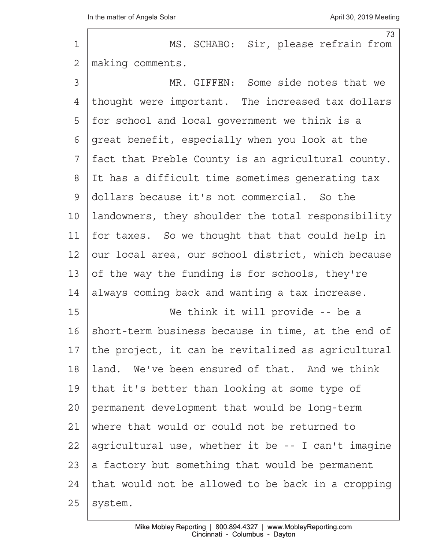$\Gamma$ 

| $\mathbf 1$    | 73<br>MS. SCHABO: Sir, please refrain from         |
|----------------|----------------------------------------------------|
| $\overline{2}$ | making comments.                                   |
| 3              | MR. GIFFEN: Some side notes that we                |
| 4              | thought were important. The increased tax dollars  |
| 5              | for school and local government we think is a      |
| 6              | great benefit, especially when you look at the     |
| 7              | fact that Preble County is an agricultural county. |
| $8\,$          | It has a difficult time sometimes generating tax   |
| $\mathsf 9$    | dollars because it's not commercial. So the        |
| 10             | landowners, they shoulder the total responsibility |
| 11             | for taxes. So we thought that that could help in   |
| 12             | our local area, our school district, which because |
| 13             | of the way the funding is for schools, they're     |
| 14             | always coming back and wanting a tax increase.     |
| 15             | We think it will provide -- be a                   |
| 16             | short-term business because in time, at the end of |
| 17             | the project, it can be revitalized as agricultural |
| 18             | land. We've been ensured of that. And we think     |
| 19             | that it's better than looking at some type of      |
| 20             | permanent development that would be long-term      |
| 21             | where that would or could not be returned to       |
| 22             | agricultural use, whether it be -- I can't imagine |
| 23             | a factory but something that would be permanent    |
| 24             | that would not be allowed to be back in a cropping |
| 25             | system.                                            |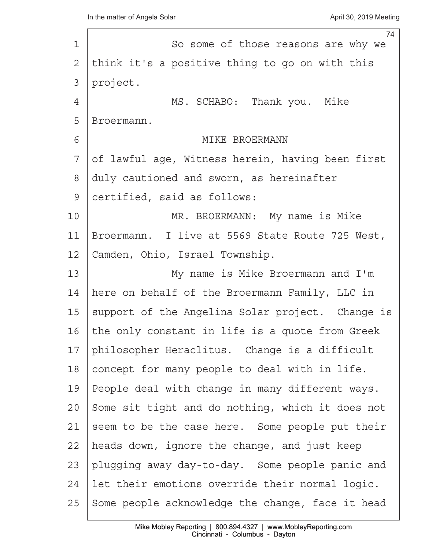| $\mathbf 1$   | 74<br>So some of those reasons are why we        |
|---------------|--------------------------------------------------|
| $\mathbf{2}$  | think it's a positive thing to go on with this   |
| 3             | project.                                         |
| 4             | MS. SCHABO: Thank you. Mike                      |
| 5             | Broermann.                                       |
| 6             | MIKE BROERMANN                                   |
| 7             | of lawful age, Witness herein, having been first |
| 8             | duly cautioned and sworn, as hereinafter         |
| $\mathcal{G}$ | certified, said as follows:                      |
| 10            | MR. BROERMANN: My name is Mike                   |
| 11            | Broermann. I live at 5569 State Route 725 West,  |
| 12            | Camden, Ohio, Israel Township.                   |
| 13            | My name is Mike Broermann and I'm                |
| 14            | here on behalf of the Broermann Family, LLC in   |
| 15            | support of the Angelina Solar project. Change is |
| 16            | the only constant in life is a quote from Greek  |
| 17            | philosopher Heraclitus. Change is a difficult    |
| 18            | concept for many people to deal with in life.    |
| 19            | People deal with change in many different ways.  |
| 20            | Some sit tight and do nothing, which it does not |
| 21            | seem to be the case here. Some people put their  |
| 22            | heads down, ignore the change, and just keep     |
| 23            | plugging away day-to-day. Some people panic and  |
| 24            | let their emotions override their normal logic.  |
| 25            | Some people acknowledge the change, face it head |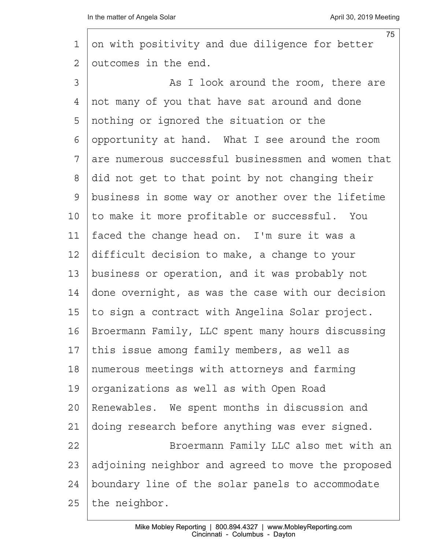| 1              | 75<br>on with positivity and due diligence for better |
|----------------|-------------------------------------------------------|
| $\overline{2}$ | outcomes in the end.                                  |
| 3              | As I look around the room, there are                  |
| 4              | not many of you that have sat around and done         |
| 5              | nothing or ignored the situation or the               |
| 6              | opportunity at hand. What I see around the room       |
| 7              | are numerous successful businessmen and women that    |
| 8              | did not get to that point by not changing their       |
| 9              | business in some way or another over the lifetime     |
| 10             | to make it more profitable or successful. You         |
| 11             | faced the change head on. I'm sure it was a           |
| 12             | difficult decision to make, a change to your          |
| 13             | business or operation, and it was probably not        |
| 14             | done overnight, as was the case with our decision     |
| 15             | to sign a contract with Angelina Solar project.       |
| 16             | Broermann Family, LLC spent many hours discussing     |
| 17             | this issue among family members, as well as           |
| 18             | numerous meetings with attorneys and farming          |
| 19             | organizations as well as with Open Road               |
| 20             | Renewables. We spent months in discussion and         |
| 21             | doing research before anything was ever signed.       |
| 22             | Broermann Family LLC also met with an                 |
| 23             | adjoining neighbor and agreed to move the proposed    |
| 24             | boundary line of the solar panels to accommodate      |
| 25             | the neighbor.                                         |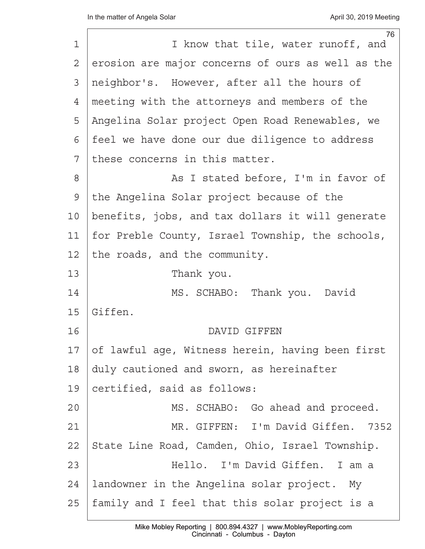|    | 76                                                |
|----|---------------------------------------------------|
| 1  | I know that tile, water runoff, and               |
| 2  | erosion are major concerns of ours as well as the |
| 3  | neighbor's. However, after all the hours of       |
| 4  | meeting with the attorneys and members of the     |
| 5  | Angelina Solar project Open Road Renewables, we   |
| 6  | feel we have done our due diligence to address    |
| 7  | these concerns in this matter.                    |
| 8  | As I stated before, I'm in favor of               |
| 9  | the Angelina Solar project because of the         |
| 10 | benefits, jobs, and tax dollars it will generate  |
| 11 | for Preble County, Israel Township, the schools,  |
| 12 | the roads, and the community.                     |
| 13 | Thank you.                                        |
| 14 | MS. SCHABO: Thank you. David                      |
| 15 | Giffen.                                           |
| 16 | DAVID GIFFEN                                      |
| 17 | of lawful age, Witness herein, having been first  |
| 18 | duly cautioned and sworn, as hereinafter          |
| 19 | certified, said as follows:                       |
| 20 | MS. SCHABO: Go ahead and proceed.                 |
| 21 | MR. GIFFEN: I'm David Giffen.<br>7352             |
| 22 | State Line Road, Camden, Ohio, Israel Township.   |
| 23 | Hello. I'm David Giffen. I am a                   |
| 24 | landowner in the Angelina solar project. My       |
| 25 | family and I feel that this solar project is a    |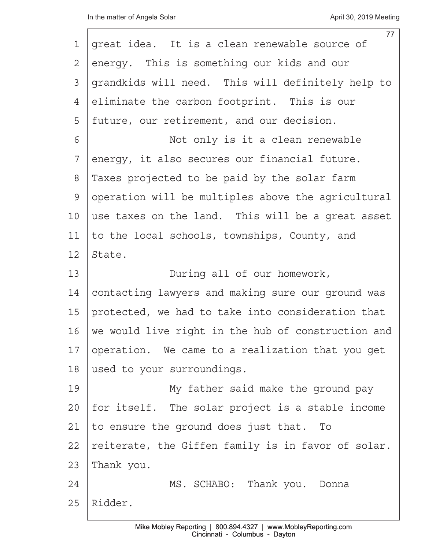|    | 77                                                 |
|----|----------------------------------------------------|
| 1  | great idea. It is a clean renewable source of      |
| 2  | energy. This is something our kids and our         |
| 3  | grandkids will need. This will definitely help to  |
| 4  | eliminate the carbon footprint. This is our        |
| 5  | future, our retirement, and our decision.          |
| 6  | Not only is it a clean renewable                   |
| 7  | energy, it also secures our financial future.      |
| 8  | Taxes projected to be paid by the solar farm       |
| 9  | operation will be multiples above the agricultural |
| 10 | use taxes on the land. This will be a great asset  |
| 11 | to the local schools, townships, County, and       |
| 12 | State.                                             |
| 13 | During all of our homework,                        |
| 14 | contacting lawyers and making sure our ground was  |
| 15 | protected, we had to take into consideration that  |
| 16 | we would live right in the hub of construction and |
| 17 | operation. We came to a realization that you get   |
| 18 | used to your surroundings.                         |
| 19 | My father said make the ground pay                 |
| 20 | for itself. The solar project is a stable income   |
| 21 | to ensure the ground does just that. To            |
| 22 | reiterate, the Giffen family is in favor of solar. |
| 23 | Thank you.                                         |
| 24 | MS. SCHABO: Thank you. Donna                       |
| 25 | Ridder.                                            |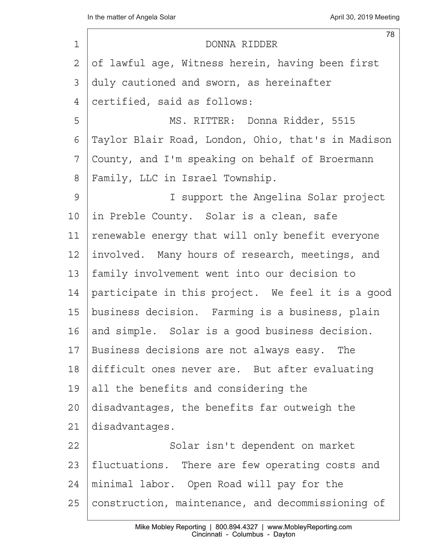| $\mathbf 1$ | 78<br>DONNA RIDDER                                 |
|-------------|----------------------------------------------------|
| 2           | of lawful age, Witness herein, having been first   |
| 3           | duly cautioned and sworn, as hereinafter           |
| 4           | certified, said as follows:                        |
| 5           | MS. RITTER: Donna Ridder, 5515                     |
| 6           | Taylor Blair Road, London, Ohio, that's in Madison |
| 7           | County, and I'm speaking on behalf of Broermann    |
| 8           | Family, LLC in Israel Township.                    |
| 9           | I support the Angelina Solar project               |
| 10          | in Preble County. Solar is a clean, safe           |
| 11          | renewable energy that will only benefit everyone   |
| 12          | involved. Many hours of research, meetings, and    |
| 13          | family involvement went into our decision to       |
| 14          | participate in this project. We feel it is a good  |
| 15          | business decision. Farming is a business, plain    |
| 16          | and simple. Solar is a good business decision.     |
| 17          | Business decisions are not always easy. The        |
| 18          | difficult ones never are. But after evaluating     |
| 19          | all the benefits and considering the               |
| 20          | disadvantages, the benefits far outweigh the       |
| 21          | disadvantages.                                     |
| 22          | Solar isn't dependent on market                    |
| 23          | fluctuations. There are few operating costs and    |
| 24          | minimal labor. Open Road will pay for the          |
| 25          | construction, maintenance, and decommissioning of  |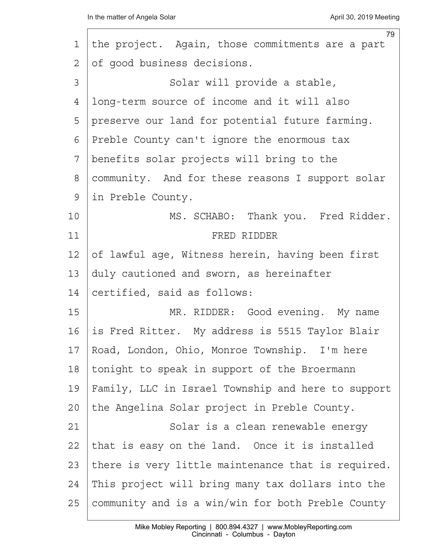|    | 79                                                 |
|----|----------------------------------------------------|
| 1  | the project. Again, those commitments are a part   |
| 2  | of good business decisions.                        |
| 3  | Solar will provide a stable,                       |
| 4  | long-term source of income and it will also        |
| 5  | preserve our land for potential future farming.    |
| 6  | Preble County can't ignore the enormous tax        |
| 7  | benefits solar projects will bring to the          |
| 8  | community. And for these reasons I support solar   |
| 9  | in Preble County.                                  |
| 10 | MS. SCHABO: Thank you. Fred Ridder.                |
| 11 | FRED RIDDER                                        |
| 12 | of lawful age, Witness herein, having been first   |
| 13 | duly cautioned and sworn, as hereinafter           |
| 14 | certified, said as follows:                        |
| 15 | MR. RIDDER: Good evening. My name                  |
| 16 | is Fred Ritter. My address is 5515 Taylor Blair    |
| 17 | Road, London, Ohio, Monroe Township. I'm here      |
| 18 | tonight to speak in support of the Broermann       |
| 19 | Family, LLC in Israel Township and here to support |
| 20 | the Angelina Solar project in Preble County.       |
| 21 | Solar is a clean renewable energy                  |
| 22 | that is easy on the land. Once it is installed     |
| 23 | there is very little maintenance that is required. |
| 24 | This project will bring many tax dollars into the  |
| 25 | community and is a win/win for both Preble County  |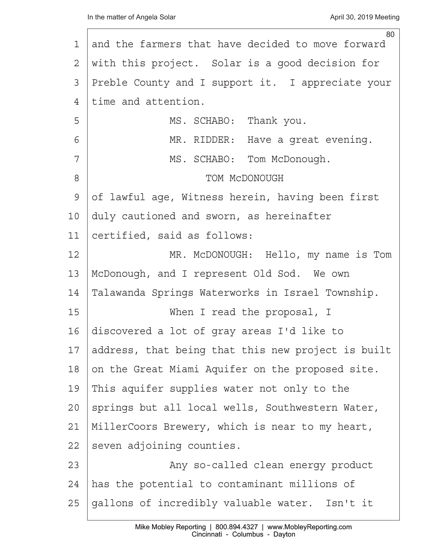| 1               | 80<br>and the farmers that have decided to move forward |
|-----------------|---------------------------------------------------------|
| 2               | with this project. Solar is a good decision for         |
| 3               | Preble County and I support it. I appreciate your       |
| 4               | time and attention.                                     |
| 5               | MS. SCHABO: Thank you.                                  |
| 6               | MR. RIDDER: Have a great evening.                       |
| 7               | MS. SCHABO: Tom McDonough.                              |
| $8\,$           | TOM MCDONOUGH                                           |
| 9               | of lawful age, Witness herein, having been first        |
| 10 <sub>o</sub> | duly cautioned and sworn, as hereinafter                |
| 11              | certified, said as follows:                             |
| 12              | MR. McDONOUGH: Hello, my name is Tom                    |
| 13              | McDonough, and I represent Old Sod. We own              |
| 14              | Talawanda Springs Waterworks in Israel Township.        |
| 15              | When I read the proposal, I                             |
| 16              | discovered a lot of gray areas I'd like to              |
| 17              | address, that being that this new project is built      |
| 18              | on the Great Miami Aquifer on the proposed site.        |
| 19              | This aquifer supplies water not only to the             |
| $20 \,$         | springs but all local wells, Southwestern Water,        |
| 21              | MillerCoors Brewery, which is near to my heart,         |
| 22              | seven adjoining counties.                               |
| 23              | Any so-called clean energy product                      |
| 24              | has the potential to contaminant millions of            |
| 25              | gallons of incredibly valuable water. Isn't it          |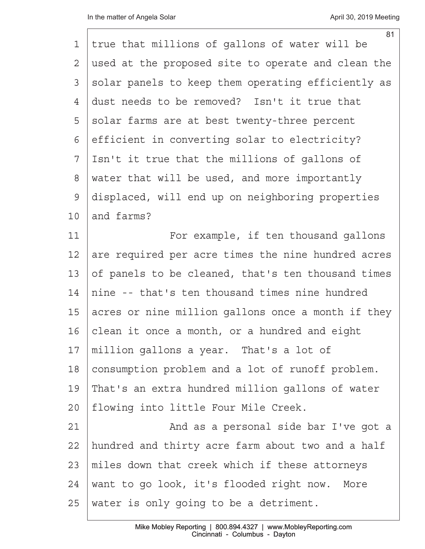| 1            | 81<br>true that millions of gallons of water will be |
|--------------|------------------------------------------------------|
| 2            | used at the proposed site to operate and clean the   |
| 3            | solar panels to keep them operating efficiently as   |
| 4            | dust needs to be removed? Isn't it true that         |
| 5            | solar farms are at best twenty-three percent         |
| 6            | efficient in converting solar to electricity?        |
| 7            | Isn't it true that the millions of gallons of        |
| 8            | water that will be used, and more importantly        |
| $\mathsf{S}$ | displaced, will end up on neighboring properties     |
| 10           | and farms?                                           |
| 11           | For example, if ten thousand gallons                 |
| 12           | are required per acre times the nine hundred acres   |
| 13           | of panels to be cleaned, that's ten thousand times   |
| 14           | nine -- that's ten thousand times nine hundred       |
| 15           | acres or nine million gallons once a month if they   |
| 16           | clean it once a month, or a hundred and eight        |
| 17           | million gallons a year. That's a lot of              |
| 18           | consumption problem and a lot of runoff problem.     |
| 19           | That's an extra hundred million gallons of water     |
| 20           | flowing into little Four Mile Creek.                 |
| 21           | And as a personal side bar I've got a                |
| 22           | hundred and thirty acre farm about two and a half    |
| 23           | miles down that creek which if these attorneys       |
| 24           | want to go look, it's flooded right now. More        |
| 25           | water is only going to be a detriment.               |
|              |                                                      |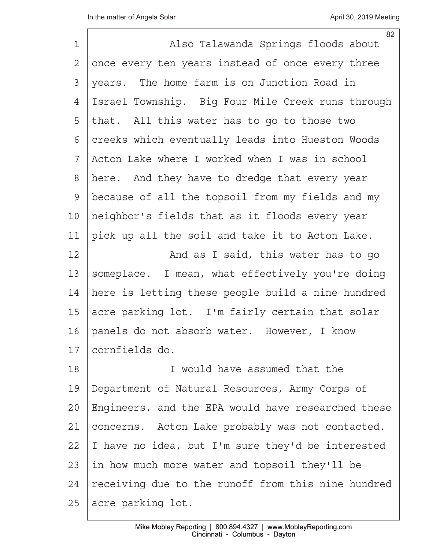| $\mathbf 1$    | 82<br>Also Talawanda Springs floods about          |
|----------------|----------------------------------------------------|
| $\overline{2}$ | once every ten years instead of once every three   |
| 3              | years. The home farm is on Junction Road in        |
| 4              | Israel Township. Big Four Mile Creek runs through  |
| 5              | that. All this water has to go to those two        |
| 6              | creeks which eventually leads into Hueston Woods   |
| 7              | Acton Lake where I worked when I was in school     |
| $8\,$          | here. And they have to dredge that every year      |
| $\mathsf 9$    | because of all the topsoil from my fields and my   |
| 10             | neighbor's fields that as it floods every year     |
| 11             | pick up all the soil and take it to Acton Lake.    |
| 12             | And as I said, this water has to go                |
| 13             | someplace. I mean, what effectively you're doing   |
| 14             | here is letting these people build a nine hundred  |
| 15             | acre parking lot. I'm fairly certain that solar    |
| 16             | panels do not absorb water. However, I know        |
| 17             | cornfields do.                                     |
| 18             | I would have assumed that the                      |
| 19             | Department of Natural Resources, Army Corps of     |
| 20             | Engineers, and the EPA would have researched these |
| 21             | concerns. Acton Lake probably was not contacted.   |
| 22             | I have no idea, but I'm sure they'd be interested  |
| 23             | in how much more water and topsoil they'll be      |
| 24             | receiving due to the runoff from this nine hundred |
| 25             | acre parking lot.                                  |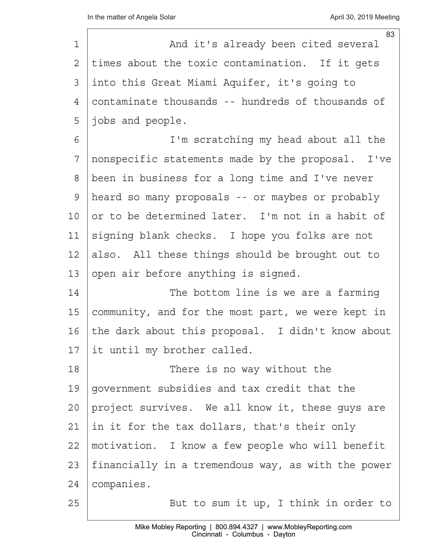|             | 83                                                 |
|-------------|----------------------------------------------------|
| $\mathbf 1$ | And it's already been cited several                |
| 2           | times about the toxic contamination. If it gets    |
| 3           | into this Great Miami Aquifer, it's going to       |
| 4           | contaminate thousands -- hundreds of thousands of  |
| 5           | jobs and people.                                   |
| 6           | I'm scratching my head about all the               |
| 7           | nonspecific statements made by the proposal. I've  |
| 8           | been in business for a long time and I've never    |
| 9           | heard so many proposals -- or maybes or probably   |
| 10          | or to be determined later. I'm not in a habit of   |
| 11          | signing blank checks. I hope you folks are not     |
| 12          | also. All these things should be brought out to    |
| 13          | open air before anything is signed.                |
| 14          | The bottom line is we are a farming                |
| 15          | community, and for the most part, we were kept in  |
| 16          | the dark about this proposal. I didn't know about  |
| 17          | it until my brother called.                        |
| 18          | There is no way without the                        |
| 19          | government subsidies and tax credit that the       |
| 20          | project survives. We all know it, these guys are   |
| 21          | in it for the tax dollars, that's their only       |
| 22          | motivation. I know a few people who will benefit   |
| 23          | financially in a tremendous way, as with the power |
| 24          | companies.                                         |
| 25          | But to sum it up, I think in order to              |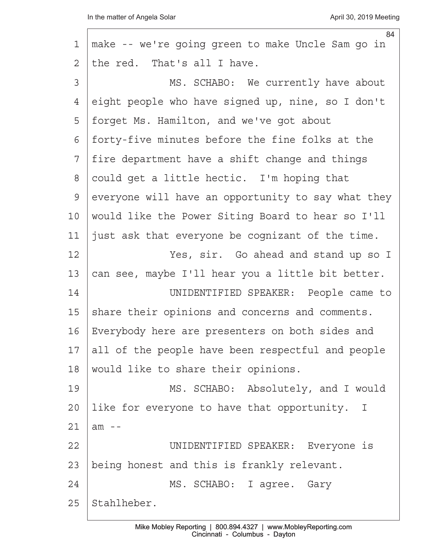$\Gamma$ 

|                | 84                                                 |
|----------------|----------------------------------------------------|
| 1              | make -- we're going green to make Uncle Sam go in  |
| $\overline{2}$ | the red. That's all I have.                        |
| 3              | MS. SCHABO: We currently have about                |
| 4              | eight people who have signed up, nine, so I don't  |
| 5              | forget Ms. Hamilton, and we've got about           |
| 6              | forty-five minutes before the fine folks at the    |
| 7              | fire department have a shift change and things     |
| 8              | could get a little hectic. I'm hoping that         |
| 9              | everyone will have an opportunity to say what they |
| 10             | would like the Power Siting Board to hear so I'll  |
| 11             | just ask that everyone be cognizant of the time.   |
| 12             | Yes, sir. Go ahead and stand up so I               |
| 13             | can see, maybe I'll hear you a little bit better.  |
| 14             | UNIDENTIFIED SPEAKER: People came to               |
| 15             | share their opinions and concerns and comments.    |
| 16             | Everybody here are presenters on both sides and    |
| 17             | all of the people have been respectful and people  |
| 18             | would like to share their opinions.                |
| 19             | MS. SCHABO: Absolutely, and I would                |
| 20             | like for everyone to have that opportunity. I      |
| 21             | $am - -$                                           |
| 22             | UNIDENTIFIED SPEAKER: Everyone is                  |
| 23             | being honest and this is frankly relevant.         |
| 24             | MS. SCHABO: I agree. Gary                          |
| 25             | Stahlheber.                                        |
|                |                                                    |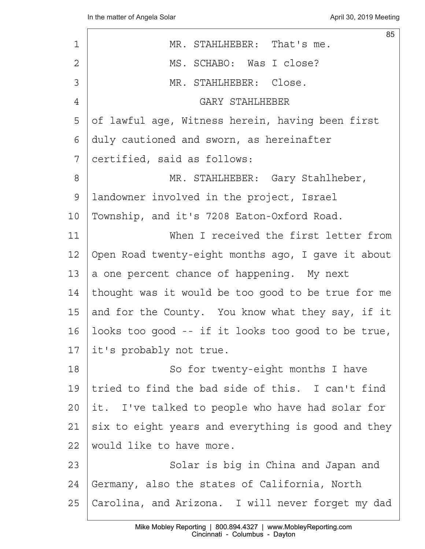| 1              | 85<br>MR. STAHLHEBER: That's me.                   |
|----------------|----------------------------------------------------|
| $\overline{2}$ | MS. SCHABO: Was I close?                           |
| 3              | MR. STAHLHEBER: Close.                             |
| 4              | GARY STAHLHEBER                                    |
| 5              | of lawful age, Witness herein, having been first   |
| 6              | duly cautioned and sworn, as hereinafter           |
| 7              | certified, said as follows:                        |
| 8              | MR. STAHLHEBER: Gary Stahlheber,                   |
| 9              | landowner involved in the project, Israel          |
| 10             | Township, and it's 7208 Eaton-Oxford Road.         |
| 11             | When I received the first letter from              |
| 12             | Open Road twenty-eight months ago, I gave it about |
| 13             | a one percent chance of happening. My next         |
| 14             | thought was it would be too good to be true for me |
| 15             | and for the County. You know what they say, if it  |
| 16             | looks too good -- if it looks too good to be true, |
| 17             | it's probably not true.                            |
| 18             | So for twenty-eight months I have                  |
| 19             | tried to find the bad side of this. I can't find   |
| 20             | it. I've talked to people who have had solar for   |
| 21             | six to eight years and everything is good and they |
| 22             | would like to have more.                           |
| 23             | Solar is big in China and Japan and                |
| 24             | Germany, also the states of California, North      |
| 25             | Carolina, and Arizona. I will never forget my dad  |
|                |                                                    |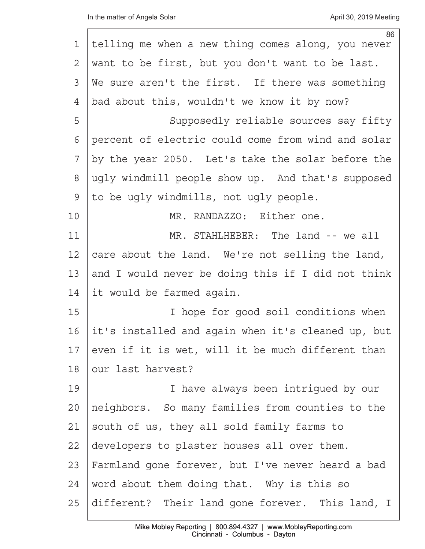|    | 86                                                 |
|----|----------------------------------------------------|
| 1  | telling me when a new thing comes along, you never |
| 2  | want to be first, but you don't want to be last.   |
| 3  | We sure aren't the first. If there was something   |
| 4  | bad about this, wouldn't we know it by now?        |
| 5  | Supposedly reliable sources say fifty              |
| 6  | percent of electric could come from wind and solar |
| 7  | by the year 2050. Let's take the solar before the  |
| 8  | ugly windmill people show up. And that's supposed  |
| 9  | to be ugly windmills, not ugly people.             |
| 10 | MR. RANDAZZO: Either one.                          |
| 11 | MR. STAHLHEBER: The land -- we all                 |
| 12 | care about the land. We're not selling the land,   |
| 13 | and I would never be doing this if I did not think |
| 14 | it would be farmed again.                          |
| 15 | I hope for good soil conditions when               |
| 16 | it's installed and again when it's cleaned up, but |
| 17 | even if it is wet, will it be much different than  |
| 18 | our last harvest?                                  |
| 19 | I have always been intrigued by our                |
| 20 | neighbors. So many families from counties to the   |
| 21 | south of us, they all sold family farms to         |
| 22 | developers to plaster houses all over them.        |
| 23 | Farmland gone forever, but I've never heard a bad  |
| 24 | word about them doing that. Why is this so         |
| 25 | different? Their land gone forever. This land, I   |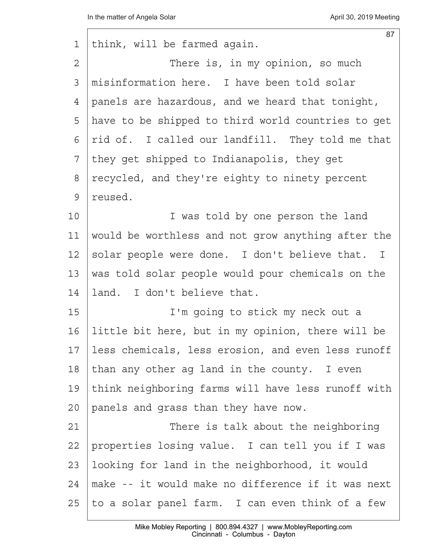$\Gamma$ 

| 1              | 87<br>think, will be farmed again.                 |
|----------------|----------------------------------------------------|
| $\overline{2}$ | There is, in my opinion, so much                   |
| 3              | misinformation here. I have been told solar        |
| 4              | panels are hazardous, and we heard that tonight,   |
| 5              | have to be shipped to third world countries to get |
| 6              | rid of. I called our landfill. They told me that   |
| 7              | they get shipped to Indianapolis, they get         |
| 8              | recycled, and they're eighty to ninety percent     |
| $\mathcal{G}$  | reused.                                            |
| 10             | I was told by one person the land                  |
| 11             | would be worthless and not grow anything after the |
| 12             | solar people were done. I don't believe that. I    |
| 13             | was told solar people would pour chemicals on the  |
| 14             | land. I don't believe that.                        |
| 15             | I'm going to stick my neck out a                   |
| 16             | little bit here, but in my opinion, there will be  |
| 17             | less chemicals, less erosion, and even less runoff |
| 18             | than any other ag land in the county. I even       |
| 19             | think neighboring farms will have less runoff with |
| 20             | panels and grass than they have now.               |
| 21             | There is talk about the neighboring                |
| 22             | properties losing value. I can tell you if I was   |
| 23             | looking for land in the neighborhood, it would     |
| 24             | make -- it would make no difference if it was next |
| 25             | to a solar panel farm. I can even think of a few   |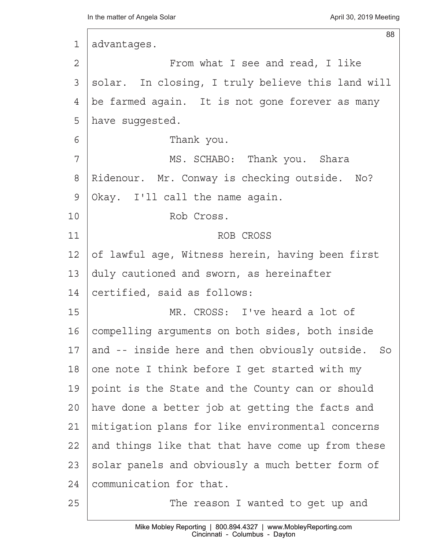| 1             | 88<br>advantages.                                 |
|---------------|---------------------------------------------------|
| 2             | From what I see and read, I like                  |
| 3             | solar. In closing, I truly believe this land will |
| 4             | be farmed again. It is not gone forever as many   |
| 5             | have suggested.                                   |
| 6             | Thank you.                                        |
| 7             | MS. SCHABO: Thank you. Shara                      |
| 8             | Ridenour. Mr. Conway is checking outside. No?     |
| $\mathcal{G}$ | Okay. I'll call the name again.                   |
| 10            | Rob Cross.                                        |
| 11            | ROB CROSS                                         |
| 12            | of lawful age, Witness herein, having been first  |
| 13            | duly cautioned and sworn, as hereinafter          |
| 14            | certified, said as follows:                       |
| 15            | MR. CROSS: I've heard a lot of                    |
| 16            | compelling arguments on both sides, both inside   |
| 17            | and -- inside here and then obviously outside. So |
| 18            | one note I think before I get started with my     |
| 19            | point is the State and the County can or should   |
| 20            | have done a better job at getting the facts and   |
| 21            | mitigation plans for like environmental concerns  |
| 22            | and things like that that have come up from these |
| 23            | solar panels and obviously a much better form of  |
| 24            | communication for that.                           |
| 25            | The reason I wanted to get up and                 |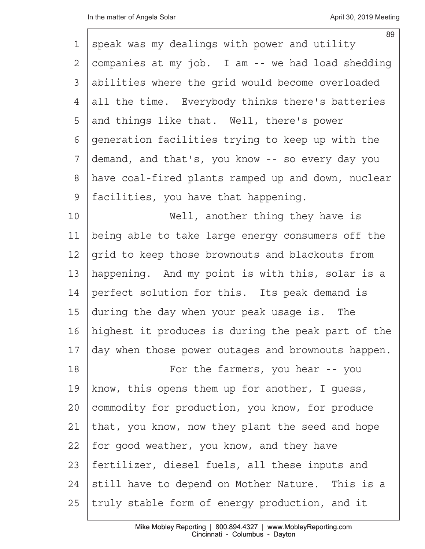| 1             | 89<br>speak was my dealings with power and utility |
|---------------|----------------------------------------------------|
| 2             | companies at my job. I am -- we had load shedding  |
| 3             | abilities where the grid would become overloaded   |
| 4             | all the time. Everybody thinks there's batteries   |
| 5             | and things like that. Well, there's power          |
| 6             | generation facilities trying to keep up with the   |
| 7             | demand, and that's, you know -- so every day you   |
| 8             | have coal-fired plants ramped up and down, nuclear |
| $\mathcal{G}$ | facilities, you have that happening.               |
| 10            | Well, another thing they have is                   |
| 11            | being able to take large energy consumers off the  |
| 12            | grid to keep those brownouts and blackouts from    |
| 13            | happening. And my point is with this, solar is a   |
| 14            | perfect solution for this. Its peak demand is      |
| 15            | during the day when your peak usage is. The        |
| 16            | highest it produces is during the peak part of the |
| 17            | day when those power outages and brownouts happen. |
| 18            | For the farmers, you hear -- you                   |
| 19            | know, this opens them up for another, I guess,     |
| 20            | commodity for production, you know, for produce    |
| 21            | that, you know, now they plant the seed and hope   |
| 22            | for good weather, you know, and they have          |
| 23            | fertilizer, diesel fuels, all these inputs and     |
| 24            | still have to depend on Mother Nature. This is a   |
| 25            | truly stable form of energy production, and it     |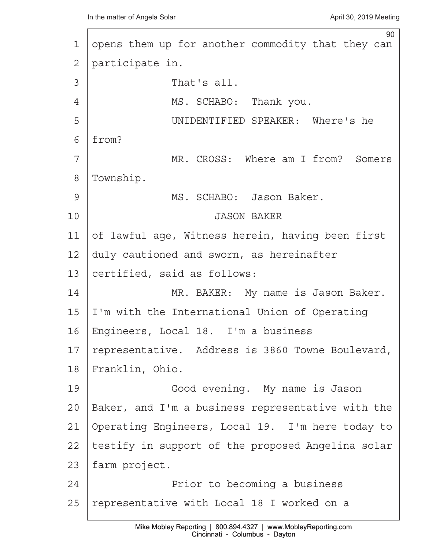90 1 opens them up for another commodity that they can 2 | participate in.  $\overline{3}$   $\overline{3}$   $\overline{1}$   $\overline{2}$   $\overline{1}$   $\overline{2}$   $\overline{1}$   $\overline{2}$   $\overline{1}$   $\overline{2}$   $\overline{1}$   $\overline{2}$   $\overline{1}$   $\overline{2}$   $\overline{1}$   $\overline{2}$   $\overline{1}$   $\overline{2}$   $\overline{1}$   $\overline{2}$   $\overline{1}$   $\overline{2}$   $\overline{1}$   $\overline{2}$   $\overline{$ 4 | MS. SCHABO: Thank you. 5 | UNIDENTIFIED SPEAKER: Where's he  $6$  | from? 7 | MR. CROSS: Where am I from? Somers 8 | Township. 9 | MS. SCHABO: Jason Baker. 10<sup>1</sup> · · · · · · · · · · · · · · · · · JASON BAKER 11  $\sigma$  lawful age, Witness herein, having been first  $12$  duly cautioned and sworn, as hereinafter 13 certified, said as follows: 14· · · · · · · ·MR. BAKER:· My name is Jason Baker.  $15$  I'm with the International Union of Operating 16 | Engineers, Local 18. I'm a business 17 | representative. Address is 3860 Towne Boulevard, 18 Franklin, Ohio. 19 | · · · · · · Good evening. My name is Jason 20  $\beta$  Baker, and I'm a business representative with the 21 Operating Engineers, Local 19. I'm here today to 22 | testify in support of the proposed Angelina solar 23 | farm project. 24 a contracter in the becoming a business 24 and the Prior to becoming a business 25 | representative with Local 18 I worked on a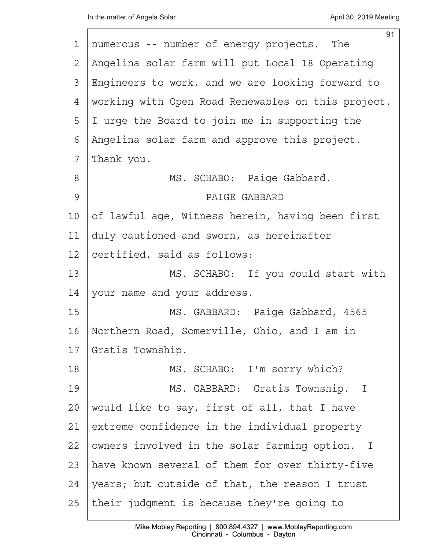|    | 91                                                 |
|----|----------------------------------------------------|
| 1  | numerous -- number of energy projects. The         |
| 2  | Angelina solar farm will put Local 18 Operating    |
| 3  | Engineers to work, and we are looking forward to   |
| 4  | working with Open Road Renewables on this project. |
| 5  | I urge the Board to join me in supporting the      |
| 6  | Angelina solar farm and approve this project.      |
| 7  | Thank you.                                         |
| 8  | MS. SCHABO: Paige Gabbard.                         |
| 9  | PAIGE GABBARD                                      |
| 10 | of lawful age, Witness herein, having been first   |
| 11 | duly cautioned and sworn, as hereinafter           |
| 12 | certified, said as follows:                        |
| 13 | MS. SCHABO: If you could start with                |
| 14 | your name and your address.                        |
| 15 | MS. GABBARD: Paige Gabbard, 4565                   |
| 16 | Northern Road, Somerville, Ohio, and I am in       |
| 17 | Gratis Township.                                   |
| 18 | MS. SCHABO: I'm sorry which?                       |
| 19 | MS. GABBARD: Gratis Township. I                    |
| 20 | would like to say, first of all, that I have       |
| 21 | extreme confidence in the individual property      |
| 22 | owners involved in the solar farming option. I     |
| 23 | have known several of them for over thirty-five    |
| 24 | years; but outside of that, the reason I trust     |
| 25 | their judgment is because they're going to         |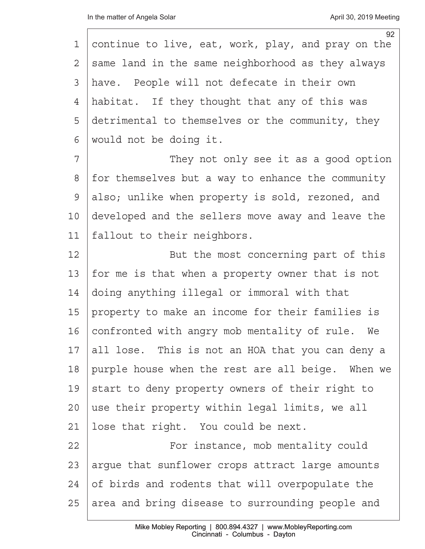|              | 92                                                 |
|--------------|----------------------------------------------------|
| 1            | continue to live, eat, work, play, and pray on the |
| $\mathbf{2}$ | same land in the same neighborhood as they always  |
| 3            | have. People will not defecate in their own        |
| 4            | habitat. If they thought that any of this was      |
| 5            | detrimental to themselves or the community, they   |
| 6            | would not be doing it.                             |
| 7            | They not only see it as a good option              |
| 8            | for themselves but a way to enhance the community  |
| 9            | also; unlike when property is sold, rezoned, and   |
| 10           | developed and the sellers move away and leave the  |
| 11           | fallout to their neighbors.                        |
| 12           | But the most concerning part of this               |
| 13           | for me is that when a property owner that is not   |
| 14           | doing anything illegal or immoral with that        |
| 15           | property to make an income for their families is   |
| 16           | confronted with angry mob mentality of rule.<br>We |
| 17           | all lose. This is not an HOA that you can deny a   |
| 18           | purple house when the rest are all beige. When we  |
| 19           | start to deny property owners of their right to    |
| $20 \,$      | use their property within legal limits, we all     |
| 21           | lose that right. You could be next.                |
| 22           | For instance, mob mentality could                  |
| 23           | argue that sunflower crops attract large amounts   |
| 24           | of birds and rodents that will overpopulate the    |
| 25           | area and bring disease to surrounding people and   |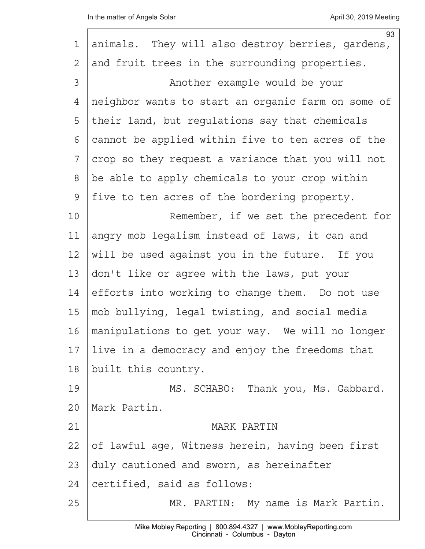|    | 93                                                 |
|----|----------------------------------------------------|
| 1  | animals. They will also destroy berries, gardens,  |
| 2  | and fruit trees in the surrounding properties.     |
| 3  | Another example would be your                      |
| 4  | neighbor wants to start an organic farm on some of |
| 5  | their land, but requlations say that chemicals     |
| 6  | cannot be applied within five to ten acres of the  |
| 7  | crop so they request a variance that you will not  |
| 8  | be able to apply chemicals to your crop within     |
| 9  | five to ten acres of the bordering property.       |
| 10 | Remember, if we set the precedent for              |
| 11 | angry mob legalism instead of laws, it can and     |
| 12 | will be used against you in the future. If you     |
| 13 | don't like or agree with the laws, put your        |
| 14 | efforts into working to change them. Do not use    |
| 15 | mob bullying, legal twisting, and social media     |
| 16 | manipulations to get your way. We will no longer   |
| 17 | live in a democracy and enjoy the freedoms that    |
| 18 | built this country.                                |
| 19 | MS. SCHABO: Thank you, Ms. Gabbard.                |
| 20 | Mark Partin.                                       |
| 21 | MARK PARTIN                                        |
| 22 | of lawful age, Witness herein, having been first   |
| 23 | duly cautioned and sworn, as hereinafter           |
| 24 | certified, said as follows:                        |
| 25 | MR. PARTIN: My name is Mark Partin.                |
|    |                                                    |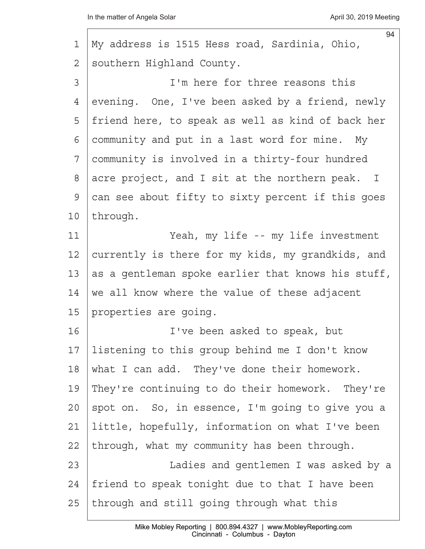| 1  | 94<br>My address is 1515 Hess road, Sardinia, Ohio, |
|----|-----------------------------------------------------|
| 2  | southern Highland County.                           |
| 3  | I'm here for three reasons this                     |
| 4  | evening. One, I've been asked by a friend, newly    |
| 5  | friend here, to speak as well as kind of back her   |
| 6  | community and put in a last word for mine. My       |
| 7  | community is involved in a thirty-four hundred      |
| 8  | acre project, and I sit at the northern peak. I     |
| 9  | can see about fifty to sixty percent if this goes   |
| 10 | through.                                            |
| 11 | Yeah, my life -- my life investment                 |
| 12 | currently is there for my kids, my grandkids, and   |
| 13 | as a gentleman spoke earlier that knows his stuff,  |
| 14 | we all know where the value of these adjacent       |
| 15 | properties are going.                               |
| 16 | I've been asked to speak, but                       |
| 17 | listening to this group behind me I don't know      |
| 18 | what I can add. They've done their homework.        |
| 19 | They're continuing to do their homework. They're    |
| 20 | spot on. So, in essence, I'm going to give you a    |
| 21 | little, hopefully, information on what I've been    |
| 22 | through, what my community has been through.        |
| 23 | Ladies and gentlemen I was asked by a               |
| 24 | friend to speak tonight due to that I have been     |
| 25 | through and still going through what this           |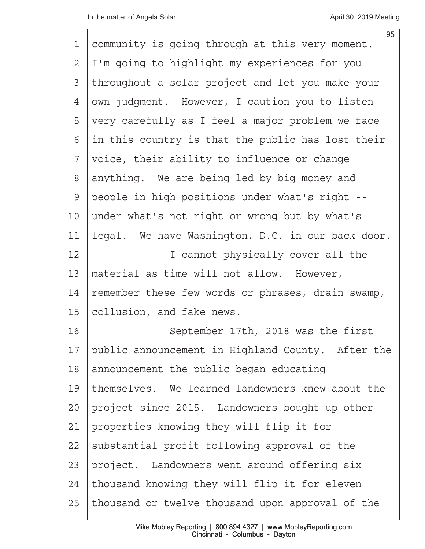|                | 95                                                |
|----------------|---------------------------------------------------|
| 1              | community is going through at this very moment.   |
| $\overline{2}$ | I'm going to highlight my experiences for you     |
| 3              | throughout a solar project and let you make your  |
| 4              | own judgment. However, I caution you to listen    |
| 5              | very carefully as I feel a major problem we face  |
| 6              | in this country is that the public has lost their |
| 7              | voice, their ability to influence or change       |
| $8\,$          | anything. We are being led by big money and       |
| $\mathcal{G}$  | people in high positions under what's right --    |
| 10             | under what's not right or wrong but by what's     |
| 11             | legal. We have Washington, D.C. in our back door. |
| 12             | I cannot physically cover all the                 |
| 13             | material as time will not allow. However,         |
| 14             | remember these few words or phrases, drain swamp, |
| 15             | collusion, and fake news.                         |
| 16             | September 17th, 2018 was the first                |
| 17             | public announcement in Highland County. After the |
| 18             | announcement the public began educating           |
| 19             | themselves. We learned landowners knew about the  |
| 20             | project since 2015. Landowners bought up other    |
| 21             | properties knowing they will flip it for          |
| 22             | substantial profit following approval of the      |
| 23             | project. Landowners went around offering six      |
| 24             | thousand knowing they will flip it for eleven     |
| 25             | thousand or twelve thousand upon approval of the  |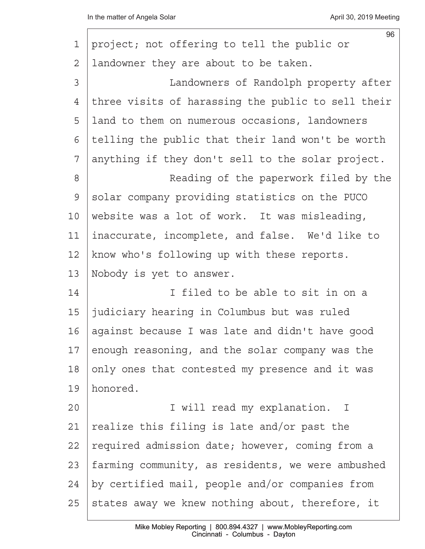|         | 96                                                 |
|---------|----------------------------------------------------|
| 1       | project; not offering to tell the public or        |
| 2       | landowner they are about to be taken.              |
| 3       | Landowners of Randolph property after              |
| 4       | three visits of harassing the public to sell their |
| 5       | land to them on numerous occasions, landowners     |
| 6       | telling the public that their land won't be worth  |
| 7       | anything if they don't sell to the solar project.  |
| $8\,$   | Reading of the paperwork filed by the              |
| 9       | solar company providing statistics on the PUCO     |
| $10 \,$ | website was a lot of work. It was misleading,      |
| 11      | inaccurate, incomplete, and false. We'd like to    |
| 12      | know who's following up with these reports.        |
| 13      | Nobody is yet to answer.                           |
| 14      | I filed to be able to sit in on a                  |
| 15      | judiciary hearing in Columbus but was ruled        |
| 16      | against because I was late and didn't have good    |
| 17      | enough reasoning, and the solar company was the    |
| 18      | only ones that contested my presence and it was    |
| 19      | honored.                                           |
| 20      | I will read my explanation. I                      |
| 21      | realize this filing is late and/or past the        |
| 22      | required admission date; however, coming from a    |
| 23      | farming community, as residents, we were ambushed  |
| 24      | by certified mail, people and/or companies from    |
| 25      | states away we knew nothing about, therefore, it   |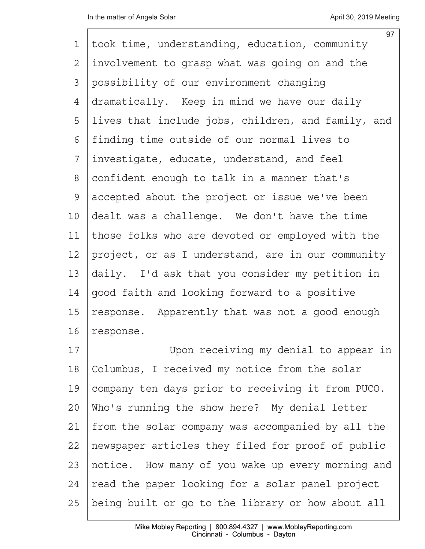| 1               | 97<br>took time, understanding, education, community |
|-----------------|------------------------------------------------------|
| $\overline{2}$  | involvement to grasp what was going on and the       |
| 3               | possibility of our environment changing              |
| 4               | dramatically. Keep in mind we have our daily         |
| 5               | lives that include jobs, children, and family, and   |
| 6               | finding time outside of our normal lives to          |
| 7               | investigate, educate, understand, and feel           |
| 8               | confident enough to talk in a manner that's          |
| 9               | accepted about the project or issue we've been       |
| 10 <sub>o</sub> | dealt was a challenge. We don't have the time        |
| 11              | those folks who are devoted or employed with the     |
| 12              | project, or as I understand, are in our community    |
| 13              | daily. I'd ask that you consider my petition in      |
| 14              | good faith and looking forward to a positive         |
| 15              | response. Apparently that was not a good enough      |
| 16              | response.                                            |
|                 |                                                      |

17 | Upon receiving my denial to appear in 18 | Columbus, I received my notice from the solar 19 | company ten days prior to receiving it from PUCO.  $20$  Who's running the show here? My denial letter  $21$  from the solar company was accompanied by all the 22 | newspaper articles they filed for proof of public 23 | notice. How many of you wake up every morning and  $24$  read the paper looking for a solar panel project 25 being built or go to the library or how about all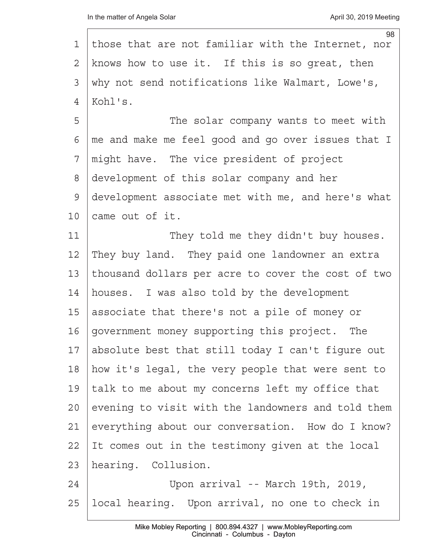| 1  | 98<br>those that are not familiar with the Internet, nor |
|----|----------------------------------------------------------|
| 2  | knows how to use it. If this is so great, then           |
|    |                                                          |
| 3  | why not send notifications like Walmart, Lowe's,         |
| 4  | Kohl's.                                                  |
| 5  | The solar company wants to meet with                     |
| 6  | me and make me feel good and go over issues that I       |
| 7  | might have. The vice president of project                |
| 8  | development of this solar company and her                |
| 9  | development associate met with me, and here's what       |
| 10 | came out of it.                                          |
| 11 | They told me they didn't buy houses.                     |
| 12 | They buy land. They paid one landowner an extra          |
| 13 | thousand dollars per acre to cover the cost of two       |
| 14 | houses. I was also told by the development               |
| 15 | associate that there's not a pile of money or            |
| 16 | government money supporting this project. The            |
| 17 | absolute best that still today I can't figure out        |
| 18 | how it's legal, the very people that were sent to        |
| 19 | talk to me about my concerns left my office that         |
| 20 | evening to visit with the landowners and told them       |
| 21 | everything about our conversation. How do I know?        |
| 22 | It comes out in the testimony given at the local         |
| 23 | hearing. Collusion.                                      |
| 24 | Upon arrival -- March 19th, 2019,                        |
| 25 | local hearing. Upon arrival, no one to check in          |
|    |                                                          |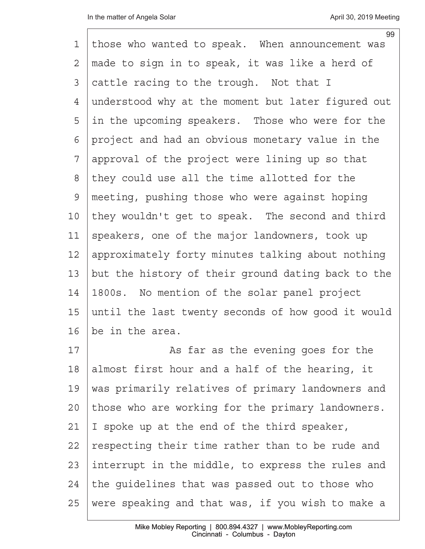|               | 99                                                 |
|---------------|----------------------------------------------------|
| 1             | those who wanted to speak. When announcement was   |
| 2             | made to sign in to speak, it was like a herd of    |
| 3             | cattle racing to the trough. Not that I            |
| 4             | understood why at the moment but later figured out |
| 5             | in the upcoming speakers. Those who were for the   |
| 6             | project and had an obvious monetary value in the   |
| 7             | approval of the project were lining up so that     |
| 8             | they could use all the time allotted for the       |
| $\mathcal{G}$ | meeting, pushing those who were against hoping     |
| 10            | they wouldn't get to speak. The second and third   |
| 11            | speakers, one of the major landowners, took up     |
| 12            | approximately forty minutes talking about nothing  |
| 13            | but the history of their ground dating back to the |
| 14            | 1800s. No mention of the solar panel project       |
| 15            | until the last twenty seconds of how good it would |
| 16            | be in the area.                                    |
| 17            | As far as the evening goes for the                 |

18 almost first hour and a half of the hearing, it 19 | was primarily relatives of primary landowners and 20 those who are working for the primary landowners. 21 | I spoke up at the end of the third speaker, 22 respecting their time rather than to be rude and 23 interrupt in the middle, to express the rules and  $24$  the quidelines that was passed out to those who 25 | were speaking and that was, if you wish to make a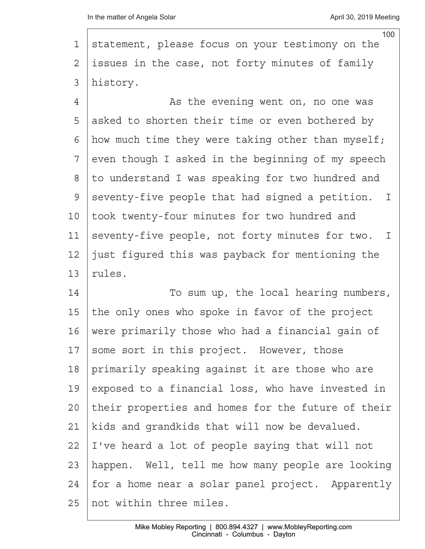100 1 statement, please focus on your testimony on the  $2$  issues in the case, not forty minutes of family 3 | history.

4 a sthe evening went on, no one was 5 asked to shorten their time or even bothered by  $6$  how much time they were taking other than myself;  $7$  even though I asked in the beginning of my speech 8 | to understand I was speaking for two hundred and  $9$  seventy-five people that had signed a petition. I 10 | took twenty-four minutes for two hundred and 11 seventy-five people, not forty minutes for two. I 12  $\vert$  just figured this was payback for mentioning the  $13$  rules.

14 To sum up, the local hearing numbers, 15 the only ones who spoke in favor of the project 16 | were primarily those who had a financial gain of  $17$  some sort in this project. However, those 18 primarily speaking against it are those who are 19 exposed to a financial loss, who have invested in 20 their properties and homes for the future of their  $21$  | kids and grandkids that will now be devalued.  $22$  | I've heard a lot of people saying that will not 23 | happen. Well, tell me how many people are looking 24 | for a home near a solar panel project. Apparently 25· not within three miles.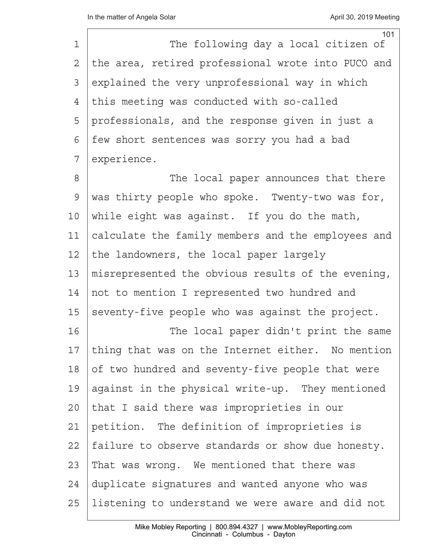| 1  | 101<br>The following day a local citizen of        |
|----|----------------------------------------------------|
| 2  | the area, retired professional wrote into PUCO and |
| 3  | explained the very unprofessional way in which     |
|    |                                                    |
| 4  | this meeting was conducted with so-called          |
| 5  | professionals, and the response given in just a    |
| 6  | few short sentences was sorry you had a bad        |
| 7  | experience.                                        |
| 8  | The local paper announces that there               |
| 9  | was thirty people who spoke. Twenty-two was for,   |
| 10 | while eight was against. If you do the math,       |
| 11 | calculate the family members and the employees and |
| 12 | the landowners, the local paper largely            |
| 13 | misrepresented the obvious results of the evening, |
| 14 | not to mention I represented two hundred and       |
| 15 | seventy-five people who was against the project.   |
| 16 | The local paper didn't print the same              |
| 17 | thing that was on the Internet either. No mention  |
| 18 | of two hundred and seventy-five people that were   |
| 19 | against in the physical write-up. They mentioned   |
| 20 | that I said there was improprieties in our         |
| 21 | petition. The definition of improprieties is       |
| 22 | failure to observe standards or show due honesty.  |
| 23 | That was wrong. We mentioned that there was        |
| 24 | duplicate signatures and wanted anyone who was     |
| 25 | listening to understand we were aware and did not  |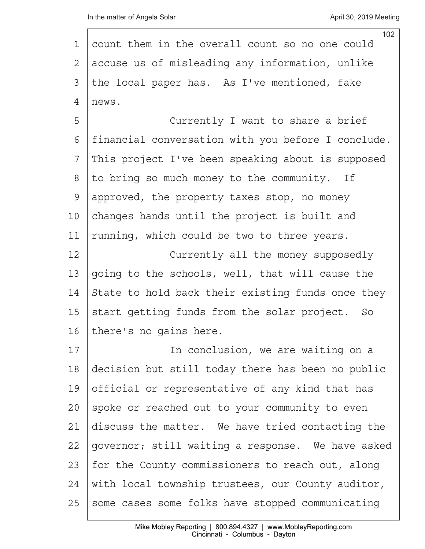|              | 102                                                |
|--------------|----------------------------------------------------|
| 1            | count them in the overall count so no one could    |
| $\mathbf{2}$ | accuse us of misleading any information, unlike    |
| 3            | the local paper has. As I've mentioned, fake       |
| 4            | news.                                              |
| 5            | Currently I want to share a brief                  |
| 6            | financial conversation with you before I conclude. |
| 7            | This project I've been speaking about is supposed  |
| $8\,$        | to bring so much money to the community. If        |
| 9            | approved, the property taxes stop, no money        |
| 10           | changes hands until the project is built and       |
| 11           | running, which could be two to three years.        |
| 12           | Currently all the money supposedly                 |
| 13           | going to the schools, well, that will cause the    |
| 14           | State to hold back their existing funds once they  |
| 15           | start getting funds from the solar project. So     |
| 16           | there's no gains here.                             |
| 17           | In conclusion, we are waiting on a                 |
| 18           | decision but still today there has been no public  |
| 19           | official or representative of any kind that has    |
| 20           | spoke or reached out to your community to even     |
| 21           | discuss the matter. We have tried contacting the   |
| 22           | governor; still waiting a response. We have asked  |
| 23           | for the County commissioners to reach out, along   |
| 24           | with local township trustees, our County auditor,  |
| 25           | some cases some folks have stopped communicating   |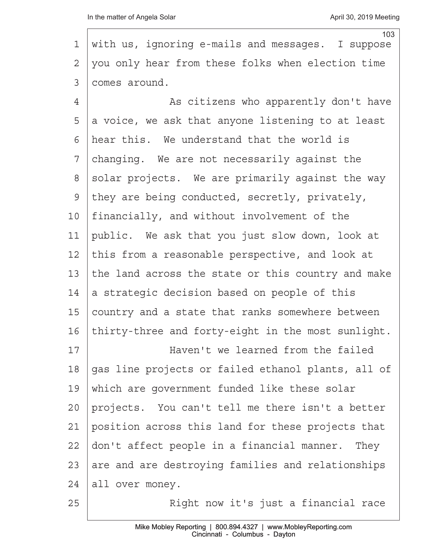|                | 103                                                |
|----------------|----------------------------------------------------|
| 1              | with us, ignoring e-mails and messages. I suppose  |
| 2              | you only hear from these folks when election time  |
| 3              | comes around.                                      |
| $\overline{4}$ | As citizens who apparently don't have              |
| 5              | a voice, we ask that anyone listening to at least  |
| 6              | hear this. We understand that the world is         |
| 7              | changing. We are not necessarily against the       |
| 8              | solar projects. We are primarily against the way   |
| 9              | they are being conducted, secretly, privately,     |
| 10             | financially, and without involvement of the        |
| 11             | public. We ask that you just slow down, look at    |
| 12             | this from a reasonable perspective, and look at    |
| 13             | the land across the state or this country and make |
| 14             | a strategic decision based on people of this       |
| 15             | country and a state that ranks somewhere between   |
| 16             | thirty-three and forty-eight in the most sunlight. |
| 17             | Haven't we learned from the failed                 |
| 18             | gas line projects or failed ethanol plants, all of |
| 19             | which are government funded like these solar       |
| 20             | projects. You can't tell me there isn't a better   |
| 21             | position across this land for these projects that  |
| 22             | don't affect people in a financial manner. They    |
| 23             | are and are destroying families and relationships  |
| 24             | all over money.                                    |
| 25             | Right now it's just a financial race               |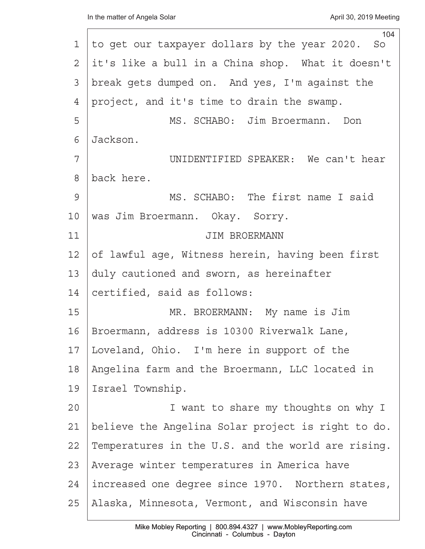| 104                                                |
|----------------------------------------------------|
| to get our taxpayer dollars by the year 2020. So   |
| it's like a bull in a China shop. What it doesn't  |
| break gets dumped on. And yes, I'm against the     |
| project, and it's time to drain the swamp.         |
| MS. SCHABO: Jim Broermann. Don                     |
| Jackson.                                           |
| UNIDENTIFIED SPEAKER: We can't hear                |
| back here.                                         |
| MS. SCHABO: The first name I said                  |
| was Jim Broermann. Okay. Sorry.                    |
| JIM BROERMANN                                      |
| of lawful age, Witness herein, having been first   |
| duly cautioned and sworn, as hereinafter           |
| certified, said as follows:                        |
| MR. BROERMANN: My name is Jim                      |
| Broermann, address is 10300 Riverwalk Lane,        |
| Loveland, Ohio. I'm here in support of the         |
| Angelina farm and the Broermann, LLC located in    |
| Israel Township.                                   |
| I want to share my thoughts on why I               |
| believe the Angelina Solar project is right to do. |
| Temperatures in the U.S. and the world are rising. |
| Average winter temperatures in America have        |
| increased one degree since 1970. Northern states,  |
| Alaska, Minnesota, Vermont, and Wisconsin have     |
|                                                    |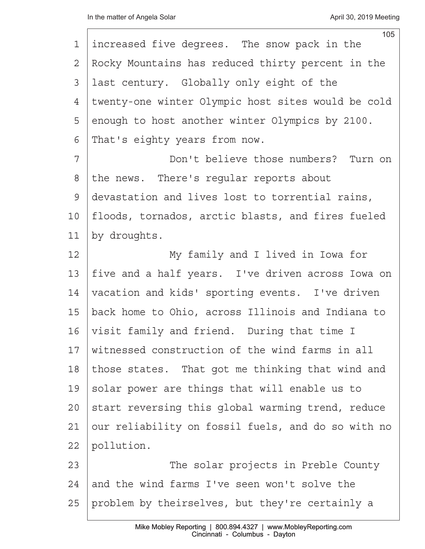|             | 105                                                |
|-------------|----------------------------------------------------|
| $\mathbf 1$ | increased five degrees. The snow pack in the       |
| 2           | Rocky Mountains has reduced thirty percent in the  |
| 3           | last century. Globally only eight of the           |
| 4           | twenty-one winter Olympic host sites would be cold |
| 5           | enough to host another winter Olympics by 2100.    |
| 6           | That's eighty years from now.                      |
| 7           | Don't believe those numbers? Turn on               |
| 8           | the news. There's regular reports about            |
| 9           | devastation and lives lost to torrential rains,    |
| 10          | floods, tornados, arctic blasts, and fires fueled  |
| 11          | by droughts.                                       |
| 12          | My family and I lived in Iowa for                  |
| 13          | five and a half years. I've driven across Iowa on  |
| 14          | vacation and kids' sporting events. I've driven    |
| 15          | back home to Ohio, across Illinois and Indiana to  |
| 16          | visit family and friend. During that time I        |
| 17          | witnessed construction of the wind farms in all    |
| 18          | those states. That got me thinking that wind and   |
| 19          | solar power are things that will enable us to      |
| 20          | start reversing this global warming trend, reduce  |
| 21          | our reliability on fossil fuels, and do so with no |
| 22          | pollution.                                         |
| 23          | The solar projects in Preble County                |
| 24          | and the wind farms I've seen won't solve the       |
| 25          | problem by theirselves, but they're certainly a    |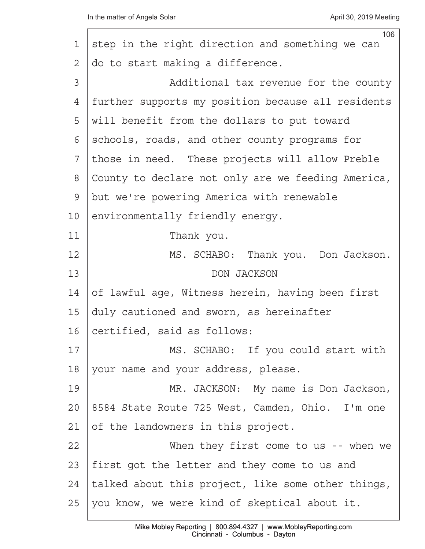|    | 106                                                |
|----|----------------------------------------------------|
| 1  | step in the right direction and something we can   |
| 2  | do to start making a difference.                   |
| 3  | Additional tax revenue for the county              |
| 4  | further supports my position because all residents |
| 5  | will benefit from the dollars to put toward        |
| 6  | schools, roads, and other county programs for      |
| 7  | those in need. These projects will allow Preble    |
| 8  | County to declare not only are we feeding America, |
| 9  | but we're powering America with renewable          |
| 10 | environmentally friendly energy.                   |
| 11 | Thank you.                                         |
| 12 | MS. SCHABO: Thank you. Don Jackson.                |
| 13 | DON JACKSON                                        |
| 14 | of lawful age, Witness herein, having been first   |
| 15 | duly cautioned and sworn, as hereinafter           |
| 16 | certified, said as follows:                        |
| 17 | MS. SCHABO: If you could start with                |
| 18 | your name and your address, please.                |
| 19 | MR. JACKSON: My name is Don Jackson,               |
| 20 | 8584 State Route 725 West, Camden, Ohio. I'm one   |
| 21 | of the landowners in this project.                 |
| 22 | When they first come to us -- when we              |
| 23 | first got the letter and they come to us and       |
| 24 | talked about this project, like some other things, |
| 25 | you know, we were kind of skeptical about it.      |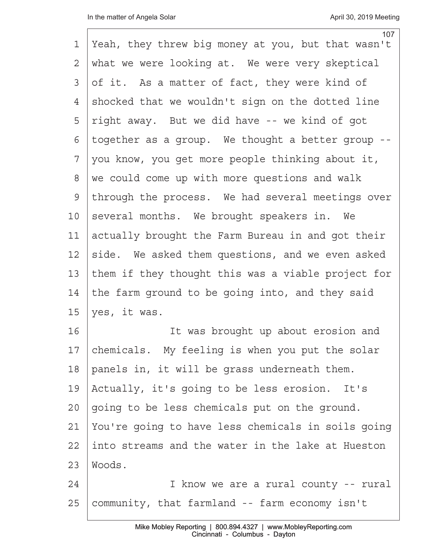| 1             | 107<br>Yeah, they threw big money at you, but that wasn't |
|---------------|-----------------------------------------------------------|
| 2             | what we were looking at. We were very skeptical           |
| 3             | of it. As a matter of fact, they were kind of             |
| 4             | shocked that we wouldn't sign on the dotted line          |
| 5             | right away. But we did have -- we kind of got             |
| 6             | together as a group. We thought a better group --         |
| 7             | you know, you get more people thinking about it,          |
| 8             | we could come up with more questions and walk             |
| $\mathcal{G}$ | through the process. We had several meetings over         |
| 10            | several months. We brought speakers in. We                |
| 11            | actually brought the Farm Bureau in and got their         |
| 12            | side. We asked them questions, and we even asked          |
| 13            | them if they thought this was a viable project for        |
| 14            | the farm ground to be going into, and they said           |
| 15            | yes, it was.                                              |
| 16            | It was brought up about erosion and                       |
| 17            | chemicals. My feeling is when you put the solar           |
| 18            | panels in, it will be grass underneath them.              |
| 19            | Actually, it's going to be less erosion. It's             |
| 20            | going to be less chemicals put on the ground.             |
| 21            | You're going to have less chemicals in soils going        |
| 22            | into streams and the water in the lake at Hueston         |
| 23            | Woods.                                                    |
| 24            | I know we are a rural county -- rural                     |
| 25            | community, that farmland -- farm economy isn't            |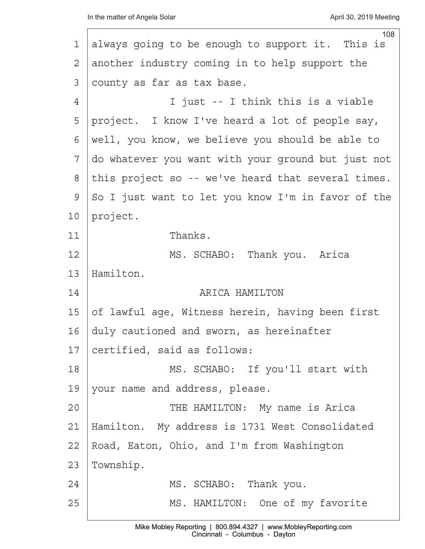| 108<br>always going to be enough to support it. This is |
|---------------------------------------------------------|
| another industry coming in to help support the          |
| county as far as tax base.                              |
| I just -- I think this is a viable                      |
| project. I know I've heard a lot of people say,         |
| well, you know, we believe you should be able to        |
| do whatever you want with your ground but just not      |
| this project so -- we've heard that several times.      |
| So I just want to let you know I'm in favor of the      |
| project.                                                |
| Thanks.                                                 |
| MS. SCHABO: Thank you. Arica                            |
| Hamilton.                                               |
| ARICA HAMILTON                                          |
| of lawful age, Witness herein, having been first        |
| duly cautioned and sworn, as hereinafter                |
| certified, said as follows:                             |
| MS. SCHABO: If you'll start with                        |
| your name and address, please.                          |
| THE HAMILTON: My name is Arica                          |
| Hamilton. My address is 1731 West Consolidated          |
| Road, Eaton, Ohio, and I'm from Washington              |
| Township.                                               |
| MS. SCHABO: Thank you.                                  |
| MS. HAMILTON: One of my favorite                        |
|                                                         |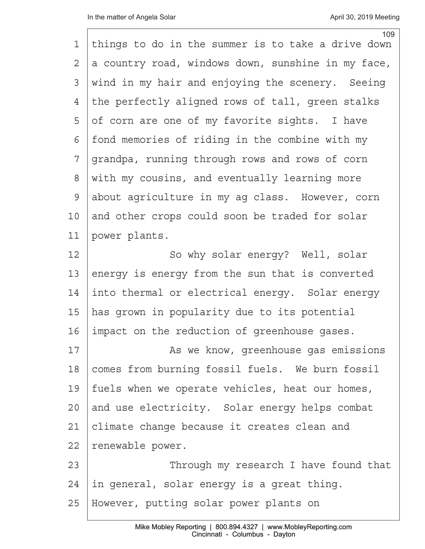| 1             | 109<br>things to do in the summer is to take a drive down |
|---------------|-----------------------------------------------------------|
| 2             | a country road, windows down, sunshine in my face,        |
| 3             | wind in my hair and enjoying the scenery. Seeing          |
| 4             | the perfectly aligned rows of tall, green stalks          |
| 5             | of corn are one of my favorite sights. I have             |
| 6             | fond memories of riding in the combine with my            |
| 7             | grandpa, running through rows and rows of corn            |
| 8             | with my cousins, and eventually learning more             |
| $\mathcal{G}$ | about agriculture in my ag class. However, corn           |
| 10            | and other crops could soon be traded for solar            |
| 11            | power plants.                                             |
| 12            | So why solar energy? Well, solar                          |
| 13            | energy is energy from the sun that is converted           |
| 14            | into thermal or electrical energy. Solar energy           |
| 15            | has grown in popularity due to its potential              |
| 16            | impact on the reduction of greenhouse gases.              |
| 17            | As we know, greenhouse gas emissions                      |
| 18            | comes from burning fossil fuels. We burn fossil           |
| 19            | fuels when we operate vehicles, heat our homes,           |
| 20            | and use electricity. Solar energy helps combat            |
| 21            | climate change because it creates clean and               |
| 22            | renewable power.                                          |
| 23            | Through my research I have found that                     |
| 24            | in general, solar energy is a great thing.                |
| 25            | However, putting solar power plants on                    |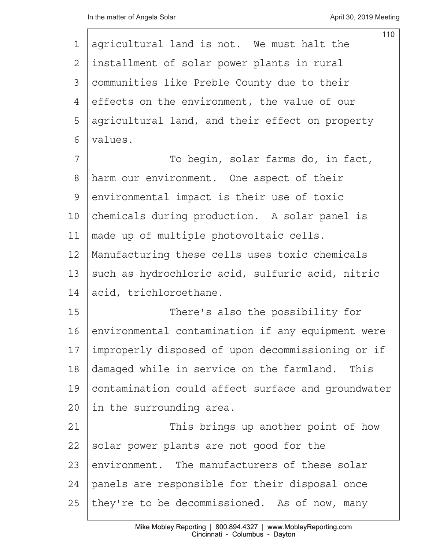|               | 110                                                |
|---------------|----------------------------------------------------|
| 1             | agricultural land is not. We must halt the         |
| 2             | installment of solar power plants in rural         |
| 3             | communities like Preble County due to their        |
| 4             | effects on the environment, the value of our       |
| 5             | agricultural land, and their effect on property    |
| 6             | values.                                            |
| 7             | To begin, solar farms do, in fact,                 |
| 8             | harm our environment. One aspect of their          |
| $\mathcal{G}$ | environmental impact is their use of toxic         |
| 10            | chemicals during production. A solar panel is      |
| 11            | made up of multiple photovoltaic cells.            |
| 12            | Manufacturing these cells uses toxic chemicals     |
| 13            | such as hydrochloric acid, sulfuric acid, nitric   |
| 14            | acid, trichloroethane.                             |
| 15            | There's also the possibility for                   |
| 16            | environmental contamination if any equipment were  |
| 17            | improperly disposed of upon decommissioning or if  |
| 18            | damaged while in service on the farmland. This     |
| 19            | contamination could affect surface and groundwater |
| 20            | in the surrounding area.                           |
| 21            | This brings up another point of how                |
| 22            | solar power plants are not good for the            |
| 23            | environment. The manufacturers of these solar      |
| 24            | panels are responsible for their disposal once     |
| 25            | they're to be decommissioned. As of now, many      |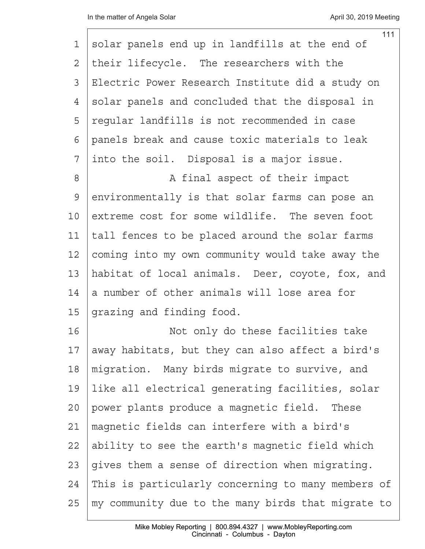|                | 111                                                |
|----------------|----------------------------------------------------|
| 1              | solar panels end up in landfills at the end of     |
| $\overline{2}$ | their lifecycle. The researchers with the          |
| 3              | Electric Power Research Institute did a study on   |
| 4              | solar panels and concluded that the disposal in    |
| 5              | reqular landfills is not recommended in case       |
| 6              | panels break and cause toxic materials to leak     |
| 7              | into the soil. Disposal is a major issue.          |
| $8\,$          | A final aspect of their impact                     |
| $\mathcal{G}$  | environmentally is that solar farms can pose an    |
| 10             | extreme cost for some wildlife. The seven foot     |
| 11             | tall fences to be placed around the solar farms    |
| 12             | coming into my own community would take away the   |
| 13             | habitat of local animals. Deer, coyote, fox, and   |
| 14             | a number of other animals will lose area for       |
| 15             | grazing and finding food.                          |
| 16             | Not only do these facilities take                  |
| 17             | away habitats, but they can also affect a bird's   |
| 18             | migration. Many birds migrate to survive, and      |
| 19             | like all electrical generating facilities, solar   |
| 20             | power plants produce a magnetic field. These       |
| 21             | magnetic fields can interfere with a bird's        |
| 22             | ability to see the earth's magnetic field which    |
| 23             | gives them a sense of direction when migrating.    |
| 24             | This is particularly concerning to many members of |
| 25             | my community due to the many birds that migrate to |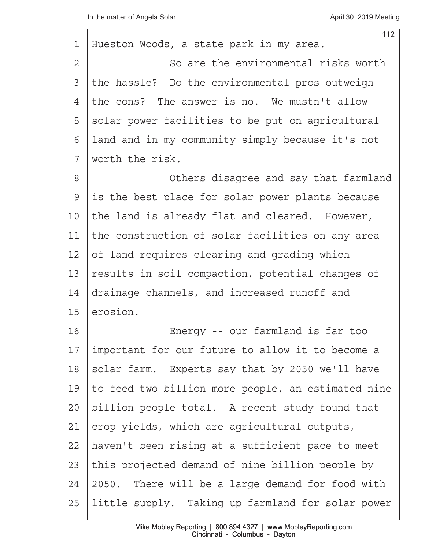$\Gamma$ 

| 1       | 112<br>Hueston Woods, a state park in my area.     |
|---------|----------------------------------------------------|
| 2       | So are the environmental risks worth               |
| 3       | the hassle? Do the environmental pros outweigh     |
| 4       | the cons? The answer is no. We mustn't allow       |
| 5       | solar power facilities to be put on agricultural   |
| 6       | land and in my community simply because it's not   |
| 7       | worth the risk.                                    |
| 8       | Others disagree and say that farmland              |
| 9       | is the best place for solar power plants because   |
| 10      | the land is already flat and cleared. However,     |
| 11      | the construction of solar facilities on any area   |
| 12      | of land requires clearing and grading which        |
| 13      | results in soil compaction, potential changes of   |
| 14      | drainage channels, and increased runoff and        |
| 15      | erosion.                                           |
| 16      | Energy -- our farmland is far too                  |
| 17      | important for our future to allow it to become a   |
| 18      | solar farm. Experts say that by 2050 we'll have    |
| 19      | to feed two billion more people, an estimated nine |
| $20 \,$ | billion people total. A recent study found that    |
| 21      | crop yields, which are agricultural outputs,       |
| 22      | haven't been rising at a sufficient pace to meet   |
| 23      | this projected demand of nine billion people by    |
| 24      | 2050. There will be a large demand for food with   |
| 25      | little supply. Taking up farmland for solar power  |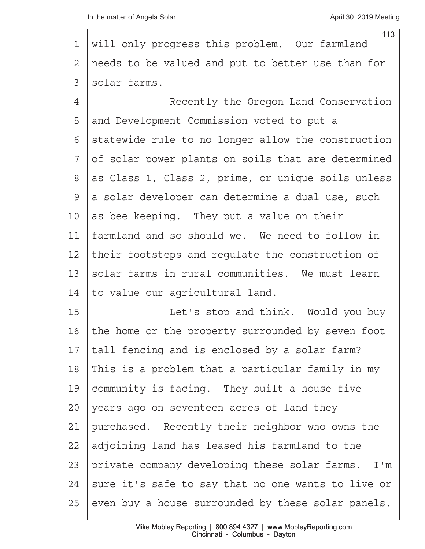Г

| 1               | 113<br>will only progress this problem. Our farmland |
|-----------------|------------------------------------------------------|
| 2               | needs to be valued and put to better use than for    |
| 3               | solar farms.                                         |
| 4               | Recently the Oregon Land Conservation                |
| 5               | and Development Commission voted to put a            |
| 6               | statewide rule to no longer allow the construction   |
| 7               | of solar power plants on soils that are determined   |
| 8               | as Class 1, Class 2, prime, or unique soils unless   |
| $\mathcal{G}$   | a solar developer can determine a dual use, such     |
| 10 <sub>o</sub> | as bee keeping. They put a value on their            |
| 11              | farmland and so should we. We need to follow in      |
| 12              | their footsteps and regulate the construction of     |
| 13              | solar farms in rural communities. We must learn      |
| 14              | to value our agricultural land.                      |
| 15              | Let's stop and think. Would you buy                  |
| 16              | the home or the property surrounded by seven foot    |
| 17              | tall fencing and is enclosed by a solar farm?        |
| 18              | This is a problem that a particular family in my     |
| 19              | community is facing. They built a house five         |
| 20              | years ago on seventeen acres of land they            |
| 21              | purchased. Recently their neighbor who owns the      |
| 22              | adjoining land has leased his farmland to the        |
| 23              | private company developing these solar farms. I'm    |
| 24              | sure it's safe to say that no one wants to live or   |
| 25              | even buy a house surrounded by these solar panels.   |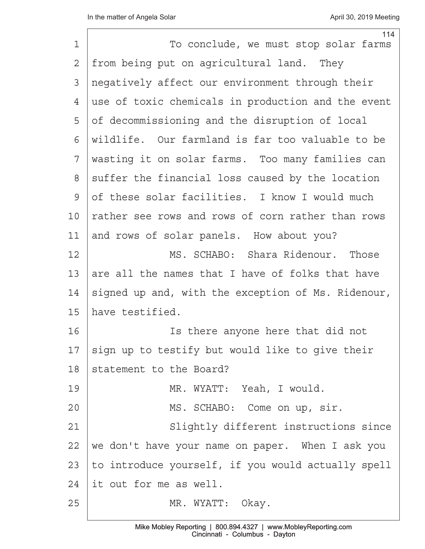| $\mathbf 1$    | 114<br>To conclude, we must stop solar farms       |
|----------------|----------------------------------------------------|
| $\overline{2}$ | from being put on agricultural land. They          |
| 3              | negatively affect our environment through their    |
| 4              | use of toxic chemicals in production and the event |
| 5              |                                                    |
|                | of decommissioning and the disruption of local     |
| 6              | wildlife. Our farmland is far too valuable to be   |
| 7              | wasting it on solar farms. Too many families can   |
| 8              | suffer the financial loss caused by the location   |
| 9              | of these solar facilities. I know I would much     |
| 10             | rather see rows and rows of corn rather than rows  |
| 11             | and rows of solar panels. How about you?           |
| 12             | MS. SCHABO: Shara Ridenour. Those                  |
| 13             | are all the names that I have of folks that have   |
| 14             | signed up and, with the exception of Ms. Ridenour, |
| 15             | have testified.                                    |
| 16             | Is there anyone here that did not                  |
| 17             | sign up to testify but would like to give their    |
| 18             | statement to the Board?                            |
| 19             | MR. WYATT: Yeah, I would.                          |
| 20             | MS. SCHABO: Come on up, sir.                       |
| 21             | Slightly different instructions since              |
| 22             | we don't have your name on paper. When I ask you   |
| 23             | to introduce yourself, if you would actually spell |
| 24             | it out for me as well.                             |
| 25             | MR. WYATT: Okay.                                   |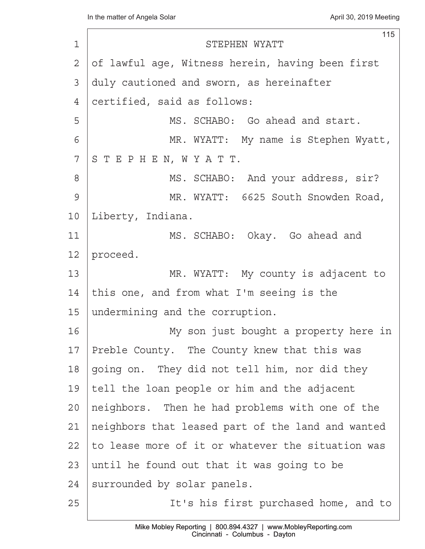|         | 115                                               |
|---------|---------------------------------------------------|
| 1       | STEPHEN WYATT                                     |
| 2       | of lawful age, Witness herein, having been first  |
| 3       | duly cautioned and sworn, as hereinafter          |
| 4       | certified, said as follows:                       |
| 5       | MS. SCHABO: Go ahead and start.                   |
| 6       | MR. WYATT: My name is Stephen Wyatt,              |
| 7       | STEPHEN, WYATT.                                   |
| 8       | MS. SCHABO: And your address, sir?                |
| 9       | MR. WYATT: 6625 South Snowden Road,               |
| 10      | Liberty, Indiana.                                 |
| 11      | MS. SCHABO: Okay. Go ahead and                    |
| 12      | proceed.                                          |
| 13      | MR. WYATT: My county is adjacent to               |
| 14      | this one, and from what I'm seeing is the         |
| 15      | undermining and the corruption.                   |
| 16      | My son just bought a property here in             |
| 17      | Preble County. The County knew that this was      |
| 18      | going on. They did not tell him, nor did they     |
| 19      | tell the loan people or him and the adjacent      |
| $20 \,$ | neighbors. Then he had problems with one of the   |
| 21      | neighbors that leased part of the land and wanted |
| 22      | to lease more of it or whatever the situation was |
| 23      | until he found out that it was going to be        |
| 24      | surrounded by solar panels.                       |
| 25      | It's his first purchased home, and to             |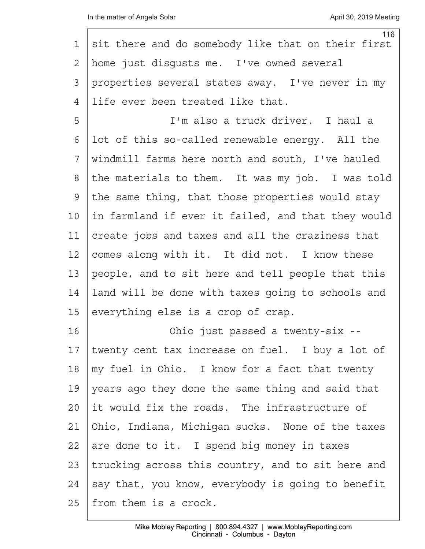| 1  | 116                                                |
|----|----------------------------------------------------|
|    | sit there and do somebody like that on their first |
| 2  | home just disgusts me. I've owned several          |
| 3  | properties several states away. I've never in my   |
| 4  | life ever been treated like that.                  |
| 5  | I'm also a truck driver. I haul a                  |
| 6  | lot of this so-called renewable energy. All the    |
| 7  | windmill farms here north and south, I've hauled   |
| 8  | the materials to them. It was my job. I was told   |
| 9  | the same thing, that those properties would stay   |
| 10 | in farmland if ever it failed, and that they would |
| 11 | create jobs and taxes and all the craziness that   |
| 12 | comes along with it. It did not. I know these      |
| 13 | people, and to sit here and tell people that this  |
| 14 | land will be done with taxes going to schools and  |
| 15 | everything else is a crop of crap.                 |
| 16 | Ohio just passed a twenty-six --                   |
| 17 | twenty cent tax increase on fuel. I buy a lot of   |
| 18 | my fuel in Ohio. I know for a fact that twenty     |
| 19 | years ago they done the same thing and said that   |
| 20 | it would fix the roads. The infrastructure of      |
| 21 | Ohio, Indiana, Michigan sucks. None of the taxes   |
| 22 | are done to it. I spend big money in taxes         |
| 23 | trucking across this country, and to sit here and  |
| 24 | say that, you know, everybody is going to benefit  |
| 25 | from them is a crock.                              |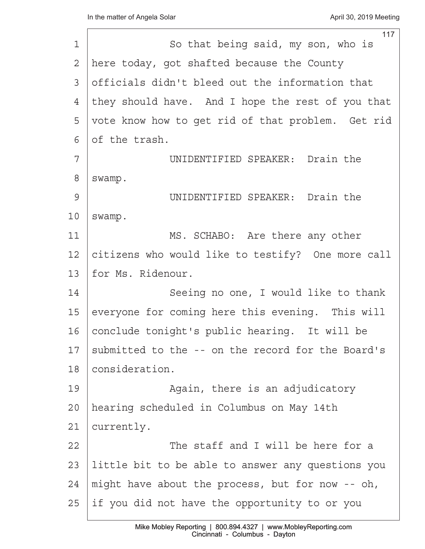|         | 117                                               |
|---------|---------------------------------------------------|
| 1       | So that being said, my son, who is                |
| 2       | here today, got shafted because the County        |
| 3       | officials didn't bleed out the information that   |
| 4       | they should have. And I hope the rest of you that |
| 5       | vote know how to get rid of that problem. Get rid |
| 6       | of the trash.                                     |
| 7       | UNIDENTIFIED SPEAKER: Drain the                   |
| 8       | swamp.                                            |
| 9       | UNIDENTIFIED SPEAKER: Drain the                   |
| 10      | swamp.                                            |
| 11      | MS. SCHABO: Are there any other                   |
| 12      | citizens who would like to testify? One more call |
| 13      | for Ms. Ridenour.                                 |
| 14      | Seeing no one, I would like to thank              |
| 15      | everyone for coming here this evening. This will  |
| 16      | conclude tonight's public hearing. It will be     |
| 17      | submitted to the -- on the record for the Board's |
| 18      | consideration.                                    |
| 19      | Again, there is an adjudicatory                   |
| $20 \,$ | hearing scheduled in Columbus on May 14th         |
| 21      | currently.                                        |
| 22      | The staff and I will be here for a                |
| 23      | little bit to be able to answer any questions you |
| 24      | might have about the process, but for now -- oh,  |
| 25      | if you did not have the opportunity to or you     |
|         |                                                   |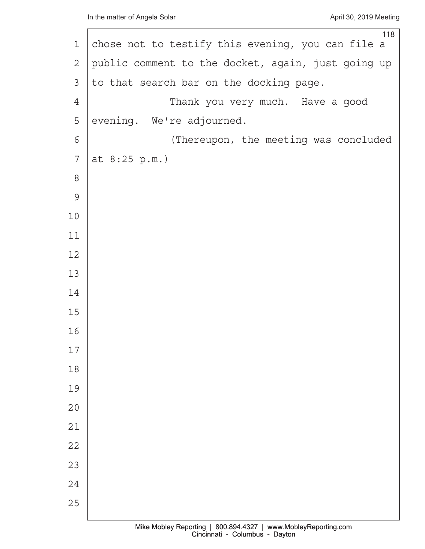| 1              | 118<br>chose not to testify this evening, you can file a |
|----------------|----------------------------------------------------------|
| $\mathbf{2}$   | public comment to the docket, again, just going up       |
| 3              | to that search bar on the docking page.                  |
| $\overline{4}$ | Thank you very much. Have a good                         |
| 5              | evening. We're adjourned.                                |
| 6              | (Thereupon, the meeting was concluded                    |
| 7              | at 8:25 p.m.)                                            |
| $\,8\,$        |                                                          |
| $\mathcal{G}$  |                                                          |
| $10$           |                                                          |
| 11             |                                                          |
| 12             |                                                          |
| 13             |                                                          |
| 14             |                                                          |
| 15             |                                                          |
| 16             |                                                          |
| 17             |                                                          |
| 18             |                                                          |
| 19             |                                                          |
| 20             |                                                          |
| 21             |                                                          |
| 22             |                                                          |
| 23             |                                                          |
| 24             |                                                          |
| 25             |                                                          |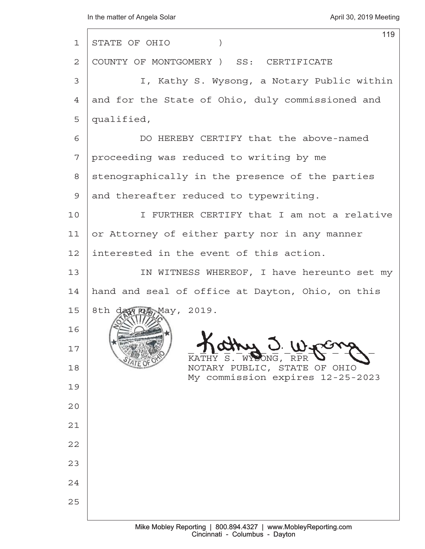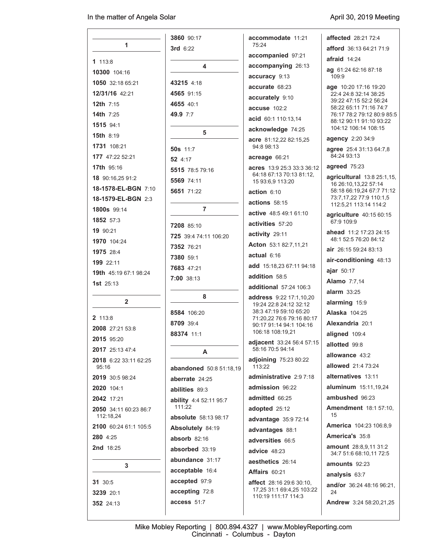$\overline{\phantom{a}}$ 

|                                | 3860 90:17                    | accommodate 11:21                                    | <b>affected</b> 28:21 72:4                           |
|--------------------------------|-------------------------------|------------------------------------------------------|------------------------------------------------------|
| 1                              | 3rd 6:22                      | 75:24                                                | afford 36:13 64:21 71:9                              |
| 1113:8                         |                               | accompanied 97:21                                    | afraid $14:24$                                       |
| 10300 104:16                   | 4                             | accompanying 26:13                                   | ag 61:24 62:16 87:18                                 |
| 1050 32:18 65:21               | 43215 4:18                    | accuracy 9:13                                        | 109:9                                                |
| 12/31/16 42:21                 | 4565 91:15                    | accurate 68:23                                       | age 10:20 17:16 19:20<br>22:4 24:8 32:14 38:25       |
| 12th $7:15$                    | 4655 40:1                     | accurately 9:10                                      | 39:22 47:15 52:2 56:24                               |
| <b>14th</b> $7:25$             | 49.9 7:7                      | accuse 102:2                                         | 58:22 65:11 71:16 74:7<br>76:17 78:2 79:12 80:9 85:5 |
| 1515 94:1                      |                               | acid 60:1 110:13,14                                  | 88:12 90:11 91:10 93:22                              |
| <b>15th 8:19</b>               | 5                             | acknowledge 74:25                                    | 104:12 106:14 108:15                                 |
| 1731 108:21                    |                               | acre 81:12,22 82:15,25<br>94:8 98:13                 | agency 2:20 34:9                                     |
| 177 47:22 52:21                | <b>50s</b> 11:7               | acreage 66:21                                        | agree 25:4 31:13 64:7,8<br>84:24 93:13               |
| <b>17th</b> 95:16              | 52 4:17                       | <b>acres</b> 13:9 25:3 33:3 36:12                    | agreed 75:23                                         |
| 18 90:16,25 91:2               | 5515 78:5 79:16               | 64:18 67:13 70:13 81:12,                             | agricultural 13:8 25:1.15.                           |
| 18-1578-EL-BGN 7:10            | 5569 74:11                    | 15 93:6,9 113:20                                     | 16 26:10,13,22 57:14                                 |
| 18-1579-EL-BGN 2:3             | 5651 71:22                    | action $6:10$                                        | 58:18 66:19,24 67:7 71:12<br>73:7,17,22 77:9 110:1,5 |
| <b>1800s</b> 99:14             | 7                             | actions 58:15                                        | 112:5,21 113:14 114:2                                |
| 1852 57:3                      |                               | active 48:5 49:1 61:10                               | agriculture 40:15 60:15                              |
| 19 90:21                       | <b>7208 85:10</b>             | activities 57:20                                     | 67:9 109:9                                           |
| 1970 104:24                    | 725 39:4 74:11 106:20         | activity 29:11                                       | ahead 11:2 17:23 24:15<br>48:1 52:5 76:20 84:12      |
| 1975 28:4                      | 7352 76:21                    | Acton 53:1 82:7,11,21                                | <b>air</b> 26:15 59:24 83:13                         |
| 199 22:11                      | 7380 59:1                     | actual 6:16                                          | air-conditioning 48:13                               |
| <b>19th</b> 45:19 67:1 98:24   | 7683 47:21                    | add 15:18,23 67:11 94:18                             | ajar $50:17$                                         |
| 1st $25:13$                    | 7:00 38:13                    | addition 58:5                                        | <b>Alamo</b> 7:7,14                                  |
|                                |                               | additional 57:24 106:3                               | $alarm$ 33:25                                        |
| $\overline{2}$                 | 8                             | address 9:22 17:1,10,20<br>19:24 22:8 24:12 32:12    | alarming 15:9                                        |
|                                | 8584 106:20                   | 38:3 47:19 59:10 65:20                               | <b>Alaska</b> 104:25                                 |
| 2 113:8                        | 8709 39:4                     | 71:20.22 76:6 79:16 80:17<br>90:17 91:14 94:1 104:16 | Alexandria 20:1                                      |
| 2008 27:21 53:8                | 88374 11:1                    | 106:18 108:19.21                                     | aligned 109:4                                        |
| 2015 95:20                     |                               | adjacent 33:24 56:4 57:15                            | allotted 99:8                                        |
| 2017 25:13 47:4                | A                             | 58:16 70:5 94:14                                     | allowance 43:2                                       |
| 2018 6:22 33:11 62:25<br>95:16 | abandoned 50:8 51:18,19       | <b>adjoining</b> 75:23 80:22<br>113:22               | allowed 21:4 73:24                                   |
| 2019 30:5 98:24                | aberrate 24:25                | administrative 2:9 7:18                              | alternatives 13:11                                   |
| 2020 104:1                     | <b>abilities 89:3</b>         | admission 96:22                                      | <b>aluminum</b> 15:11,19,24                          |
| 2042 17:21                     | <b>ability</b> 4:4 52:11 95:7 | admitted 66:25                                       | ambushed 96:23                                       |
| <b>2050</b> 34:11 60:23 86:7   | 111:22                        | adopted 25:12                                        | <b>Amendment</b> 18:1 57:10,                         |
| 112:18,24                      | absolute 58:13 98:17          | advantage 35:9 72:14                                 | 15                                                   |
| 2100 60:24 61:1 105:5          | Absolutely 84:19              | advantages 88:1                                      | <b>America</b> 104:23 106:8,9                        |
| <b>280</b> 4:25                | absorb $82:16$                | adversities 66:5                                     | America's 35:8                                       |
| <b>2nd</b> 18:25               | absorbed 33:19                | advice 48:23                                         | <b>amount</b> $28:8,9,11,31:2$                       |
|                                | abundance 31:17               | aesthetics 26:14                                     | 34:7 51:6 68:10,11 72:5                              |
| 3                              | acceptable 16:4               | <b>Affairs 60:21</b>                                 | amounts $92:23$                                      |
| <b>31</b> 30:5                 | accepted 97:9                 | <b>affect</b> 28:16 29:6 30:10,                      | analysis 63:7                                        |
| <b>3239</b> 20:1               | accepting 72:8                | 17,25 31:1 69:4,25 103:22                            | <b>and/or</b> 36:24 48:16 96:21,<br>24               |
| 352 24:13                      | access 51:7                   | 110:19 111:17 114:3                                  | Andrew 3:24 58:20,21,25                              |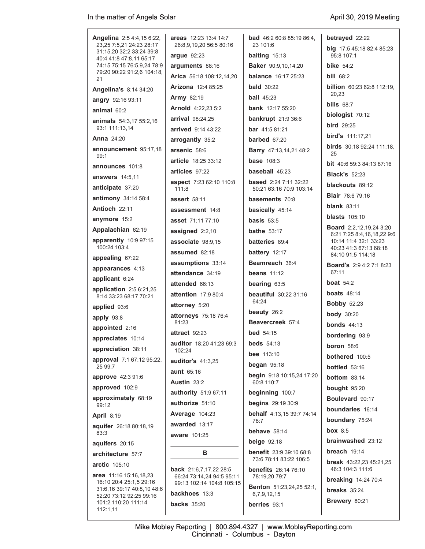| <b>Angelina</b> 2:5 4:4,15 6:22,                           | areas 12:23 13:4 14:7                                  | <b>bad</b> 46:2 60:8 85:19 86:4,                        | betrayed 22:22                                      |
|------------------------------------------------------------|--------------------------------------------------------|---------------------------------------------------------|-----------------------------------------------------|
| 23,25 7:5,21 24:23 28:17<br>31:15.20 32:2 33:24 39:8       | 26:8,9,19,20 56:5 80:16                                | 23 101:6                                                | big 17:5 45:18 82:4 85:23                           |
| 40:4 41:8 47:8,11 65:17<br>74:15 75:15 76:5,9,24 78:9      | argue $92:23$                                          | <b>baiting</b> $15:13$                                  | 95:8 107:1                                          |
| 79:20 90:22 91:2,6 104:18,                                 | arguments 88:16                                        | <b>Baker</b> 90:9,10,14,20                              | bike $54.2$                                         |
| 21                                                         | Arica 56:18 108:12.14.20                               | <b>balance</b> 16:17 25:23                              | <b>bill 68:2</b>                                    |
| Angelina's 8:14 34:20                                      | <b>Arizona</b> 12:4 85:25                              | <b>bald</b> $30:22$                                     | <b>billion</b> $60.2362.8112.19$<br>20,23           |
| angry 92:16 93:11                                          | <b>Army 82:19</b>                                      | <b>ball</b> 45:23                                       | bills $68:7$                                        |
| animal $60:2$                                              | <b>Arnold</b> 4:22,23 5:2                              | <b>bank</b> 12:17 55:20                                 | biologist $70:12$                                   |
| <b>animals</b> 54:3,17 55:2,16                             | arrival 98:24,25                                       | <b>bankrupt</b> 21:9 36:6                               | $bird$ 29:25                                        |
| 93:1 111:13,14                                             | <b>arrived</b> 9:14 43:22                              | <b>bar</b> $41:581:21$                                  | bird's 111:17,21                                    |
| <b>Anna 24:20</b>                                          | arrogantly 35:2                                        | <b>barbed</b> $67:20$                                   | <b>birds</b> $30.1892.24111.18$ ,                   |
| announcement 95:17,18<br>99:1                              | arsenic 58:6                                           | <b>Barry</b> 47:13,14,21 48:2                           | 25                                                  |
| announces 101:8                                            | <b>article</b> 18:25 33:12                             | <b>base</b> 108:3                                       | <b>bit</b> 40.6 59:3 84:13 87:16                    |
| <b>answers</b> 14:5,11                                     | articles 97:22                                         | baseball 45:23                                          | <b>Black's 52:23</b>                                |
| anticipate 37:20                                           | aspect 7:23 62:10 110:8<br>111:8                       | <b>based</b> 2:24 7:11 32:22<br>50:21 63:16 70:9 103:14 | blackouts 89:12                                     |
| antimony 34:14 58:4                                        | <b>assert</b> 58:11                                    | basements 70:8                                          | <b>Blair</b> 78:6 79:16                             |
| Antioch 22:11                                              | assessment 14:8                                        | basically 45:14                                         | <b>blank</b> $83:11$                                |
| anymore 15:2                                               | asset 71:11 77:10                                      | <b>basis</b> $53:5$                                     | <b>blasts</b> $105:10$                              |
| Appalachian 62:19                                          | assigned 2:2,10                                        | <b>bathe</b> 53:17                                      | <b>Board</b> 2:2,12,19,24 3:20                      |
| apparently 10:9 97:15                                      | associate 98:9.15                                      | <b>batteries</b> 89:4                                   | 6.21 7:25 8:4,16,18,22 9:6<br>10:14 11:4 32:1 33:23 |
| 100:24 103:4                                               | assumed 82:18                                          | battery 12:17                                           | 40:23 41:3 67:13 68:18                              |
| appealing 67:22                                            | assumptions 33:14                                      | Beamreach 36:4                                          | 84:10 91:5 114:18                                   |
| appearances 4:13                                           | attendance 34:19                                       | beans $11:12$                                           | <b>Board's 2:9 4:2 7:1 8:23</b><br>67:11            |
| applicant 6:24                                             | attended 66:13                                         | bearing 63:5                                            | <b>boat</b> $54:2$                                  |
| application $2:56:21,25$                                   | attention $17:980:4$                                   | <b>beautiful</b> 30:22 31:16                            | <b>boats</b> $48:14$                                |
| 8:14 33:23 68:17 70:21                                     | attorney 5:20                                          | 64:24                                                   | <b>Bobby 52:23</b>                                  |
| applied 93:6                                               | attorneys 75:18 76:4                                   | beauty $26:2$                                           | <b>body</b> 30:20                                   |
| apply 93:8                                                 | 81:23                                                  | Beavercreek 57:4                                        | <b>bonds</b> $44:13$                                |
| appointed 2:16                                             | attract 92:23                                          | <b>bed</b> $54:15$                                      | bordering 93:9                                      |
| appreciates 10:14                                          | <b>auditor</b> 18:20 41:23 69:3                        | <b>beds</b> 54:13                                       | <b>boron</b> 58:6                                   |
| appreciation 38:11                                         | 102:24                                                 | <b>bee</b> $113:10$                                     | bothered 100:5                                      |
| approval 7:1 67:12 95:22,<br>25 99:7                       | <b>auditor's 41:3,25</b>                               | began $95:18$                                           | <b>bottled</b> $53:16$                              |
| approve 42:3 91:6                                          | aunt 65:16                                             | <b>begin</b> 9:18 10:15,24 17:20                        | <b>bottom</b> $83:14$                               |
| approved 102:9                                             | <b>Austin 23:2</b>                                     | 60:8 110:7                                              | bought 95:20                                        |
| approximately 68:19                                        | authority 51:9 67:11                                   | beginning 100:7                                         | Boulevard 90:17                                     |
| 99:12                                                      | authorize 51:10                                        | <b>begins</b> 29:19 30:9                                | boundaries 16:14                                    |
| <b>April 8:19</b>                                          | Average 104:23                                         | behalf 4:13,15 39:7 74:14<br>78:7                       | boundary 75:24                                      |
| aquifer 26:18 80:18,19                                     | awarded 13:17                                          | behave $58:14$                                          | box $8:5$                                           |
| 83:3                                                       | <b>aware</b> 101:25                                    | <b>beige</b> 92:18                                      | brainwashed 23:12                                   |
| aquifers 20:15                                             |                                                        | <b>benefit</b> 23:9 39:10 68:8                          | breach $19:14$                                      |
| architecture 57:7                                          | в                                                      | 73:6 78:11 83:22 106:5                                  | <b>break</b> $43.22,23$ $45.21,25$                  |
| <b>arctic</b> 105:10                                       | <b>back</b> 21:6,7,17,22 28:5                          | <b>benefits</b> 26:14 76:10                             | 46:3 104:3 111:6                                    |
| area 11:16 15:16,18,23<br>16:10 20:4 25:1,5 29:16          | 66.24 73:14,24 94:5 95:11<br>99:13 102:14 104:8 105:15 | 78:19,20 79:7                                           | <b>breaking</b> 14:24 70:4                          |
| 31:6,16 39:17 40:8,10 48:6                                 | backhoes 13:3                                          | <b>Benton</b> 51:23,24,25 52:1,                         | <b>breaks</b> $35:24$                               |
| 52:20 73:12 92:25 99:16<br>101:2 110:20 111:14<br>112:1,11 | <b>backs</b> 35:20                                     | 6,7,9,12,15<br>berries 93:1                             | Brewery 80:21                                       |
|                                                            |                                                        |                                                         |                                                     |

Mike Mobley Reporting | 800.894.4327 | www.MobleyReporting.com Cincinnati - Columbus - Dayton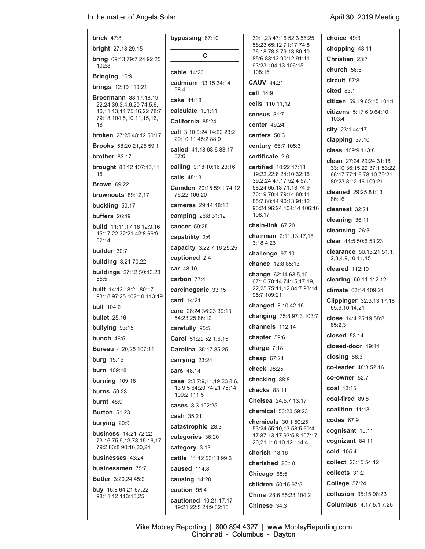| <b>brick</b> $47:8$                                          | bypassing 67:10                                 | 39:1.23 47:16 52:3 56:25                                | choice $49:3$                                    |
|--------------------------------------------------------------|-------------------------------------------------|---------------------------------------------------------|--------------------------------------------------|
| <b>bright</b> 27:18 29:15                                    |                                                 | 58:23 65:12 71:17 74:8<br>76:18 78:3 79:13 80:10        | chopping 48:11                                   |
| <b>bring</b> 69:13 79:7,24 92:25                             | C                                               | 85:6 88:13 90:12 91:11                                  | Christian 23:7                                   |
| 102.8                                                        | cable $14:23$                                   | 93:23 104:13 106:15<br>108:16                           | church $56:6$                                    |
| Bringing 15:9                                                | cadmium 33:15 34:14                             | <b>CAUV 44:21</b>                                       | circuit 57:8                                     |
| <b>brings</b> 12:19 110:21                                   | 58:4                                            | cell $14:9$                                             | cited 83:1                                       |
| <b>Broermann</b> 38:17,18,19,<br>22,24 39:3,4,6,20 74:5,6,   | cake 41:18                                      | cells 110:11,12                                         | citizen 59:19 65:15 101:1                        |
| 10,11,13,14 75:16,22 78:7<br>79:18 104:5,10,11,15,16,        | calculate 101:11                                | census 31:7                                             | citizens 5:17 6:9 64:10                          |
| 18                                                           | California 85:24                                | center $49:24$                                          | 103:4                                            |
| <b>broken</b> 27:25 48:12 50:17                              | call 3:10 9:24 14:22 23:2<br>29:10,11 45:2 88:9 | centers $50:3$                                          | city 23:1 44:17<br>clapping 37:10                |
| <b>Brooks</b> 58:20,21,25 59:1                               | called 41:18 63:6 83:17                         | century 66:7 105:3                                      | class 109:9 113:8                                |
| <b>brother</b> $83:17$                                       | 87:6                                            | certificate 2:6                                         | clean 27:24 29:24 31:18                          |
| brought 83:12 107:10,11,                                     | calling 9:18 10:16 23:16                        | certified 10:22 17:18                                   | 33:10 36:15,22 37:1 53:22                        |
| 16                                                           | calls $45:13$                                   | 19:22 22:6 24:10 32:16<br>39:2,24 47:17 52:4 57:1       | 66:17 77:1,6 78:10 79:21<br>80:23 81:2,16 109:21 |
| <b>Brown 69:22</b>                                           | Camden 20:15 59:1 74:12                         | 58:24 65:13 71:18 74:9                                  | cleaned 29:25 81:13                              |
| brownouts $89:12,17$                                         | 76:22 106:20<br>cameras 29:14 48:18             | 76:19 78:4 79:14 80:11<br>85:7 88:14 90:13 91:12        | 86:16                                            |
| buckling 50:17<br>buffers $26:19$                            |                                                 | 93:24 96:24 104:14 106:16<br>108:17                     | cleanest 32:24                                   |
|                                                              | camping 26:8 31:12<br>cancer 59:25              | chain-link $67:20$                                      | cleaning 36:11                                   |
| <b>build</b> 11:11,17,18 12:3,16<br>15:17.22 32:21 42:8 66:9 |                                                 | chairman 2:11,13,17,18                                  | cleansing 26:3                                   |
| 82:14                                                        | capability 2:6                                  | 3:18 4:23                                               | clear $44:550:653:23$                            |
| <b>builder</b> 30:7                                          | capacity 3:22 7:16 25:25<br>captioned 2:4       | challenge 97:10                                         | clearance 50:13,21 51:1,                         |
| <b>building</b> 3:21 70:22                                   |                                                 | chance 12:8 85:13                                       | 2, 3, 4, 9, 10, 11, 15                           |
| <b>buildings</b> 27:12 50:13,23<br>55:5                      | car 48:10<br>carbon $77:4$                      | change 62:14 63:5,10                                    | cleared $112:10$                                 |
|                                                              |                                                 | 67:10 70:14 74:15,17,19,<br>22,25 75:11,12 84:7 93:14   | clearing 50:11 112:12                            |
| <b>built</b> 14:13 18:21 80:17<br>93:18 97:25 102:10 113:19  | carcinogenic 33:15                              | 95:7 109:21                                             | climate 62:14 109:21                             |
| <b>bull</b> $104:2$                                          | <b>card</b> 14:21                               | changed 8:10 42:16                                      | Clippinger 32:3,13,17,18<br>65:9,10,14,21        |
| bullet $25:16$                                               | care 28:24 36:23 39:13<br>54:23,25 86:12        | changing 75:8 97:3 103:7                                | close 14:4 25:19 58:8                            |
| bullying 93:15                                               | carefully 95:5                                  | channels 112:14                                         | 85:2,3                                           |
| bunch 46:5                                                   | Carol 51:22 52:1,6,15                           | chapter 59.6                                            | $closed$ 53:14                                   |
| <b>Bureau</b> 4:20,25 107:11                                 | Carolina 35:17 85:25                            | charge $7:18$                                           | closed-door 19:14                                |
| <b>burg</b> $15:15$                                          | carrying 23:24                                  | cheap $67:24$                                           | closing 88:3                                     |
| <b>burn</b> 109:18                                           | cars 48:14                                      | check 98:25                                             | co-leader 48:3 52:16                             |
| burning 109:18                                               | <b>case</b> $2:37:9,11,19,238:6$                | checking 88:8                                           | <b>co-owner</b> 52:7                             |
| <b>burns</b> 59:23                                           | 13 9:5 64:20 74:21 75:14<br>100:2 111:5         | checks 83:11                                            | coal 13:15                                       |
| burnt $48.9$                                                 | cases 8:3 102:25                                | Chelsea 24:5,7,13,17                                    | coal-fired 89:8                                  |
| <b>Burton 51:23</b>                                          | cash 35:21                                      | chemical 50:23 59:23                                    | coalition 11:13                                  |
| burying 20:9                                                 | catastrophic 28:3                               | chemicals 30:1 50:25                                    | codes $67:9$                                     |
| <b>business</b> 14:21 72:22                                  |                                                 | 53:24 55:10,13 58:5 60:4,<br>17 87:13,17 93:5,8 107:17, | cognisant 10:11                                  |
| 73:16 75:9,13 78:15,16,17                                    | categories 36:20                                | 20,21 110:10,12 114:4                                   | cognizant 84:11                                  |
| 79:2 83:8 90:16,20,24                                        | category 3:13                                   | cherish 18:16                                           | cold 105:4                                       |
| businesses 43:24                                             | cattle 11:12 53:13 99:3                         | cherished 25:18                                         | collect 23:15 54:12                              |
| businessmen 75:7                                             | caused $114:8$                                  | Chicago 68:5                                            | collects 31:2                                    |
| <b>Butler</b> 3:20,24 45:9                                   | causing 14:20                                   | children 50:15 97:5                                     | College 57:24                                    |
| <b>buy</b> $15.864:2167:22$<br>98:11,12 113:15,25            | caution 95:4                                    | <b>China</b> 28.6 85:23 104:2                           | collusion 95:15 98:23                            |
|                                                              | cautioned 10:21 17:17<br>19:21 22:5 24:9 32:15  | Chinese 34:3                                            | <b>Columbus</b> 4:17 5:1 7:25                    |
|                                                              |                                                 |                                                         |                                                  |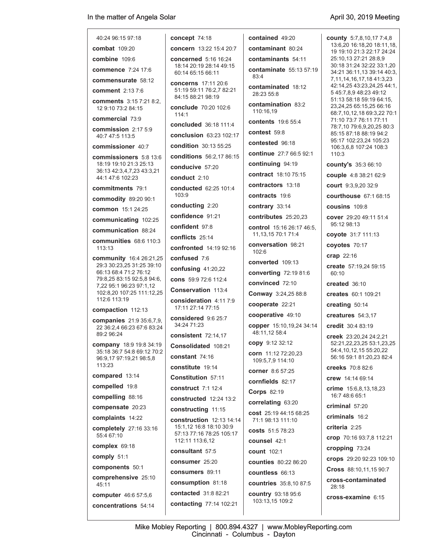| 40:24 96:15 97:18                                             | concept 74:18                                                          |  |  |
|---------------------------------------------------------------|------------------------------------------------------------------------|--|--|
| combat 109:20                                                 | concern 13:22 15:4 20:7                                                |  |  |
| combine 109:6                                                 | <b>concerned</b> 5:16 16:24                                            |  |  |
| <b>commence</b> 7:24 17:6                                     | 18:14 20:19 28:14 49:15<br>60:14 65:15 66:11                           |  |  |
| commensurate 58:12                                            | <b>concerns</b> 17:11 20:6                                             |  |  |
| <b>comment</b> 2:13 7:6                                       | 51:19 59:11 76:2.7 82:21<br>84:15 88:21 98:19                          |  |  |
| <b>comments</b> 3:15 7:21 8:2.<br>12 9:10 73:2 84:15          | <b>conclude</b> 70:20 102:6<br>114.1                                   |  |  |
| commercial 73:9                                               | <b>concluded</b> 36:18 111:4                                           |  |  |
| commission 2:17 5:9<br>40:7 47:5 113:5                        | conclusion 63:23 102:17                                                |  |  |
| commissioner 40:7                                             | condition 30:13 55:25                                                  |  |  |
| <b>commissioners</b> 5:8 13:6                                 | conditions 56:2,17 86:15                                               |  |  |
| 18:19 19:10 21:3 25:13<br>36:13 42:3,4,7,23 43:3,21           | conducive 57:20                                                        |  |  |
| 44:1 47:6 102:23                                              | conduct $2.10$                                                         |  |  |
| commitments 79:1                                              | <b>conducted</b> 62:25 101:4                                           |  |  |
| <b>commodity</b> 89:20 90:1                                   | 103:9                                                                  |  |  |
| common 15:1 24:25                                             | conducting 2:20                                                        |  |  |
| communicating 102:25                                          | confidence 91:21                                                       |  |  |
| communication 88:24                                           | confident 97:8                                                         |  |  |
| communities $68.6110.3$                                       | conflicts 25:14                                                        |  |  |
| 113:13                                                        | confronted 14:19 92:16                                                 |  |  |
| <b>community</b> 16:4 26:21,25<br>29:3 30:23,25 31:25 39:10   | confused 7:6                                                           |  |  |
| 66:13 68:4 71:2 76:12                                         | confusing 41:20,22                                                     |  |  |
| 79:8.25 83:15 92:5.8 94:6.<br>7,22 95:1 96:23 97:1,12         | cons 59:9 72:6 112:4                                                   |  |  |
| 102:8,20 107:25 111:12,25<br>112:6 113:19                     | Conservation 113.4                                                     |  |  |
| compaction 112:13                                             | consideration 4:11 7:9<br>17:11 27:14 77:15                            |  |  |
| <b>companies</b> 21:9 35:6,7,9,<br>22 36:2.4 66:23 67:6 83:24 | considered 9:6 25:7<br>34:24 71:23                                     |  |  |
| 89:2 96:24                                                    | consistent 72:14,17                                                    |  |  |
| <b>company</b> 18:9 19:8 34:19<br>35:18 36:7 54:8 69:12 70:2  | Consolidated 108:21                                                    |  |  |
| 96:9,17 97:19,21 98:5,8                                       | constant 74:16                                                         |  |  |
| 113:23                                                        | constitute 19:14                                                       |  |  |
| compared 13:14                                                | Constitution 57:11                                                     |  |  |
| compelled 19:8                                                | <b>construct</b> 7:1 12:4                                              |  |  |
| compelling 88:16                                              | <b>constructed</b> 12:24 13:2                                          |  |  |
| compensate 20:23                                              | constructing 11:15                                                     |  |  |
| complaints 14:22                                              | construction 12:13 14:14                                               |  |  |
| completely 27:16 33:16<br>55:4 67:10                          | 15:1,12 16:8 18:10 30:9<br>57:13 77:16 78:25 105:17<br>112:11 113:6,12 |  |  |
| complex 69:18                                                 | consultant 57:5                                                        |  |  |
| comply 51:1                                                   | consumer 25:20                                                         |  |  |
| components 50:1                                               | consumers 89:11                                                        |  |  |
| comprehensive 25:10<br>45:11                                  | consumption 81:18                                                      |  |  |
| computer 46:6 57:5,6                                          | <b>contacted</b> 31:8 82:21                                            |  |  |
| concentrations 54:14                                          | contacting 77:14 102:21                                                |  |  |
|                                                               |                                                                        |  |  |

| contained 49:20                             | cou                      |
|---------------------------------------------|--------------------------|
| contaminant 80:24                           | 13 <sub>1</sub><br>19    |
| contaminants 54:11                          | 25:                      |
| contaminate 55:13 57:19                     | 30:                      |
| 83:4                                        | 34:<br>7,1               |
| <b>contaminated</b> 18:12                   | 42:                      |
| 28:23 55:8                                  | 54<br>51.                |
| <b>contamination</b> 83:2<br>110:16,19      | 23,<br>68:               |
| contents 19:6 55:4                          | 71:<br>78:               |
| contest 59:8                                | 85                       |
| contested 96:18                             | 95:<br>10                |
| continue 27:7 66:5 92:1                     | 11(                      |
| <b>continuing</b> 94:19                     | cou                      |
| <b>contract</b> 18:10 75:15                 | cou                      |
| contractors 13:18                           | cou                      |
| contracts 19:6                              | cou                      |
| contrary 33:14                              | cou                      |
| <b>contributes</b> 25:20,23                 | <b>COV</b>               |
| <b>control</b> 15:16 26:17 46:5.            | 95:                      |
| 11, 13, 15 70: 1 71: 4                      | coy                      |
| conversation 98:21<br>102:6                 | coy                      |
| converted 109:13                            | crar                     |
| <b>converting 72:19 81:6</b>                | crea                     |
| convinced 72:10                             | 60:                      |
|                                             | crea                     |
| <b>Conway</b> 3:24,25 88:8                  | crea                     |
| cooperate 22:21                             | crea                     |
| cooperative 49:10                           | crea                     |
| copper 15:10,19,24 34:14<br>48:11,12 58:4   | cred<br>cre <sub>6</sub> |
| copy 9:12 32:12                             | 52:                      |
| corn 11:12 72:20,23<br>109:5,7,9 114:10     | 54:<br>56:               |
| corner 8:6 57:25                            | cree                     |
| <b>cornfields</b> 82:17                     | <b>crev</b>              |
| <b>Corps 82:19</b>                          | crin<br>16:              |
| <b>correlating 63:20</b>                    | crin                     |
| cost 25:19 44:15 68:25<br>71:1 98:13 111:10 | crin                     |
| costs 51:5 78:23                            | crite                    |
| counsel 42:1                                | cro                      |
| <b>count</b> 102:1                          | crop                     |
| <b>counties</b> 80:22 86:20                 | cro                      |
| countless 66:13                             | Cro                      |
| countries 35:8,10 87:5                      | <b>cros</b>              |
|                                             | 28:                      |

**country** 93:18 95:6 103:13,15 109:2

**county** 5:7,8,10,17 7:4,8 13:6,20 16:18,20 18:11,18, 19 19:10 21:3 22:17 24:24 25:10,13 27:21 28:8,9 30:18 31:24 32:22 33:1,20 34:21 36:11,13 39:14 40:3, 7,11,14,16,17,18 41:3,23 42:14,25 43:23,24,25 44:1, 5 45:7,8,9 48:23 49:12 51:13 58:18 59:19 64:15, 23,24,25 65:15,25 66:16 68:7,10,12,18 69:3,22 70:1 71:10 73:7 76:11 77:11 78:7,10 79:6,9,20,25 80:3 85:15 87:18 88:19 94:2 95:17 102:23,24 105:23 106:3,6,8 107:24 108:3  $0:3$ **county's** 35:3 66:10 **couple** 4:8 38:21 62:9 **court** 9:3,9,20 32:9 **courthouse** 67:1 68:15 **cousins** 109:8 **cover** 29:20 49:11 51:4 95:12 98:13 **coyote** 31:7 111:13 **coyotes** 70:17 **crap** 22:16 **create** 57:19,24 59:15  $:10$ **created** 36:10 **creates** 60:1 109:21 **creating** 50:14 **creatures** 54:3,17 **credit** 30:4 83:19 **creek** 23:20,24 24:2,21 52:21,22,23,25 53:1,23,25 54:4,10,12,15 55:20,22 56:16 59:1 81:20,23 82:4 **creeks** 70:8 82:6

**crew** 14:14 69:14

**crime** 15:6,8,13,18,23 :7 48:6 65:1

**criminal** 57:20

**criminals** 16:2

**eria** 2:25

**crop** 70:16 93:7,8 112:21

**cropping** 73:24

**crops** 29:20 92:23 109:10

**Cross** 88:10,11,15 90:7

**cross-contaminated** 28:18

**cross-examine** 6:15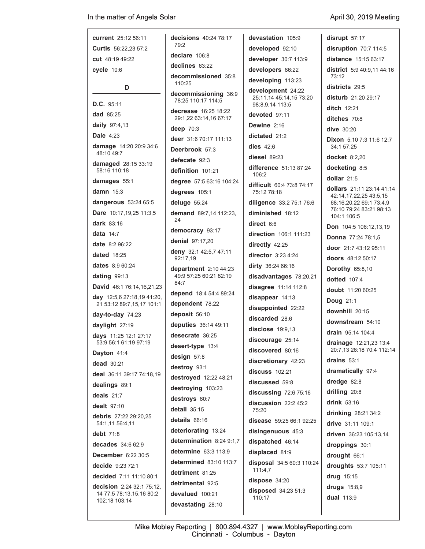## In the matter of Angela Solar

J

**disrupt** 57:17

| current 25:12 56:11                            | decisions 40:24 78:17                            | devastation 105:9                                               |  |
|------------------------------------------------|--------------------------------------------------|-----------------------------------------------------------------|--|
| <b>Curtis</b> 56.22,23 57:2                    | 79:2                                             | developed 92:10                                                 |  |
| <b>cut</b> 48:19 49:22                         | declare 106:8                                    | developer 30:7 113:9                                            |  |
| $cycle$ 10:6                                   | declines 63:22                                   | developers 86:22                                                |  |
|                                                | decommissioned 35:8<br>110:25                    | developing 113:23                                               |  |
| D<br>D.C. 95:11                                | decommissioning 36:9<br>78:25 110:17 114:5       | development 24:22<br>25:11,14 45:14,15 73:20<br>98:8,9,14 113:5 |  |
| dad 85:25                                      | <b>decrease</b> 16:25 18:22                      | devoted 97:11                                                   |  |
| daily 97:4,13                                  | 29:1,22 63:14,16 67:17                           | Dewine 2:16                                                     |  |
| <b>Dale 4:23</b>                               | deep 70:3                                        | dictated 21:2                                                   |  |
| damage 14:20 20:9 34:6                         | deer 31:6 70:17 111:13                           | dies $42:6$                                                     |  |
| 48:10 49:7                                     | Deerbrook 57:3                                   | $discel$ 89:23                                                  |  |
| damaged 28:15 33:19                            | defecate 92:3                                    | <b>difference</b> 51:13 87:24                                   |  |
| 58:16 110:18                                   | definition 101:21                                | 106:2                                                           |  |
| damages 55:1<br><b>damn</b> 15:3               | degree 57:5 63:16 104:24<br>degrees 105:1        | <b>difficult</b> 60:4 73:8 74:17<br>75:12 78:18                 |  |
| dangerous 53:24 65:5                           | deluge 55:24                                     | diligence 33:2 75:1 76:6                                        |  |
| Dare 10:17,19,25 11:3,5                        | demand 89:7,14 112:23,                           | diminished 18:12                                                |  |
| <b>dark</b> 83:16                              | 24                                               | direct $6:6$                                                    |  |
| <b>data</b> 14:7                               | democracy 93:17                                  | direction 106:1 111:23                                          |  |
| <b>date</b> 8:2 96:22                          | denial 97:17,20                                  | directly 42:25                                                  |  |
| deny 32:1 42:5,7 47:11<br><b>dated</b> 18:25   |                                                  | director $3:234:24$                                             |  |
| dates 8:9 60:24                                | 92:17,19                                         | dirty 36:24 66:16                                               |  |
| dating 99:13                                   | department $2:1044:23$<br>49:9 57:25 60:21 82:19 | disadvantages 78:20,21                                          |  |
| David 46:1 76:14, 16, 21, 23                   | 84:7                                             | disagree 11:14 112:8                                            |  |
| <b>day</b> 12:5,6 27:18,19 41:20,              | depend 18.4 54:4 89:24                           | disappear 14:13                                                 |  |
| 21 53:12 89:7,15,17 101:1                      | dependent 78:22                                  | disappointed 22:22                                              |  |
| <b>day-to-day</b> 74:23                        | deposit 56:10                                    | discarded 28:6                                                  |  |
| daylight 27:19                                 | deputies 36:14 49:11                             | disclose 19:9.13                                                |  |
| days 11:25 12:1 27:17<br>53:9 56:1 61:19 97:19 | desecrate 36:25                                  | discourage 25:14                                                |  |
| Dayton 41:4                                    | desert-type 13:4                                 | discovered 80:16                                                |  |
| dead 30:21                                     | design 57:8                                      | discretionary 42:23                                             |  |
| deal 36:11 39:17 74:18,19                      | destroy 93:1                                     | discuss 102:21                                                  |  |
| dealings 89:1                                  | destroyed 12:22 48:21                            | discussed 59:8                                                  |  |
| deals $21:7$                                   | destroying 103:23                                | discussing $72:675:16$                                          |  |
| <b>dealt</b> 97:10                             | destroys 60:7                                    | discussion $22:245:2$                                           |  |
| <b>debris</b> 27:22 29:20.25                   | $detail$ 35:15                                   | 75:20                                                           |  |
| 54:1,11 56:4,11                                | details 66:16                                    | disease 59:25 66:1 92:25                                        |  |
| <b>debt</b> 71:8                               | deteriorating 13:24                              | disingenuous 45:3                                               |  |
| decades 34:6 62:9                              | determination 8:24 9:1,7                         | dispatched 46:14                                                |  |
| <b>December</b> 6:22 30:5                      | determine 63:3 113:9                             | displaced 81:9                                                  |  |
| decide 9:23 72:1                               | determined 83:10 113:7                           | disposal 34:5 60:3 110:24<br>111:4,7                            |  |
| <b>decided</b> 7:11 11:10 80:1                 | detriment 81:25                                  | dispose 34:20                                                   |  |
| <b>decision</b> 2:24 32:1 75:12,               | detrimental 92:5                                 | disposed 34:23 51:3                                             |  |
| 14 77:5 78:13,15,16 80:2<br>102:18 103:14      | devalued 100:21                                  | 110:17                                                          |  |
|                                                | devastating 28:10                                |                                                                 |  |

**disruption** 70:7 114:5 **distance** 15:15 63:17 **district** 5:9 40:9,11 44:16 73:12 **districts** 29:5 **disturb** 21:20 29:17 **ditch** 12:21 **ditches** 70:8 **dive** 30:20 **Dixon** 5:10 7:3 11:6 12:7 34:1 57:25 **docket** 8:2,20 **docketing** 8:5 **dollar** 21:5 **dollars** 21:11 23:14 41:14 42:14,17,22,25 43:5,15 68:16,20,22 69:1 73:4,9 76:10 79:24 83:21 98:13 104:1 106:5 **Don** 104:5 106:12,13,19 **Donna** 77:24 78:1,5 **door** 21:7 43:12 95:11 **doors** 48:12 50:17 **Dorothy** 65:8,10 **dotted** 107:4 **doubt** 11:20 60:25 **Doug** 21:1 **downhill** 20:15 **downstream** 54:10 **drain** 95:14 104:4 **drainage** 12:21,23 13:4 20:7,13 26:18 70:4 112:14 **drains** 53:1 **dramatically** 97:4 **dredge** 82:8 **drilling** 20:8 **drink** 53:16 **drinking** 28:21 34:2 **drive** 31:11 109:1 **driven** 36:23 105:13,14 **droppings** 30:1 **drought** 66:1 **droughts** 53:7 105:11 **drug** 15:15 **drugs** 15:8,9 **dual** 113:9

 $\overline{\phantom{a}}$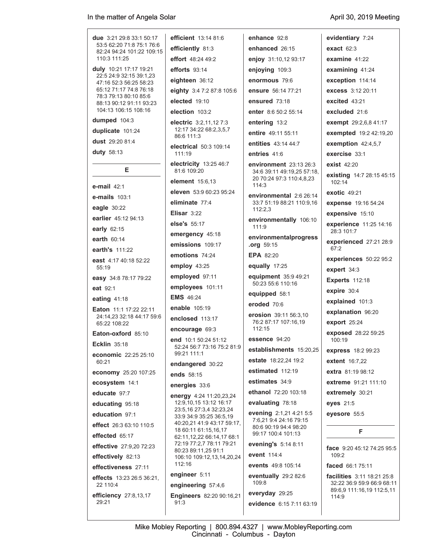**due** 3:21 29:8 33:1 50:17 53:5 62:20 71:8 75:1 76:6 82:24 94:24 101:22 109:15 110:3 111:25 **duly** 10:21 17:17 19:21 22:5 24:9 32:15 39:1,23 47:16 52:3 56:25 58:23 65:12 71:17 74:8 76:18 78:3 79:13 80:10 85:6 88:13 90:12 91:11 93:23 104:13 106:15 108:16 **dumped** 104:3 **duplicate** 101:24 **dust** 29:20 81:4 **duty** 58:13 **E e-mail** 42:1 **e-mails** 103:1 **eagle** 30:22 **earlier** 45:12 94:13 **early** 62:15 **earth** 60:14 **earth's** 111:22 **east** 4:17 40:18 52:22 55:19 **easy** 34:8 78:17 79:22 **eat** 92:1 **eating** 41:18 **Eaton** 11:1 17:22 22:11 24:14,23 32:18 44:17 59:6 65:22 108:22 **Eaton-oxford** 85:10 **Ecklin** 35:18 **economic** 22:25 25:10 60:21 **economy** 25:20 107:25 **ecosystem** 14:1 **educate** 97:7 **educating** 95:18 **education** 97:1 **effect** 26:3 63:10 110:5 **effected** 65:17 **effective** 27:9,20 72:23 **effectively** 82:13 **effectiveness** 27:11 **effects** 13:23 26:5 36:21, 22 110:4 **efficiency** 27:8,13,17 29:21 **efficient** 13:14 81:6 111:19 112:16 91:3

**efficiently** 81:3 **effort** 48:24 49:2 **efforts** 93:14 **eighteen** 36:12 **eighty** 3:4 7:2 87:8 105:6 **elected** 19:10 **election** 103:2 **electric** 3:2,11,12 7:3 12:17 34:22 68:2,3,5,7 86:6 111:3 **electrical** 50:3 109:14 **electricity** 13:25 46:7 81:6 109:20 **element** 15:6,13 **eleven** 53:9 60:23 95:24 **eliminate** 77:4 **Elisar** 3:22 **else's** 55:17 **emergency** 45:18 **emissions** 109:17 **emotions** 74:24 **employ** 43:25 **employed** 97:11 **employees** 101:11 **EMS** 46:24 **enable** 105:19 **enclosed** 113:17 **encourage** 69:3 **end** 10:1 50:24 51:12 52:24 56:7 73:16 75:2 81:9 99:21 111:1 **endangered** 30:22 **ends** 58:15 **energies** 33:6 **energy** 4:24 11:20,23,24 12:9,10,15 13:12 16:17 23:5,16 27:3,4 32:23,24 33:9 34:9 35:25 36:5,19 40:20,21 41:9 43:17 59:17, 18 60:11 61:15,16,17 62:11,12,22 66:14,17 68:1 72:19 77:2,7 78:11 79:21 80:23 89:11,25 91:1 106:10 109:12,13,14,20,24 **engineer** 5:11 **engineering** 57:4,6 **Engineers** 82:20 90:16,21

**enhance** 92:8 **enhanced** 26:15 **enjoy** 31:10,12 93:17 **enjoying** 109:3 **enormous** 79:6 **ensure** 56:14 77:21 **ensured** 73:18 **enter** 8:6 50:2 55:14 **entering** 13:2 **entire** 49:11 55:11 **entities** 43:14 44:7 **entries** 41:6 **environment** 23:13 26:3 34:6 39:11 49:19,25 57:18, 20 70:24 97:3 110:4,8,23 114:3 **environmental** 2:6 26:14 33:7 51:19 88:21 110:9,16  $112.23$ **environmentally** 106:10 111:9 **environmentalprogress .org** 59:15 **EPA** 82:20 **equally** 17:25 **equipment** 35:9 49:21 50:23 55:6 110:16 **equipped** 58:1 **eroded** 70:6 **erosion** 39:11 56:3,10 76:2 87:17 107:16,19 112:15 **essence** 94:20 **establishments** 15:20,25 **estate** 18:22,24 19:2 **estimated** 112:19 **estimates** 34:9 **ethanol** 72:20 103:18 **evaluating** 78:18 **evening** 2:1,21 4:21 5:5 7:6,21 9:4 24:16 79:15 80:6 90:19 94:4 98:20 99:17 100:4 101:13 **evening's** 5:14 8:11 **event** 114:4 **events** 49:8 105:14 **eventually** 29:2 82:6 109:8 **everyday** 29:25 **evidence** 6:15 7:11 63:19

**evidentiary** 7:24 **exact** 62:3 **examine** 41:22 **examining** 41:24 **exception** 114:14 **excess** 3:12 20:11 **excited** 43:21 **excluded** 21:6 **exempt** 29:2,6,8 41:17 **exempted** 19:2 42:19,20 **exemption** 42:4,5,7 **exercise** 33:1 **exist** 42:20 **existing** 14:7 28:15 45:15  $102.14$ **exotic** 49:21 **expense** 19:16 54:24 **expensive** 15:10 **experience** 11:25 14:16 28:3 101:7 **experienced** 27:21 28:9  $67.2$ **experiences** 50:22 95:2 **expert** 34:3 **Experts** 112:18 **expire** 30:4 **explained** 101:3 **explanation** 96:20 **export** 25:24 **exposed** 28:22 59:25 100:19 **express** 18:2 99:23 **extent** 16:7,22 **extra** 81:19 98:12 **extreme** 91:21 111:10 **extremely** 30:21 **eyes** 21:5 **eyesore** 55:5 **F face** 9:20 45:12 74:25 95:5 109:2

**faced** 66:1 75:11

**facilities** 3:11 18:21 25:8 32:22 36:9 59:9 66:9 68:11 89:6,9 111:16,19 112:5,11  $114.9$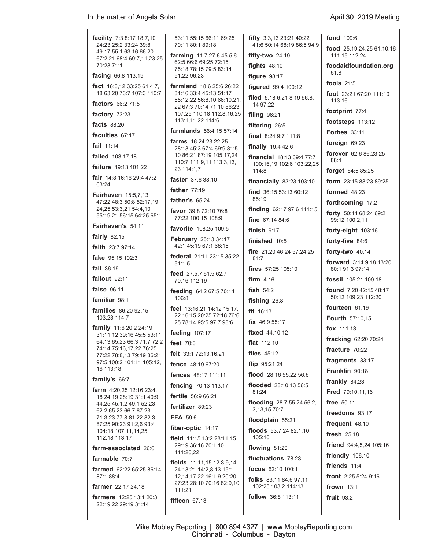| <b>facility</b> 7:3 8:17 18:7,10                         | 53:11 55:15 66:11 69:25                                               | fifty 3:3,13 23:21 40:22               | <b>fond</b> 109:6                                    |
|----------------------------------------------------------|-----------------------------------------------------------------------|----------------------------------------|------------------------------------------------------|
| 24:23 25:2 33:24 39:8<br>49:17 55:1 63:16 66:20          | 70:11 80:1 89:18                                                      | 41:6 50:14 68:19 86:5 94:9             | food 25:19,24,25 61:10,16                            |
| 67:2,21 68:4 69:7,11,23,25<br>70:23 71:1                 | farming 11:7 27:6 45:5,6<br>62:5 66:6 69:25 72:15                     | fifty-two $24:19$<br>fights $48:10$    | 111:15 112:24                                        |
| facing 66:8 113:19                                       | 75:18 78:15 79:5 83:14<br>91:22 96:23                                 | figure 98:17                           | foodaidfoundation.org<br>61:8                        |
| fact $16:3,12:33:25:61:4,7$ ,                            | <b>farmland</b> 18:6 25:6 26:22                                       | figured 99:4 100:12                    | fools $21:5$                                         |
| 18 63:20 73:7 107:3 110:7<br><b>factors</b> 66:2 71:5    | 31:16 33:4 45:13 51:17<br>55:12,22 56:8,10 66:10,21,                  | filed 5:18 6:21 8:19 96:8,<br>14 97:22 | foot 23:21 67:20 111:10<br>113:16                    |
| factory 73:23                                            | 22 67:3 70:14 71:10 86:23<br>107:25 110:18 112:8,16,25                | filing 96:21                           | footprint 77:4                                       |
| <b>facts</b> 88:20                                       | 113:1,11,22 114:6                                                     | filtering 26:5                         | footsteps 113:12                                     |
| faculties 67:17                                          | farmlands 56:4,15 57:14                                               | <b>final</b> $8:249:711:8$             | <b>Forbes</b> 33:11                                  |
| <b>fail</b> $11:14$                                      | <b>farms</b> $16:242:3:22.25$                                         | <b>finally</b> 19:4 42:6               | foreign 69:23                                        |
| <b>failed</b> 103:17,18                                  | 28:13 45:3 67:4 69:9 81:5,<br>10 86:21 87:19 105:17,24                | <b>financial</b> 18:13 69:4 77:7       | forever 62:6 86:23,25                                |
| <b>failure</b> 19:13 101:22                              | 110:7 111:9,11 113:3,13,<br>23 114:1,7                                | 100:16,19 102:6 103:22,25              | 88:4                                                 |
| <b>fair</b> $14:8$ 16:16 29:4 47:2                       | faster 37:6 38:10                                                     | 114:8                                  | forget 84:5 85:25                                    |
| 63:24                                                    | father $77:19$                                                        | financially 83:23 103:10               | <b>form</b> $23:1588:2389:25$                        |
| Fairhaven 15:5,7,13<br>47:22 48:3 50:8 52:17,19,         | father's $65:24$                                                      | find 36:15 53:13 60:12<br>85:19        | formed $48:23$                                       |
| 24,25 53:3,21 54:4,10                                    | <b>favor</b> 39:8 72:10 76:8                                          | finding 62:17 97:6 111:15              | forthcoming 17:2                                     |
| 55:19,21 56:15 64:25 65:1                                | 77:22 100:15 108:9                                                    | fine 67:14 84:6                        | forty 50:14 68:24 69:2<br>99:12 100:2.11             |
| Fairhaven's 54:11                                        | <b>favorite</b> 108:25 109:5                                          | finish $9:17$                          | forty-eight 103:16                                   |
| fairly $82:15$                                           | <b>February</b> 25:13 34:17                                           | finished 10:5                          | forty-five 84:6                                      |
| <b>faith</b> $23:797:14$                                 | 42:1 45:19 67:1 68:15                                                 | <b>fire</b> $21:2046:2457:24,25$       | forty-two 40:14                                      |
| <b>fake</b> $95:15$ 102:3                                | <b>federal</b> 21:11 23:15 35:22<br>51:1,5                            | 84:7                                   | <b>forward</b> 3:14 9:18 13:20                       |
| <b>fall</b> 36:19                                        | feed 27:5,7 61:5 62:7                                                 | <b>fires</b> $57:25$ 105:10            | 80:1 91:3 97:14                                      |
| fallout 92:11                                            | 70:16 112:19                                                          | firm $4:16$                            | fossil 105:21 109:18                                 |
| <b>false</b> 96:11                                       | feeding 64:2 67:5 70:14<br>106:8                                      | fish $54:2$                            | <b>found</b> 7:20 42:15 48:17<br>50:12 109:23 112:20 |
| <b>familiar</b> 98:1                                     | feel 13:16,21 14:12 15:17,                                            | fishing 26:8                           | fourteen 61:19                                       |
| <b>families</b> 86:20 92:15<br>103:23 114:7              | 22 16:15 20:25 72:18 76:6.                                            | fit $16:13$                            | Fourth 57:10,15                                      |
| <b>family</b> 11:6 20:2 24:19                            | 25 78:14 95:5 97:7 98:6                                               | fix $46:955:17$                        | fox $111:13$                                         |
| 31:11,12 39:16 45:5 53:11<br>64:13 65:23 66:3 71:7 72:2  | feeling $107:17$                                                      | <b>fixed</b> $44:10,12$                | fracking 62:20 70:24                                 |
| 74:14 75:16,17,22 76:25                                  | feet 70:3                                                             | <b>flat</b> 112:10                     | fracture 70:22                                       |
| 77:22 78:8,13 79:19 86:21<br>97:5 100:2 101:11 105:12,   | felt 33:1 72:13,16,21                                                 | flies $45:12$                          | fragments 33:17                                      |
| 16 113:18                                                | <b>fence</b> 48:19 67:20                                              | flip $95:21,24$                        | Franklin 90:18                                       |
| family's 66:7                                            | fences 48:17 111:11                                                   | flood 28:16 55:22 56:6                 | frankly $84:23$                                      |
| <b>farm</b> $4:20,25$ 12:16 23:4,                        | fencing 70:13 113:17                                                  | flooded 28:10,13 56:5<br>81:24         | <b>Fred</b> 79:10,11,16                              |
| 18 24:19 28:19 31:1 40:9<br>44:25 45:1.2 49:1 52:23      | fertile 56:9 66:21<br>fertilizer 89:23                                | flooding 28:7 55:24 56:2,              | <b>free</b> 50:11                                    |
| 62:2 65:23 66:7 67:23                                    | <b>FFA 59:6</b>                                                       | 3, 13, 15 70: 7                        | freedoms 93:17                                       |
| 71:3,23 77:8 81:22 82:3<br>87:25 90:23 91:2,6 93:4       |                                                                       | floodplain 55:21                       | frequent 48:10                                       |
| 104:18 107:11,14,25<br>112:18 113:17                     | fiber-optic 14:17<br>field 11:15 13:2 28:11,15                        | floods 53:7,24 82:1,10<br>105:10       | fresh $25:18$                                        |
| farm-associated 26:6                                     | 29:19 36:16 70:1,10                                                   | flowing 81:20                          | friend 94:4,5,24 105:16                              |
| farmable 70:7                                            | 111:20,22                                                             | fluctuations 78:23                     | friendly 106:10                                      |
| farmed 62:22 65:25 86:14                                 | <b>fields</b> $11.11, 15$ $12.3, 9, 14$ ,<br>24 13:21 14:2,8,13 15:1, | <b>focus</b> $62:10$ $100:1$           | friends 11:4                                         |
| 87:1 88:4                                                | 12, 14, 17, 22 16: 1, 9 20: 20                                        | <b>folks</b> 83:11 84:6 97:11          | <b>front</b> $2:255:249:16$                          |
| <b>farmer</b> 22:17 24:18                                | 27:23 28:10 70:16 82:9,10<br>111:21                                   | 102:25 103:2 114:13                    | frown $13:1$                                         |
| <b>farmers</b> $12:25$ 13:1 20:3<br>22:19,22 29:19 31:14 | fifteen $67:13$                                                       | follow 36:8 113:11                     | fruit $93:2$                                         |
|                                                          |                                                                       |                                        |                                                      |

Mike Mobley Reporting | 800.894.4327 | www.MobleyReporting.com Cincinnati - Columbus - Dayton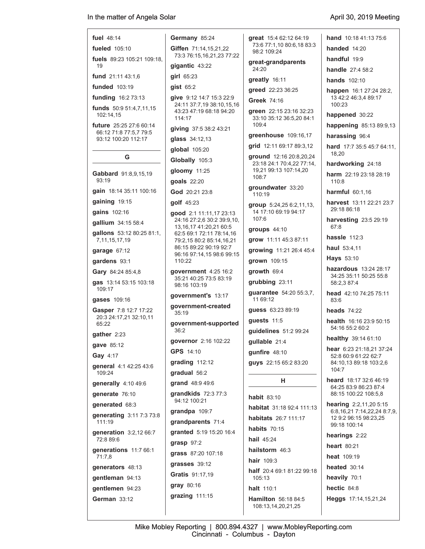| fuel 48:14 | Germany 85:24 |  |
|------------|---------------|--|

**fueled** 105:10 **fuels** 89:23 105:21 109:18, 19

**fund** 21:11 43:1,6

**funded** 103:19

**funding** 16:2 73:13

**funds** 50:9 51:4,7,11,15 102:14,15

**future** 25:25 27:6 60:14 66:12 71:8 77:5,7 79:5 93:12 100:20 112:17

### **G**

**Gabbard** 91:8,9,15,19 93:19

**gain** 18:14 35:11 100:16

**gaining** 19:15

**gains** 102:16

**gallium** 34:15 58:4

**gallons** 53:12 80:25 81:1, 7,11,15,17,19

**garage** 67:12

**gardens** 93:1

**Gary** 84:24 85:4,8

**gas** 13:14 53:15 103:18 109:17

**gases** 109:16

**Gasper** 7:8 12:7 17:22 20:3 24:17,21 32:10,11 65:22

**gather** 2:23

**gave** 85:12

**Gay** 4:17

**general** 4:1 42:25 43:6 109:24

**generally** 4:10 49:6

**generate** 76:10

**generated** 68:3

**generating** 3:11 7:3 73:8 111:19

**generation** 3:2,12 66:7 72:8 89:6 **generations** 11:7 66:1

71:7,8

**generators** 48:13

**gentleman** 94:13

**gentlemen** 94:23 **German** 33:12

 73:3 76:15,16,21,23 77:22 **gigantic** 43:22 **girl** 65:23 **gist** 65:2 **give** 9:12 14:7 15:3 22:9 24:11 37:7,19 38:10,15,16 43:23 47:19 68:18 94:20 114:17 **giving** 37:5 38:2 43:21 **glass** 34:12,13 **global** 105:20

**Giffen** 71:14,15,21,22

**Globally** 105:3

**gloomy** 11:25

**goals** 22:20

**God** 20:21 23:8

**golf** 45:23

**good** 2:1 11:11,17 23:13 24:16 27:2,6 30:2 39:9,10, 13,16,17 41:20,21 60:5 62:5 69:1 72:11 78:14,16 79:2,15 80:2 85:14,16,21 86:15 89:22 90:19 92:7 96:16 97:14,15 98:6 99:15 110:22

**government** 4:25 16:2 35:21 40:25 73:5 83:19 98:16 103:19

**government's** 13:17

**government-created** 35:19

**government-supported** 36:2

**governor** 2:16 102:22 **GPS** 14:10

**grading** 112:12

**gradual** 56:2

**grand** 48:9 49:6

**grandkids** 72:3 77:3 94:12 100:21

**grandpa** 109:7 **grandparents** 71:4 **granted** 5:19 15:20 16:4 **grasp** 97:2 **grass** 87:20 107:18

**grasses** 39:12 **Gratis** 91:17,19 **gray** 80:16 **grazing** 111:15 **great** 15:4 62:12 64:19 73:6 77:1,10 80:6,18 83:3 98:2 109:24 **great-grandparents**

 24:20 **greatly** 16:11

**greed** 22:23 36:25

**Greek** 74:16

**green** 22:15 23:16 32:23 33:10 35:12 36:5,20 84:1 109:4

**greenhouse** 109:16,17

**grid** 12:11 69:17 89:3,12

**ground** 12:16 20:8,20,24 23:18 24:1 70:4,22 77:14, 19,21 99:13 107:14,20 108:7

**groundwater** 33:20 110:19

**group** 5:24,25 6:2,11,13, 14 17:10 69:19 94:17 107:6

**groups** 44:10

**grow** 11:11 45:3 87:11

**growing** 11:21 26:4 45:4

**grown** 109:15 **growth** 69:4

**grubbing** 23:11

**guarantee** 54:20 55:3,7, 11 69:12

**guess** 63:23 89:19

**guests** 11:5 **guidelines** 51:2 99:24

**gullable** 21:4

**gunfire** 48:10 **guys** 22:15 65:2 83:20

## **H**

**habit** 83:10 **habitat** 31:18 92:4 111:13 **habitats** 26:7 111:17 **habits** 70:15 **hail** 45:24 **hailstorm** 46:3 **hair** 109:3 **half** 20:4 69:1 81:22 99:18 105:13 **halt** 110:1 **Hamilton** 56:18 84:5 108:13,14,20,21,25

Mike Mobley Reporting | 800.894.4327 | www.MobleyReporting.com Cincinnati - Columbus - Dayton

**hand** 10:18 41:13 75:6

**handed** 14:20

**handful** 19:9

**handle** 27:4 58:2

**hands** 102:10

**happen** 16:1 27:24 28:2, 13 42:2 46:3,4 89:17 100:23

**happened** 30:22

**happening** 85:13 89:9,13

**harassing** 96:4

**hard** 17:7 35:5 45:7 64:11, 18,20

**hardworking** 24:18

**harm** 22:19 23:18 28:19 110:8

**harmful** 60:1,16

**harvest** 13:11 22:21 23:7 29:18 86:18

**harvesting** 23:5 29:19 67:8

**hassle** 112:3

**haul** 53:4,11

**Hays** 53:10

**hazardous** 13:24 28:17 34:25 35:11 50:25 55:8 58:2,3 87:4

**head** 42:10 74:25 75:11 83:6

**heads** 74:22

**health** 16:16 23:9 50:15 54:16 55:2 60:2

**healthy** 39:14 61:10

**hear** 6:23 21:18,21 37:24 52:8 60:9 61:22 62:7 84:10,13 89:18 103:2,6  $104.7$ 

**heard** 18:17 32:6 46:19 64:25 83:9 86:23 87:4 88:15 100:22 108:5,8

**hearing** 2:2,11,20 5:15 6:8,16,21 7:14,22,24 8:7,9, 12 9:2 96:15 98:23,25 99:18 100:14 **hearings** 2:22 **heart** 80:21 **heat** 109:19 **heated** 30:14 **heavily** 70:1 **hectic** 84:8

**Heggs** 17:14,15,21,24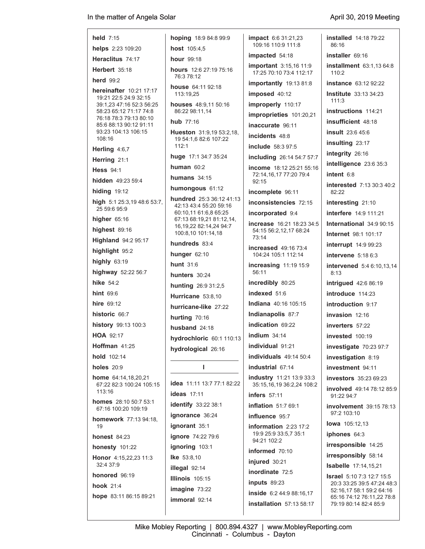| held $7:15$                                              | hoping 18:9 84:8 99:9                                    | <b>impact</b> 6.6 31:21,23                                   | installed 14:18 79:22                                          |
|----------------------------------------------------------|----------------------------------------------------------|--------------------------------------------------------------|----------------------------------------------------------------|
| helps 2:23 109:20                                        | <b>host</b> $105:4.5$                                    | 109:16 110:9 111:8                                           | 86:16                                                          |
| Heraclitus 74:17                                         | <b>hour</b> 99:18                                        | impacted 54:18                                               | installer 69:16                                                |
| <b>Herbert 35:18</b>                                     | <b>hours</b> 12.6 27:19 75:16                            | <b>important</b> 3:15,16 11:9<br>17:25 70:10 73:4 112:17     | installment 63:1,13 64:8<br>110:2                              |
| herd $99:2$                                              | 76:3 78:12                                               | importantly 19:13 81:8                                       | <b>instance</b> 63:12 92:22                                    |
| hereinafter 10:21 17:17                                  | house 64:11 92:18<br>113:19,25                           | imposed 40:12                                                | <b>Institute</b> 33:13 34:23                                   |
| 19:21 22:5 24:9 32:15<br>39:1.23 47:16 52:3 56:25        | houses 48:9,11 50:16                                     | improperly 110:17                                            | 111:3                                                          |
| 58:23 65:12 71:17 74:8<br>76:18 78:3 79:13 80:10         | 86:22 98:11,14                                           | improprieties 101:20,21                                      | <b>instructions</b> 114:21                                     |
| 85:6 88:13 90:12 91:11                                   | hub $77:16$                                              | inaccurate 96:11                                             | insufficient 48:18                                             |
| 93:23 104:13 106:15<br>108:16                            | <b>Hueston</b> $31:9,1953:2,18$<br>19 54:1,6 82:6 107:22 | incidents 48.8                                               | <b>insult</b> 23:6 45:6                                        |
| Herling 4:6,7                                            | 112:1                                                    | <b>include</b> 58:3 97:5                                     | insulting 23:17                                                |
| Herring 21:1                                             | huge 17:1 34:7 35:24                                     | including 26:14 54:7 57:7                                    | integrity 26:16                                                |
| <b>Hess</b> 94:1                                         | human $60:2$                                             | <b>income</b> 18:12 25:21 55:16                              | intelligence 23:6 35:3                                         |
| hidden 49:23 59:4                                        | humans $34:15$                                           | 72:14.16.17 77:20 79:4<br>92:15                              | intent $6:8$                                                   |
| <b>hiding 19:12</b>                                      | humongous 61:12                                          | incomplete 96:11                                             | <b>interested</b> 7:13 30:3 40:2<br>82:22                      |
| high 5:1 25:3,19 48:6 53:7,                              | <b>hundred</b> 25:3 36:12 41:13                          | inconsistencies 72:15                                        | interesting 21:10                                              |
| 25 59 6 95 9                                             | 42:13 43:4 55:20 59:16<br>60:10,11 61:6,8 65:25          | incorporated 9:4                                             | <b>interfere</b> 14:9 111:21                                   |
| higher $65:16$                                           | 67:13 68:19,21 81:12,14,                                 | <b>increase</b> 16:21 18:23 34:5                             | <b>International 34:9 90:15</b>                                |
| highest $89:16$                                          | 16, 19, 22 82: 14, 24 94: 7<br>100:8,10 101:14,18        | 54:15 56:2,12,17 68:24                                       | <b>Internet</b> 98:1 101:17                                    |
| <b>Highland</b> 94:2 95:17                               | hundreds 83:4                                            | 73:14                                                        | <b>interrupt</b> 14:9 99:23                                    |
| highlight 95:2                                           | hunger 62:10                                             | <b>increased</b> 49:16 73:4<br>104:24 105:1 112:14           | intervene $5:186:3$                                            |
| highly 63:19                                             | <b>hunt</b> 31:6                                         | <b>increasing 11:19 15:9</b>                                 | <b>intervened</b> 5:4 6:10,13,14                               |
| highway 52:22 56:7                                       | hunters 30:24                                            | 56:11                                                        | 8:13                                                           |
| hike $54:2$                                              | <b>hunting</b> 26:9 31:2,5                               | incredibly 80:25                                             | <b>intrigued</b> 42:6 86:19                                    |
| hint $69:6$                                              | Hurricane 53:8,10                                        | indexed 51:6                                                 | introduce 114:23                                               |
| <b>hire</b> 69:12                                        | hurricane-like 27:22                                     | <b>Indiana</b> 40:16 105:15                                  | introduction 9:17                                              |
| historic 66:7                                            | hurting 70:16                                            | Indianapolis 87:7                                            | invasion 12:16                                                 |
| history 99:13 100:3                                      | husband $24:18$                                          | indication 69:22                                             | <b>inverters</b> 57:22                                         |
| <b>HOA 92:17</b>                                         | <b>hydrochloric</b> 60:1 110:13                          | indium $34:14$                                               | <b>invested</b> 100:19                                         |
| Hoffman 41:25                                            | hydrological 26:16                                       | individual 91:21                                             | investigate 70:23 97:7                                         |
| hold 102:14                                              |                                                          | individuals 49:14 50:4                                       | investigation 8:19                                             |
| holes $20:9$                                             | П                                                        | industrial 67:14                                             | investment 94:11                                               |
| <b>home</b> $64:14,18,20,21$<br>67:22 82:3 100:24 105:15 | <b>idea</b> 11:11 13:7 77:1 82:22                        | <b>industry</b> 11:21 13:9 33:3<br>35:15,16,19 36:2,24 108:2 | <b>investors</b> 35:23 69:23                                   |
| 113:16                                                   | <b>ideas</b> 17:11                                       | <b>infers</b> 57:11                                          | <b>involved</b> 49:14 78:12 85:9<br>91:22 94:7                 |
| <b>homes</b> 28:10 50:7 53:1<br>67:16 100:20 109:19      | identify 33:22 38:1                                      | <b>inflation</b> 51:7 69:1                                   | involvement 39:15 78:13                                        |
| <b>homework</b> 77:13 94:18,                             | ignorance 36:24                                          | influence 95:7                                               | 97:2 103:10                                                    |
| 19                                                       | ignorant 35:1                                            | information 2:23 17:2                                        | <b>lowa</b> 105:12,13                                          |
| <b>honest 84:23</b>                                      | ignore 74:22 79:6                                        | 19:9 25:9 33:5,7 35:1<br>94:21 102:2                         | iphones 64:3                                                   |
| <b>honesty</b> 101:22                                    | ignoring 103:1                                           | informed 70:10                                               | irresponsible 14:25                                            |
| Honor 4:15,22,23 11:3<br>32:4 37:9                       | <b>Ike</b> 53:8,10                                       | injured 30:21                                                | irresponsibly 58:14                                            |
| honored 96:19                                            | illegal 92:14                                            | inordinate 72:5                                              | <b>Isabelle</b> 17:14,15,21                                    |
| hook $21:4$                                              | Illinois 105:15                                          | inputs 89:23                                                 | <b>Israel</b> 5:10 7:3 12:7 15:5<br>20:3 33:25 39:5 47:24 48:3 |
|                                                          | imagine 73:22                                            | inside 6:2 44:9 88:16,17                                     | 52:16,17 58:1 59:2 64:16                                       |
| hope 83:11 86:15 89:21                                   | immoral 92:14                                            | installation 57:13 58:17                                     | 65:16 74:12 76:11,22 78:8<br>79:19 80:14 82:4 85:9             |
|                                                          |                                                          |                                                              |                                                                |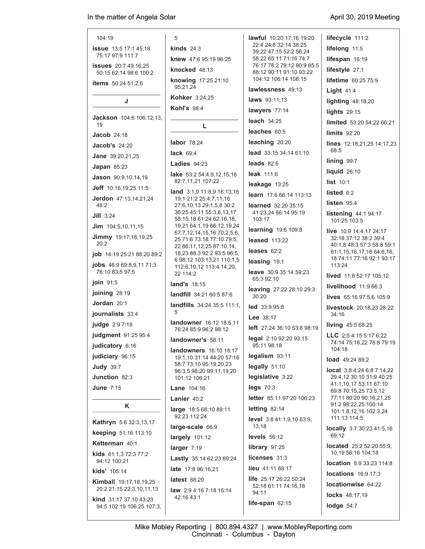| 104:19                                                | 5                                                                                   | <b>lawful</b> 10:20 17:16 19:20                       | lifecycle 111:2                            |
|-------------------------------------------------------|-------------------------------------------------------------------------------------|-------------------------------------------------------|--------------------------------------------|
| <b>issue</b> 13:5 17:1 45:18                          | kinds $24:3$                                                                        | 22:4 24:8 32:14 38:25<br>39:22 47:15 52:2 56:24       | lifelong 11:5                              |
| 75:17 97:9 111:7                                      | knew 47:6 95:19 96:25                                                               | 58:22 65:11 71:16 74:7                                | lifespan 16:19                             |
| <b>issues</b> 20:7 49:16,25<br>50:15 62:14 98:6 100:2 | knocked 48:13                                                                       | 76:17 78:2 79:12 80:9 85:5<br>88:12 90:11 91:10 93:22 | lifestyle 27:1                             |
| <b>items</b> 50:24 51:2,6                             | knowing 17:25 21:10                                                                 | 104:12 106:14 108:15                                  | <b>lifetime</b> 60:25 75:9                 |
|                                                       | 95:21,24                                                                            | lawlessness 49:13                                     | Light $41:4$                               |
| J                                                     | <b>Kohker</b> 3:24,25                                                               | laws 93:11,13                                         | lighting $48:18,20$                        |
|                                                       | <b>Kohl's 98:4</b>                                                                  | lawyers 77:14                                         | <b>lights</b> 29:15                        |
| <b>Jackson</b> 104:6 106:12.13.<br>19                 |                                                                                     | leach $34:25$                                         | limited 53:20 54:22                        |
| <b>Jacob</b> 24:18                                    | L                                                                                   | leaches 60:5                                          | limits 92:20                               |
|                                                       | labor 78:24                                                                         | leaching 20:20                                        | lines 12:18,21,25 1                        |
| <b>Jacob's 24:20</b>                                  | lack $69:4$                                                                         | lead 33:15 34:14 61:10                                | 68:5                                       |
| Jane 39:20,21,25                                      |                                                                                     |                                                       | $\lim_{99:7}$                              |
| Japan $85:23$                                         | Ladies $94:23$                                                                      | leads $82:6$                                          |                                            |
| Jason 90:9,10,14,19                                   | lake 53:2 54:4,9,12,15,16                                                           | leak 111:6                                            | liquid $26:10$                             |
|                                                       | 82:7,11,21 107:22                                                                   | leakage $13:25$                                       | list 10:1                                  |
| Jeff 10:16,19,25 11:5                                 | <b>land</b> 3:1,9 11:8,9 16:13,16                                                   | learn 17:6 66:14 113:13                               | listed 6:2                                 |
| <b>Jerdon</b> 47:13,14,21,24<br>48:2                  | 19:1 21:2 25:4,7,11,16<br>27:6,10,13 29:1,5,8 30:2                                  | learned 32:20 35:15                                   | listen $95.4$                              |
| $JIII$ 3:24                                           | 36:25 45:11 55:3,6,13,17<br>58:15,18 61:24 62:16,18,                                | 41:23.24 66:14 95:19<br>103:17                        | listening 44:194:1<br>101:25 103:5         |
| $Jim$ 104:5,10,11,15                                  | 19,21 64:1,19 66:12,19,24                                                           | learning 19:6 109:8                                   | live 10:9 14:4,17 24                       |
| Jimmy 19:17,18,19,25<br>20:2                          | 67:7,12,14,15,16 70:2,5,6,<br>25 71:6 73:18 77:10 79:5.<br>22 86:11,12,25 87:10,14, | <b>leased</b> 113:22                                  | 32:18 37:12 38:2 39<br>40:1.8 48:3 57:3 58 |
| <b>job</b> 14:19 25:21 88:20 89:2                     | 18,23 88:3 92:2 93:5 96:5,                                                          | leases $62:2$                                         | 61:1,15,16,17,18 64                        |
| <b>jobs</b> $46.969.8.9.1171.3$                       | 6 98:12 103:13,21 110:1,5<br>1126 10 12 1131 1120                                   | leasing 19:1                                          | 18 74:11 77:16 92:1<br>113.24              |

**jobs** 46:9 69:8,9,11 71:3 76:10 83:5 97:5

**join** 91:5

**joining** 28:19

**Jordan** 20:1

**journalists** 33:4

**judge** 2:9 7:18

**judgment** 91:25 95:4

**judicatory** 6:16

**judiciary** 96:15

**Judy** 39:7

**Junction** 82:3 **June** 7:15

# **K**

**Kathryn** 5:6 32:3,13,17 **keeping** 51:16 113:10 **Ketterman** 40:1 **kids** 61:1,3 72:3 77:2 94:12 100:21 **kids'** 105:14

**Kimball** 19:17,18,19,25 20:2 21:15 22:3,10,11,13

**kind** 31:17 37:10 43:23 94:5 102:19 106:25 107:3, **landfill** 34:21 60:5 87:6 **landfills** 34:24 35:5 111:1, 5

112:6,10,12 113:4,14,20,

 22 114:2 **land's** 18:15

**landowner** 16:12 18:5,11 76:24 85:9 96:2 98:12

**landowner's** 58:11

**landowners** 16:10 18:17 19:1,10 31:14 44:20 57:16 58:7 73:10 95:19,20,23 96:3,5 98:20 99:11,19,20 101:12 106:21

**Lane** 104:16

**Lanier** 40:2

**large** 18:5 68:10 89:11 92:23 112:24

**large-scale** 66:9

**largely** 101:12

**larger** 7:19

**Lastly** 35:14 62:23 69:24

**late** 17:8 96:16,21

**latest** 68:20

**law** 2:9 4:16 7:18 16:14 42:16 43:1

**leave** 30:9 35:14 59:23 65:3 92:10

**leaving** 27:22 28:10 29:3 30:20

**led** 33:9 95:8

**Lee** 38:17

**left** 27:24 36:10 53:8 98:19

**legal** 2:10 92:20 93:15 95:11 98:18

**legalism** 93:11

**legally** 51:10

**legislative** 3:22

**legs** 70:3

**letter** 85:11 97:20 106:23 **letting** 82:14

**level** 3:8 41:1,9,10 63:9, 13,18

**levels** 56:12

**library** 97:25

**licenses** 31:3

**lieu** 41:11 68:17

**life** 25:17 26:22 50:24 52:18 61:11 74:16,18 94:11

**life-span** 62:15

**limited** 53:20 54:22 66:21 **lines** 12:18,21,25 14:17,23 **listening** 44:1 94:17 **24:17** 39:4 58:8 59:1 64:6,16, 18 17:17

**lived** 11:8 52:17 105:12

**livelihood** 11:9 66:3

**lives** 65:16 97:5,6 105:9

**livestock** 20:18,23 28:22 34:16

**living** 45:5 68:25

**LLC** 2:5 4:15 5:17 6:22 74:14 75:16,22 78:8 79:19 104:18

**load** 49:24 89:2

**local** 3:8 4:24 6:8 7:14,22 29:4,12 30:10 31:9 40:25 41:1,10,17 53:11 67:10 69:8 70:15,25 73:5,12 77:11 80:20 90:16,21,25 91:2 98:22,25 100:14 101:1,8,12,16 102:3,24 111:13 114:5

**locally** 3:7 30:23 41:5,16 69:12

**located** 25:2 52:20 55:9, 10,19 56:16 104:18

**location** 8:9 33:23 114:8

**locations** 16:9 17:3

**locationwise** 64:22

**locks** 48:17,19

**lodge** 54:7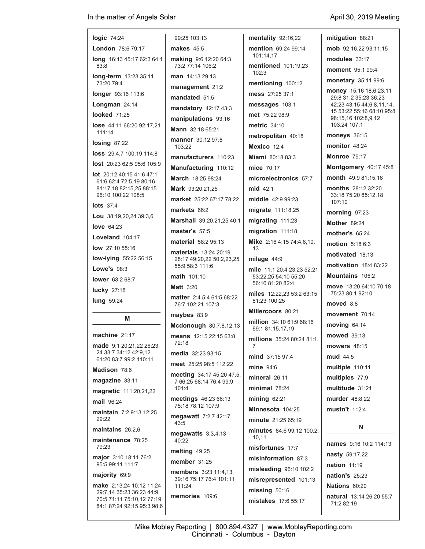| logic 74:24                                                                       | 99:25 103:13                                                                                                                                                                                                                                                                                                     |
|-----------------------------------------------------------------------------------|------------------------------------------------------------------------------------------------------------------------------------------------------------------------------------------------------------------------------------------------------------------------------------------------------------------|
| <b>London 78:6 79:17</b>                                                          | <b>makes</b> 45:5                                                                                                                                                                                                                                                                                                |
| long 16:13 45:17 62:3 64:1<br>83:8                                                | <b>making</b> 9.6 12:20<br>73:2 77:14 106:2                                                                                                                                                                                                                                                                      |
| long-term 13:23 35:11<br>73:20 79:4                                               | <b>man</b> 14:13 29:13                                                                                                                                                                                                                                                                                           |
| longer 93:16 113:6                                                                | management 21                                                                                                                                                                                                                                                                                                    |
| Longman 24:14                                                                     | mandated 51:5                                                                                                                                                                                                                                                                                                    |
| <b>looked</b> 71:25                                                               | mandatory 42:17                                                                                                                                                                                                                                                                                                  |
| <b>lose</b> 44:11 66:20 92:17,21<br>111:14                                        | manipulations 9<br>Mann 32:18 65:21                                                                                                                                                                                                                                                                              |
| $\log$ ing 87:22                                                                  | <b>manner</b> 30:12 97                                                                                                                                                                                                                                                                                           |
| <b>loss</b> 29:4.7 100:19 114:8                                                   | 103:22<br>manufacturers                                                                                                                                                                                                                                                                                          |
| lost 20:23 62:5 95:6 105:9                                                        | Manufacturing                                                                                                                                                                                                                                                                                                    |
| <b>lot</b> 20:12 40:15 41:6 47:1                                                  | <b>March</b> 18:25 98:2                                                                                                                                                                                                                                                                                          |
| 61:6 62:4 72:5,19 80:16<br>81:17,18 82:15,25 88:15                                | <b>Mark</b> 93:20,21,25                                                                                                                                                                                                                                                                                          |
| 96:10 100:22 108:5                                                                | market 25:22 67:                                                                                                                                                                                                                                                                                                 |
| <b>lots</b> 37:4                                                                  | markets 66.2                                                                                                                                                                                                                                                                                                     |
| Lou 38:19,20,24 39:3,6                                                            | Marshall 39:20,2                                                                                                                                                                                                                                                                                                 |
| love $64:23$                                                                      | master's 57:5                                                                                                                                                                                                                                                                                                    |
| Loveland 104:17                                                                   | material 58:2 95:                                                                                                                                                                                                                                                                                                |
| low 27:10 55:16                                                                   | materials 13:24 2                                                                                                                                                                                                                                                                                                |
| low-lying 55:22 56:15<br><b>Lowe's 98:3</b>                                       | 28:17 49:20,22 50<br>55:9 58:3 111:6                                                                                                                                                                                                                                                                             |
| lower 63:2 68:7                                                                   | <b>math</b> 101:10                                                                                                                                                                                                                                                                                               |
|                                                                                   | <b>Matt</b> 3:20                                                                                                                                                                                                                                                                                                 |
|                                                                                   |                                                                                                                                                                                                                                                                                                                  |
| lucky 27:18<br>lung 59:24                                                         |                                                                                                                                                                                                                                                                                                                  |
| M                                                                                 | $maybes$ 83:9                                                                                                                                                                                                                                                                                                    |
|                                                                                   |                                                                                                                                                                                                                                                                                                                  |
| machine 21:17                                                                     | 72:18                                                                                                                                                                                                                                                                                                            |
| made 9:1 20:21,22 26:23,<br>24 33:7 34:12 42:9,12                                 |                                                                                                                                                                                                                                                                                                                  |
| 61:20 83:7 99:2 110:11                                                            |                                                                                                                                                                                                                                                                                                                  |
| Madison 78:6<br>magazine 33:11                                                    |                                                                                                                                                                                                                                                                                                                  |
| <b>magnetic</b> 111:20,21,22                                                      | 101:4                                                                                                                                                                                                                                                                                                            |
| <b>mail 96:24</b>                                                                 |                                                                                                                                                                                                                                                                                                                  |
| <b>maintain</b> 7:2 9:13 12:25<br>29:22                                           | 43:5                                                                                                                                                                                                                                                                                                             |
| maintains 26:2.6<br>maintenance 78:25                                             | 40:22                                                                                                                                                                                                                                                                                                            |
| 79:23                                                                             | melting $49:25$                                                                                                                                                                                                                                                                                                  |
| major 3:10 18:11 76:2<br>95:5 99:11 111:7                                         | member $31:25$                                                                                                                                                                                                                                                                                                   |
| majority 69:9                                                                     |                                                                                                                                                                                                                                                                                                                  |
| make 2:13,24 10:12 11:24<br>29:7,14 35:23 36:23 44:9<br>70:5 71:11 75:10,12 77:19 | matter 2:4 5:4 61<br>76:7 102:21 107:3<br>Mcdonough 80:<br>means 12:15 22:<br>media 32:23 93:1<br>meet 25:25 98:5 1<br>meeting 34:17 45<br>7 66:25 68:14 76:<br>meetings $46:236$<br>75:18 78:12 107:9<br>megawatt $7:2,7$<br>megawatts 3:3,4<br>members $3:231$<br>39:16 75:17 76:4<br>111:24<br>memories 109:6 |

03:13 **makes** 45:5 **making** 9:6 12:20 64:3 14 106:2 **man** 14:13 29:13 **ement** 21:2 **ted** 51:5 **mandatory** 42:17 43:3 **lations** 93:16 **Mann** 32:18 65:21 **manner** 30:12 97:8 **manufacturers** 110:23 **Manufacturing** 110:12 **March** 18:25 98:24 **Mark** 93:20,21,25 **market** 25:22 67:17 78:22 **s** 66:2 **Marshall** 39:20,21,25 40:1 **master's** 57:5 **material** 58:2 95:13 **materials** 13:24 20:19 28:17 49:20,22 50:2,23,25 55:9 58:3 111:6 01:10 **Matt** 3:20 **matter** 2:4 5:4 61:5 68:22 76:7 102:21 107:3 **maybes** 83:9 **bugh** 80:7,8,12,13 **means** 12:15 22:15 63:8 **media** 32:23 93:15 **meet** 25:25 98:5 112:22 **meeting** 34:17 45:20 47:5, 7 66:25 68:14 76:4 99:9 **meetings** 46:23 66:13 75:18 78:12 107:9 **megawatt** 7:2,7 42:17 **atts** 3:3,4,13 **melting** 49:25 **member** 31:25 **members** 3:23 11:4,13 39:16 75:17 76:4 101:11 **mentality** 92:16,22 **mention** 69:24 99:14 102:3 13 7 10,11 **missing** 50:16

 101:14,17 **mentioned** 101:19,23 **mentioning** 100:12 **mess** 27:25 37:1 **messages** 103:1 **met** 75:22 98:9 **metric** 34:10 **metropolitan** 40:18 **Mexico** 12:4 **Miami** 80:18 83:3 **mice** 70:17 **microelectronics** 57:7 **mid** 42:1 **middle** 42:9 99:23 **migrate** 111:18,25 **migrating** 111:23 **migration** 111:18 **Mike** 2:16 4:15 74:4,6,10, **milage** 44:9 **mile** 11:1 20:4 23:23 52:21 53:22,25 54:10 55:20 56:16 81:20 82:4 **miles** 12:22,23 53:2 63:15 81:23 100:25 **Millercoors** 80:21 **million** 34:10 61:9 68:16 69:1 81:15,17,19 **millions** 35:24 80:24 81:1, **mind** 37:15 97:4 **mine** 94:6 **mineral** 26:11 **minimal** 78:24 **mining** 62:21 **Minnesota** 104:25 **minute** 21:25 65:19 **minutes** 84:6 99:12 100:2, **misfortunes** 17:7 **misinformation** 87:3 **misleading** 96:10 102:2 **misrepresented** 101:13

| mitigation 88:21                                                                                                                                 |
|--------------------------------------------------------------------------------------------------------------------------------------------------|
| mob 92:16,22 93:11,15                                                                                                                            |
| modules 33:17                                                                                                                                    |
| <b>moment</b> 95:1 99:4                                                                                                                          |
| monetary 35:11 99:6                                                                                                                              |
| money 15:16 18:6 23:11<br>29:8 31:2 35:23 36:23<br>42:23 43:15 44:6,8,11,14,<br>15 53:22 55:16 68:10 95:8<br>98:15,16 102:8,9,12<br>103:24 107:1 |
| moneys 36:15                                                                                                                                     |
| monitor 48:24                                                                                                                                    |
| <b>Monroe 79:17</b>                                                                                                                              |
| Montgomery 40:17 45:8                                                                                                                            |
| month 49:9 81:15,16                                                                                                                              |
| months 28:12 32:20<br>33:18 75:20 85:12,18<br>107:10                                                                                             |
| morning 97:23                                                                                                                                    |
| <b>Mother 89:24</b>                                                                                                                              |
| <b>mother's</b> 65:24                                                                                                                            |
| <b>motion</b> 5:18 6:3                                                                                                                           |
| motivated 18:13                                                                                                                                  |
| <b>motivation</b> 18.4 83:22                                                                                                                     |
| <b>Mountains</b> 105:2                                                                                                                           |
| move 13:20 64:10 70:18<br>75:23 80:1 92:10                                                                                                       |
| moved 8:8                                                                                                                                        |
| movement 70:14                                                                                                                                   |
| moving 64:14                                                                                                                                     |
| mowed 39:13                                                                                                                                      |
| mowers 48:15                                                                                                                                     |
| mud 44:5                                                                                                                                         |
| multiple 110:11                                                                                                                                  |
| multiples 77:9                                                                                                                                   |
| multitude 31:21                                                                                                                                  |
| murder 48:8.22                                                                                                                                   |
| mustn't 112:4                                                                                                                                    |
| N                                                                                                                                                |
| names 9:16 10:2 114:13                                                                                                                           |
| nasty 59:17,22                                                                                                                                   |

**nation** 11:19 **nation's** 25:23 **Nations** 60:20 **natural** 13:14 26:20 55:7 71:2 82:19

**mistakes** 17:6 55:17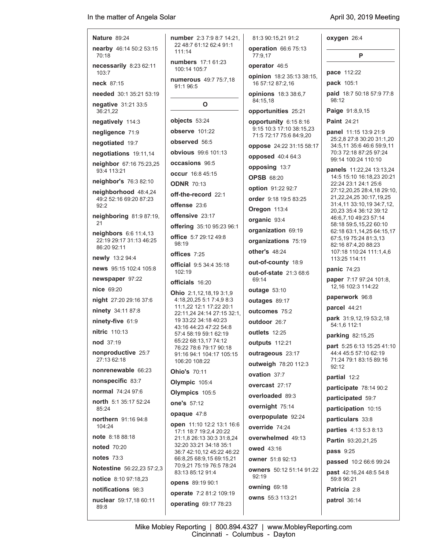| <b>Nature 89:24</b>                              | <b>number</b> 2:3 7:9 8:7 14:21,                     | 81:3 90:15,21 91:2                                  | oxygen 26:4                                                 |
|--------------------------------------------------|------------------------------------------------------|-----------------------------------------------------|-------------------------------------------------------------|
| nearby 46:14 50:2 53:15<br>70:18                 | 22 48:7 61:12 62:4 91:1<br>111:14                    | operation 66:6 75:13<br>77:9.17                     | P                                                           |
| necessarily 8:23 62:11<br>103:7                  | <b>numbers</b> 17:1 61:23<br>100:14 105:7            | operator 46:5                                       | pace 112:22                                                 |
| <b>neck</b> 87:15                                | numerous 49:7 75:7,18<br>91:1 96:5                   | opinion 18:2 35:13 38:15,<br>16 57:12 87:2,16       | <b>pack</b> 105:1                                           |
| needed 30:1 35:21 53:19                          |                                                      | opinions 18:3 38:6,7<br>84:15,18                    | paid 18:7 50:18 57:9 77:8<br>98:12                          |
| negative 31:21 33:5<br>36:21,22                  | O                                                    | opportunities 25:21                                 | Paige 91:8,9,15                                             |
| negatively 114:3                                 | objects 53:24                                        | opportunity 6:15 8:16                               | <b>Paint</b> 24:21                                          |
| negligence 71:9                                  | observe 101:22                                       | 9:15 10:3 17:10 38:15,23<br>71:5 72:17 75:6 84:9,20 | panel 11:15 13:9 21:9                                       |
| negotiated 19:7                                  | observed 56:5                                        | oppose 24:22 31:15 58:17                            | 25:2,8 27:8 30:20 31:1,20<br>34:5,11 35:6 46:6 59:9,11      |
| negotiations 19:11,14                            | <b>obvious</b> 99:6 101:13                           | opposed 40:4 64:3                                   | 70:3 72:18 87:25 97:24                                      |
| neighbor 67:16 75:23,25                          | occasions 96:5                                       | opposing 13:7                                       | 99:14 100:24 110:10                                         |
| 93:4 113:21                                      | <b>occur</b> 16:8 45:15                              | <b>OPSB 68:20</b>                                   | panels 11:22,24 13:13,24<br>14:5 15:10 16:18,23 20:21       |
| neighbor's 76:3 82:10                            | <b>ODNR 70:13</b>                                    | option 91:22 92:7                                   | 22:24 23:1 24:1 25:6                                        |
| neighborhood 48:4,24<br>49:2 52:16 69:20 87:23   | off-the-record 22:1                                  | order 9:18 19:5 83:25                               | 27:12,20,25 28:4,18 29:10,<br>21, 22, 24, 25 30: 17, 19, 25 |
| 92:2                                             | offense 23:6                                         | Oregon 113:4                                        | 31:4,11 33:10,19 34:7,12,                                   |
| neighboring 81:9 87:19,                          | offensive 23:17                                      | organic 93:4                                        | 20,23 35:4 36:12 39:12<br>46:6,7,10 49:23 57:14             |
| 21                                               | offering 35:10 95:23 96:1                            | organization 69:19                                  | 58:18 59:5,15,22 60:10<br>62:18 63:1,14,25 64:15,17         |
| neighbors 6:6 11:4,13<br>22:19 29:17 31:13 46:25 | <b>office</b> 5:7 29:12 49:8                         | organizations 75:19                                 | 67:5,19 75:24 81:3,13                                       |
| 86:20 92:11                                      | 98:19                                                | other's $48:24$                                     | 82:16 87:4,20 88:23<br>107:18 110:24 111:1,4,6              |
| newly 13:2 94:4                                  | offices 7:25                                         | out-of-county 18:9                                  | 113:25 114:11                                               |
| news 95:15 102:4 105:8                           | official 9:5 34:4 35:18<br>102:19                    | out-of-state 21:3 68:6                              | panic 74:23                                                 |
| newspaper 97:22                                  | officials 16:20                                      | 69:14                                               | paper 7:17 97:24 101:8,                                     |
| nice 69:20                                       | Ohio 2:1,12,18,19 3:1,9                              | outage 53:10                                        | 12,16 102:3 114:22                                          |
| night 27:20 29:16 37:6                           | 4:18,20,25 5:1 7:4,9 8:3<br>11:1,22 12:1 17:22 20:1  | outages 89:17                                       | paperwork 96:8                                              |
| ninety 34:11 87:8                                | 22:11.24 24:14 27:15 32:1.                           | outcomes 75:2                                       | parcel 44:21                                                |
| ninety-five 61:9                                 | 19 33:22 34:18 40:23<br>43:16 44:23 47:22 54:8       | outdoor 26:7                                        | park 31:9,12,19 53:2,18<br>54:1,6 112:1                     |
| <b>nitric</b> 110:13                             | 57:4 58:19 59:1 62:19                                | outlets 12:25                                       | parking 82:15,25                                            |
| nod 37:19                                        | 65:22 68:13,17 74:12<br>76:22 78:6 79:17 90:18       | outputs 112:21                                      | <b>part</b> 5:25 6:13 15:25 41:10                           |
| nonproductive 25:7<br>27:13 62:18                | 91:16 94:1 104:17 105:15                             | outrageous 23:17                                    | 44:4 45:5 57:10 62:19                                       |
| nonrenewable 66:23                               | 106:20 108:22                                        | outweigh 78:20 112:3                                | 71:24 79:1 83:15 89:16<br>92:12                             |
| nonspecific 83:7                                 | <b>Ohio's 70:11</b>                                  | ovation 37:7                                        | partial 12:2                                                |
| normal 74:24 97:6                                | Olympic 105:4                                        | overcast 27:17                                      | participate 78:14 90:2                                      |
| north 5:1 35:17 52:24                            | Olympics 105:5                                       | overloaded 89:3                                     | participated 59:7                                           |
| 85:24                                            | one's 57:12                                          | overnight 75:14                                     | participation 10:15                                         |
| northern 91:16 94:8                              | opaque 47:8                                          | overpopulate 92:24                                  | particulars 33:8                                            |
| 104:24                                           | open 11:10 12:2 13:1 16:6<br>17:1 18:7 19:2,4 20:22  | override 74:24                                      | parties 4:13 5:3 8:13                                       |
| <b>note</b> 8:18 88:18                           | 21:1.8 26:13 30:3 31:8.24                            | overwhelmed 49:13                                   | <b>Partin</b> 93:20,21,25                                   |
| <b>noted</b> 70:20                               | 32:20 33:21 34:18 35:1<br>36:7 42:10,12 45:22 46:22  | owed 43:16                                          | pass 9:25                                                   |
| notes $73:3$                                     | 66:8,25 68:9,15 69:15,21<br>70.9,21 75:19 76:5 78:24 | <b>owner</b> 51:8 92:13                             | passed 10:2 66:6 99:24                                      |
| <b>Notestine</b> 56.22,23 57:2,3                 | 83:13 85:12 91:4                                     | <b>owners</b> 50:12 51:14 91:22<br>92:19            | <b>past</b> 42:16,24 48:5 54:8                              |
| notice 8:10 97:18,23                             | opens 89:19 90:1                                     | owning 69:18                                        | 59:8 96:21                                                  |
| notifications 98:3                               | operate 7:2 81:2 109:19                              | owns 55:3 113:21                                    | Patricia 2:8                                                |
| nuclear 59:17,18 60:11<br>89:8                   | operating 69:17 78:23                                |                                                     | patrol 36:14                                                |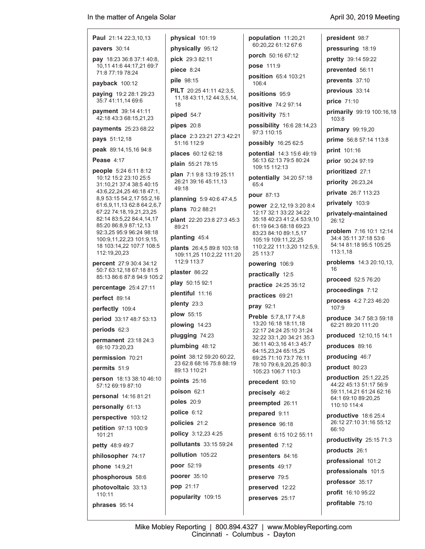## **Paul** 21:14 22:3,10,13 **pavers** 30:14 **pay** 18:23 36:8 37:1 40:8, 10,11 41:6 44:17,21 69:7 71:8 77:19 78:24 **payback** 100:12 **paying** 19:2 28:1 29:23 35:7 41:11,14 69:6 **payment** 39:14 41:11 42:18 43:3 68:15,21,23 **payments** 25:23 68:22 **pays** 51:12,18 **peak** 89:14,15,16 94:8 **Pease** 4:17 **people** 5:24 6:11 8:12 10:12 15:2 23:10 25:5 31:10,21 37:4 38:5 40:15 43:6,22,24,25 46:18 47:1, 8,9 53:15 54:2,17 55:2,16 61:6,9,11,13 62:8 64:2,6,7 67:22 74:18,19,21,23,25 82:14 83:5,22 84:4,14,17 85:20 86:8,9 87:12,13 92:3,25 95:9 96:24 98:18 100:9,11,22,23 101:9,15, 18 103:14,22 107:7 108:5 112:19,20,23

**percent** 27:9 30:4 34:12 50:7 63:12,18 67:18 81:5 85:13 86:6 87:8 94:9 105:2

**percentage** 25:4 27:11

**perfect** 89:14

**perfectly** 109:4

**period** 33:17 48:7 53:13

**periods** 62:3

**permanent** 23:18 24:3 69:10 73:20,23

**permission** 70:21

**permits** 51:9

**person** 18:13 38:10 46:10 57:12 69:19 87:10

**personal** 14:16 81:21

**personally** 61:13

**perspective** 103:12

**petition** 97:13 100:9 101:21

**petty** 48:9 49:7

**philosopher** 74:17

**phone** 14:9,21

**phosphorous** 58:6

**photovoltaic** 33:13 110:11

**phrases** 95:14

**physically** 95:12 **pick** 29:3 82:11 **piece** 8:24 **pile** 98:15 **PILT** 20:25 41:11 42:3,5, 11,18 43:11,12 44:3,5,14, 18 **piped** 54:7 **pipes** 20:8 **place** 2:3 23:21 27:3 42:21 51:16 112:9 **places** 60:12 62:18 **plain** 55:21 78:15 **plan** 7:1 9:8 13:19 25:11 26:21 39:16 45:11,13 49:18 **planning** 5:9 40:6 47:4,5 **plans** 70:2 88:21 **plant** 22:20 23:8 27:3 45:3 89:21 **planting** 45:4 **plants** 26:4,5 89:8 103:18 109:11,25 110:2,22 111:20 112:9 113:7 **plaster** 86:22 **play** 50:15 92:1 **plentiful** 11:16 **plenty** 23:3 **plow** 55:15 **plowing** 14:23 **plugging** 74:23 **plumbing** 48:12 **point** 38:12 59:20 60:22, 23 62:8 68:16 75:8 88:19 89:13 110:21 **points** 25:16 **poison** 62:1 **poles** 20:9 **police** 6:12 **policies** 21:2 **policy** 3:12,23 4:25 **pollutants** 33:15 59:24 **pollution** 105:22 **poor** 52:19 **poorer** 35:10 **pop** 21:17 **popularity** 109:15

**physical** 101:19

**population** 11:20,21 60:20,22 61:12 67:6 **porch** 50:16 67:12 **pose** 111:9 **position** 65:4 103:21 106:4 **positions** 95:9 **positive** 74:2 97:14 **positivity** 75:1 **possibility** 16:6 28:14,23 97:3 110:15 **possibly** 16:25 62:5 **potential** 14:3 15:6 49:19 56:13 62:13 79:5 80:24 109:15 112:13 **potentially** 34:20 57:18 65:4 **pour** 87:13 **power** 2:2,12,19 3:20 8:4 12:17 32:1 33:22 34:22 35:18 40:23 41:2,4 53:9,10 61:19 64:3 68:18 69:23 83:23 84:10 89:1,5,17 105:19 109:11,22,25 110:2,22 111:3,20 112:5,9, 25 113:7 **powering** 106:9 **practically** 12:5 **practice** 24:25 35:12 **practices** 69:21 **pray** 92:1 **Preble** 5:7,8,17 7:4,8 13:20 16:18 18:11,18 22:17 24:24 25:10 31:24 32:22 33:1,20 34:21 35:3 36:11 40:3,16 41:3 45:7 64:15,23,24 65:15,25 69:25 71:10 73:7 76:11 78:10 79:6,9,20,25 80:3 105:23 106:7 110:3 **precedent** 93:10 **precisely** 46:2

**preempted** 26:11

**prepared** 9:11

**present** 6:15 10:2 55:11

**presented** 7:12 **presenters** 84:16 **presents** 49:17 **preserve** 79:5 **preserved** 12:22 **preserves** 25:17

**presence** 96:18 **president** 98:7 **pressuring** 18:19 **pretty** 39:14 59:22 **prevented** 56:11 **prevents** 37:10 **previous** 33:14 **price** 71:10 **primarily** 99:19 100:16,18 103:8 **primary** 99:19,20 **prime** 56:8 57:14 113:8 **print** 101:16 **prior** 90:24 97:19 **prioritized** 27:1 **priority** 26:23,24 **private** 26:7 113:23 **privately** 103:9 **privately-maintained** 26:12 **problem** 7:16 10:1 12:14 34:4 35:11 37:18 53:6 54:14 81:18 95:5 105:25 113:1,18 **problems** 14:3 20:10,13, 16 **proceed** 52:5 76:20 **proceedings** 7:12 **process** 4:2 7:23 46:20 107:9 **produce** 34:7 58:3 59:18 62:21 89:20 111:20 **produced** 12:10,15 14:1 **produces** 89:16 **producing** 46:7 **product** 80:23 **production** 25:1,22,25 44:22 45:13 51:17 56:9 59:11,14,21 61:24 62:16 64:1 69:10 89:20,25 110:10 114:4 **productive** 18:6 25:4 26:12 27:10 31:16 55:12 66:10 **productivity** 25:15 71:3 **products** 26:1 **professional** 101:2 **professionals** 101:5 **professor** 35:17 **profit** 16:10 95:22

**profitable** 75:10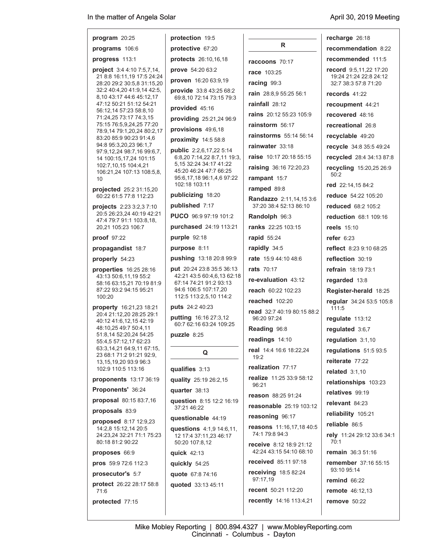| program $20:25$                                                                                                                                                                                                                                             | protection 19:5                                      |                                                   |  |
|-------------------------------------------------------------------------------------------------------------------------------------------------------------------------------------------------------------------------------------------------------------|------------------------------------------------------|---------------------------------------------------|--|
| programs 106:6                                                                                                                                                                                                                                              | protective 67:20                                     | R.                                                |  |
| progress 113:1                                                                                                                                                                                                                                              | protects 26:10,16,18                                 | raccoons 70:17                                    |  |
| project 3:4 4:10 7:5,7,14,<br>21 8:8 16:11,19 17:5 24:24<br>28:20 29:2 30:5,8 31:15,20<br>32:2 40:4,20 41:9,14 42:5,<br>8,10 43:17 44:6 45:12,17<br>47:12 50:21 51:12 54:21<br>56:12,14 57:23 58:8,10<br>71:24,25 73:17 74:3,15<br>75:15 76:5,9,24,25 77:20 | prove 54:20 63:2                                     | <b>race</b> 103:25                                |  |
|                                                                                                                                                                                                                                                             | proven 16:20 63:9,19                                 | racing 99:3                                       |  |
|                                                                                                                                                                                                                                                             | provide 33:8 43:25 68:2                              | rain 28:8,9 55:25 56:1                            |  |
|                                                                                                                                                                                                                                                             | 69:8,10 72:14 73:15 79:3<br>provided 45:16           | rainfall $28:12$                                  |  |
|                                                                                                                                                                                                                                                             | providing 25:21,24 96:9                              | <b>rains</b> 20:12 55:23 105:9                    |  |
|                                                                                                                                                                                                                                                             | provisions 49:6,18                                   | rainstorm 56:17                                   |  |
| 78:9,14 79:1,20,24 80:2,17<br>83:20 85:9 90:23 91:4,6                                                                                                                                                                                                       | proximity 14:5 58:8                                  | <b>rainstorms</b> 55:14 56:14                     |  |
| 94:8 95:3,20,23 96:1,7<br>97:9,12,24 98:7,16 99:6,7,                                                                                                                                                                                                        | <b>public</b> 2:2,6,17,22 5:14                       | rainwater 33:18                                   |  |
| 14 100:15,17,24 101:15                                                                                                                                                                                                                                      | 6.8,20 7:14,22 8:7,11 19:3,                          | <b>raise</b> 10:17 20:18 55:15                    |  |
| 102:7,10,15 104:4,21<br>106:21,24 107:13 108:5,8,                                                                                                                                                                                                           | 5, 15 32: 24 34: 17 41: 22<br>45:20 46:24 47:7 66:25 | <b>raising</b> 36:16 72:20,23                     |  |
| 10                                                                                                                                                                                                                                                          | 95:6,17,18 96:1,4,6 97:22<br>102:18 103:11           | rampant 15:7                                      |  |
| projected 25:2 31:15,20                                                                                                                                                                                                                                     | publicizing 18:20                                    | ramped 89:8                                       |  |
| 60:22 61:5 77:8 112:23<br>projects 2:23 3:2,3 7:10                                                                                                                                                                                                          | published 7:17                                       | Randazzo 2:11,14,15 3:6<br>37:20 38:4 52:13 86:10 |  |
| 20:5 26:23,24 40:19 42:21<br>47:4 79:7 91:1 103:8,18,                                                                                                                                                                                                       | PUCO 96:9 97:19 101:2                                | Randolph 96:3                                     |  |
| 20.21 105:23 106:7                                                                                                                                                                                                                                          | purchased 24:19 113:21                               | <b>ranks</b> 22:25 103:15                         |  |
| proof 97:22                                                                                                                                                                                                                                                 | purple 92:18                                         | rapid 55:24                                       |  |
| propagandist 18:7                                                                                                                                                                                                                                           | purpose 8:11                                         | rapidly 34:5                                      |  |
| properly 54:23                                                                                                                                                                                                                                              | pushing 13:18 20:8 99:9                              | <b>rate</b> 15:9 44:10 48:6                       |  |
| properties 16:25 28:16                                                                                                                                                                                                                                      | put 20:24 23:8 35:5 36:13                            | <b>rats</b> 70:17                                 |  |
| 43:13 50:6,11,19 55:2<br>58:16 63:15,21 70:19 81:9                                                                                                                                                                                                          | 42:21 43:5 60:4,6,13 62:18<br>67:14 74:21 91:2 93:13 | re-evaluation 43:12                               |  |
| 87:22 93:2 94:15 95:21<br>100:20                                                                                                                                                                                                                            | 94:6 106:5 107:17,20<br>112:5 113:2,5,10 114:2       | <b>reach</b> 60:22 102:23                         |  |
| property 16:21,23 18:21                                                                                                                                                                                                                                     | puts 24:2 40:23                                      | reached 102:20                                    |  |
| 20:4 21:12,20 28:25 29:1<br>40:12 41:6,12,15 42:19                                                                                                                                                                                                          | putting 16:16 27:3,12<br>60:7 62:16 63:24 109:25     | read 32:7 40:19 80:15 88:2<br>96:20 97:24         |  |
| 48:10.25 49:7 50:4.11<br>51:8,14 52:20,24 54:25                                                                                                                                                                                                             | puzzle 8:25                                          | Reading 96:8                                      |  |
| 55:4,5 57:12,17 62:23                                                                                                                                                                                                                                       |                                                      | readings 14:10                                    |  |
| 63 3, 14, 21 64 9, 11 67: 15,<br>23 68:1 71:2 91:21 92:9,<br>13,15,19,20 93:9 96:3                                                                                                                                                                          | Q                                                    | real 14:4 16:6 18:22,24<br>19:2                   |  |
| 102:9 110:5 113:16                                                                                                                                                                                                                                          | qualifies 3:13                                       | realization 77:17                                 |  |
| proponents 13:17 36:19                                                                                                                                                                                                                                      | quality 25:19 26:2,15                                | realize 11:25 33:9 58:12<br>96:21                 |  |
| Proponents' 36:24                                                                                                                                                                                                                                           | quarter 38:13                                        | reason 88:25 91:24                                |  |
| proposal 80:15 83:7,16                                                                                                                                                                                                                                      | question 8:15 12:2 16:19<br>37:21 46:22              | <b>reasonable</b> 25:19 103:12                    |  |
| proposals 83:9<br><b>proposed</b> 8:17 12:9,23                                                                                                                                                                                                              | questionable 44:19                                   | reasoning 96:17                                   |  |
| 14:2,8 15:12,14 20:5<br>24:23.24 32:21 71:1 75:23                                                                                                                                                                                                           | questions 4:1,9 14:6,11,<br>12 17:4 37:11,23 46:17   | reasons 11:16,17,18 40:5<br>74:1 79:8 94:3        |  |
| 80:18 81:2 90:22                                                                                                                                                                                                                                            | 50:20 107:8,12                                       | receive 8:12 18:9 21:12                           |  |
| proposes 66:9                                                                                                                                                                                                                                               | quick 42:13                                          | 42:24 43:15 54:10 68:10<br>received 85:11 97:18   |  |
| pros 59:9 72:6 112:3                                                                                                                                                                                                                                        | quickly 54:25                                        | <b>receiving</b> 18:5 82:24                       |  |
| prosecutor's 5:7                                                                                                                                                                                                                                            | quote 67:8 74:16                                     | 97:17,19                                          |  |
| protect 26:22 28:17 58:8<br>71:6                                                                                                                                                                                                                            | quoted 33:13 45:11                                   | <b>recent</b> 50:21 112:20                        |  |
| protected 77:15                                                                                                                                                                                                                                             |                                                      | <b>recently</b> 14:16 113:4,21                    |  |

| recharge 26:18                                                           |
|--------------------------------------------------------------------------|
| recommendation 8:22                                                      |
| <b>recommended</b> 111:5                                                 |
| record 9:5,11,22 17:20<br>19:24 21:24 22:8 24:12<br>32:7 38:3 57:8 71:20 |
| <b>records</b> 41:22                                                     |
| recoupment 44:21                                                         |
| recovered 48:16                                                          |
| recreational 26:8                                                        |
| recyclable 49:20                                                         |
| recycle 34.8 35:5 49:24                                                  |
| <b>recycled</b> 28:4 34:13 87:8                                          |
| recycling 15:20,25 26:9<br>50:2                                          |
| <b>red</b> 22:14,15 84:2                                                 |
| reduce 54:22 105:20                                                      |
| <b>reduced</b> 68:2 105:2                                                |
| reduction 68:1 109:16                                                    |
| <b>reels</b> 15:10                                                       |
| <b>refer</b> 6:23                                                        |
| <b>reflect</b> 8:23 9:10 68:25                                           |
| reflection 30:19                                                         |
| refrain 18:19 73:1                                                       |
| regarded 13:8                                                            |
| Register-herald 18:25                                                    |
| regular 34:24 53:5 105:8<br>111:5                                        |
| regulate 113:12                                                          |
| requlated 3:6.7                                                          |
| regulation 3:1,10                                                        |
| regulations 51:5 93:5                                                    |
| reiterate 77:22                                                          |
| related 3:1,10                                                           |
| relationships 103:23                                                     |
| <b>relatives</b> 99:19                                                   |
| relevant 84:23                                                           |
| reliability 105:21                                                       |
| <b>reliable</b> 86:5                                                     |
| rely 11:24 29:12 33:6 34:1<br>70:1                                       |
| remain 36:3 51:16                                                        |
| remember 37:16 55:15<br>93:10 95:14                                      |
| <b>remind 66:22</b>                                                      |
| <b>remote</b> 46:12,13                                                   |
| remove 50:22                                                             |

Mike Mobley Reporting | 800.894.4327 | www.MobleyReporting.com Cincinnati - Columbus - Dayton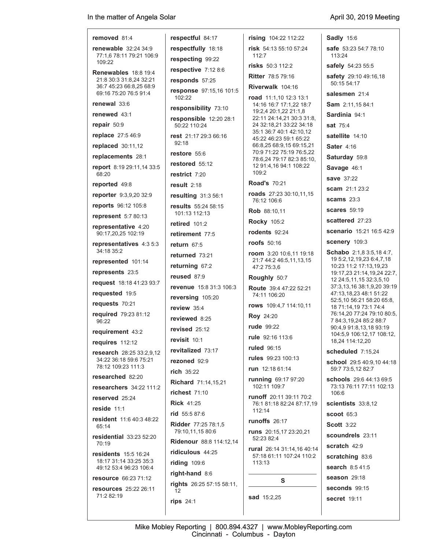**removed** 81:4 **renewable** 32:24 34:9 77:1,6 78:11 79:21 106:9 109:22 **Renewables** 18:8 19:4 21:8 30:3 31:8,24 32:21 36:7 45:23 66:8,25 68:9 69:16 75:20 76:5 91:4 **renewal** 33:6 **renewed** 43:1 **repair** 50:9 **replace** 27:5 46:9 **replaced** 30:11,12 **replacements** 28:1 **report** 8:19 29:11,14 33:5 68:20 **reported** 49:8 **reporter** 9:3,9,20 32:9 **reports** 96:12 105:8 **represent** 5:7 80:13 **representative** 4:20 90:17,20,25 102:19 **representatives** 4:3 5:3 34:18 35:2 **represented** 101:14 **represents** 23:5 **request** 18:18 41:23 93:7 **requested** 19:5 **requests** 70:21 **required** 79:23 81:12 **requirement** 43:2 **requires** 112:12 **research** 28:25 33:2,9,12 34:22 36:18 59:6 75:21 78:12 109:23 111:3 **researched** 82:20 **researchers** 34:22 111:2 **reserved** 25:24 **reside** 11:1 **resident** 11:6 40:3 48:22 65:14 **residential** 33:23 52:20 70:19 **residents** 15:5 16:24 18:17 31:14 33:25 35:3 49:12 53:4 96:23 106:4 **resource** 66:23 71:12 **resources** 25:22 26:11 71:2 82:19 92:18 12 **rips** 24:1

96:22

**respectful** 84:17 **respectfully** 18:18 **respecting** 99:22 **respective** 7:12 8:6 **responds** 57:25 **response** 97:15,16 101:5 102:22 **responsibility** 73:10 **responsible** 12:20 28:1 50:22 110:24 **rest** 21:17 29:3 66:16 **restore** 55:6 **restored** 55:12 **restrict** 7:20 **result** 2:18 **resulting** 31:3 56:1 **results** 55:24 58:15 101:13 112:13 **retired** 101:2 **retirement** 77:5 **return** 67:5 **returned** 73:21 **returning** 67:2 **reused** 87:9 **revenue** 15:8 31:3 106:3 **reversing** 105:20 **review** 35:4 **reviewed** 8:25 **revised** 25:12 **revisit** 10:1 **revitalized** 73:17 **rezoned** 92:9 **rich** 35:22 **Richard** 71:14,15,21 **richest** 71:10 **Rick** 41:25 **rid** 55:5 87:6 **Ridder** 77:25 78:1,5 79:10,11,15 80:6 **Ridenour** 88:8 114:12,14 **ridiculous** 44:25 **riding** 109:6 **right-hand** 8:6 **rights** 26:25 57:15 58:11,

**rising** 104:22 112:22 **risk** 54:13 55:10 57:24 112:7 **risks** 50:3 112:2 **Ritter** 78:5 79:16 **Riverwalk** 104:16 **road** 11:1,10 12:3 13:1 14:16 16:7 17:1,22 18:7 19:2,4 20:1,22 21:1,8 22:11 24:14,21 30:3 31:8, 24 32:18,21 33:22 34:18 35:1 36:7 40:1 42:10,12 45:22 46:23 59:1 65:22 66:8,25 68:9,15 69:15,21 70:9 71:22 75:19 76:5,22 78:6,24 79:17 82:3 85:10, 12 91:4,16 94:1 108:22  $109.2$ **Road's** 70:21 **roads** 27:23 30:10,11,15 76:12 106:6 **Rob** 88:10,11 **Rocky** 105:2 **rodents** 92:24 **roofs** 50:16 **room** 3:20 10:6,11 19:18 21:7 44:2 46:5,11,13,15 47:2 75:3,6 **Roughly** 50:7 **Route** 39:4 47:22 52:21 74:11 106:20 **rows** 109:4,7 114:10,11 **Roy** 24:20 **rude** 99:22 **rule** 92:16 113:6 **ruled** 96:15 **rules** 99:23 100:13 **run** 12:18 61:14 **running** 69:17 97:20 102:11 109:7 **runoff** 20:11 39:11 70:2 76:1 81:18 82:24 87:17,19 112:14 **runoffs** 26:17 **runs** 20:15,17 23:20,21 52:23 82:4

**rural** 26:14 31:14,16 40:14 57:18 61:11 107:24 110:2 113:13

**S**

**sad** 15:2,25

**Sadly** 15:6 **safe** 53:23 54:7 78:10 113:24

**safely** 54:23 55:5

**safety** 29:10 49:16,18 50:15 54:17

**salesmen** 21:4

**Sam** 2:11,15 84:1

**Sardinia** 94:1

**sat** 75:4

**satellite** 14:10

**Sater** 4:16

**Saturday** 59:8

**Savage** 46:1

**save** 37:22

**scam** 21:1 23:2

**scams** 23:3

**scares** 59:19

**scattered** 27:23

**scenario** 15:21 16:5 42:9

**scenery** 109:3

**Schabo** 2:1,8 3:5,18 4:7, 19 5:2,12,19,23 6:4,7,18 10:23 11:2 17:13,19,23 19:17,23 21:14,19,24 22:7, 12 24:5,11,15 32:3,5,10 37:3,13,16 38:1,9,20 39:19 47:13,18,23 48:1 51:22 52:5,10 56:21 58:20 65:8, 18 71:14,19 73:1 74:4 76:14,20 77:24 79:10 80:5, 7 84:3,19,24 85:2 88:7 90:4,9 91:8,13,18 93:19 104:5,9 106:12,17 108:12, 18,24 114:12,20

**scheduled** 7:15,24

**school** 29:5 40:9,10 44:18 59:7 73:5,12 82:7

**schools** 29:6 44:13 69:5 73:13 76:11 77:11 102:13 106:6

**scientists** 33:8,12

**scoot** 65:3

**Scott** 3:22

**scoundrels** 23:11

**scratch** 42:9

**scratching** 83:6

**search** 8:5 41:5

**season** 29:18

**seconds** 99:15

**secret** 19:11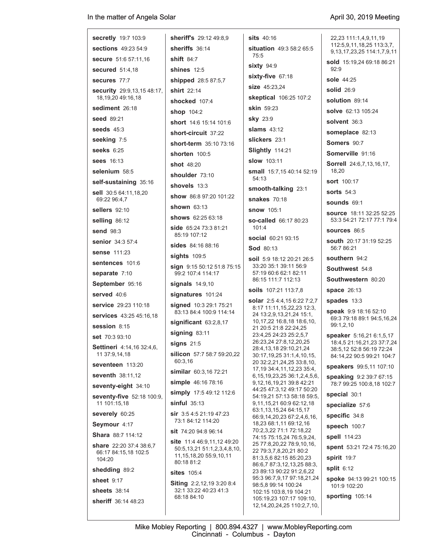| <b>secretly</b> 19:7 103:9                                 | sheriff's 29:12 49:8,9                                      | <b>sits</b> 40:16                                                       | 22,23 111:1,4,9,11,19<br>112:5,9,11,18,25 113:3,7,     |
|------------------------------------------------------------|-------------------------------------------------------------|-------------------------------------------------------------------------|--------------------------------------------------------|
| <b>sections</b> 49:23 54:9                                 | sheriffs 36:14                                              | <b>situation</b> 49:3 58:2 65:5<br>75:5                                 | 9,13,17,23,25 114:1,7,9,11                             |
| <b>secure</b> 51:6 57:11,16                                | shift $84:7$                                                | $sixty$ 94:9                                                            | sold 15:19,24 69:18 86:21                              |
| <b>secured</b> 51:4,18                                     | shines $12:5$                                               | sixty-five 67:18                                                        | 92:9<br>sole 44:25                                     |
| secures 77:7                                               | shipped 28:5 87:5,7                                         | size 45:23,24                                                           |                                                        |
| <b>security</b> 29:9,13,15 48:17,<br>18, 19, 20 49: 16, 18 | shirt $22:14$                                               | skeptical 106:25 107:2                                                  | <b>solid</b> 26:9                                      |
| sediment 26:18                                             | shocked 107:4                                               | <b>skin</b> 59:23                                                       | solution 89:14                                         |
| seed 89:21                                                 | shop 104:2                                                  | sky 23:9                                                                | <b>solve</b> 62:13 105:24                              |
| seeds $45:3$                                               | <b>short</b> 14:6 15:14 101:6                               | slams $43:12$                                                           | solvent 36:3                                           |
| seeking 7:5                                                | short-circuit 37:22                                         | slickers 23:1                                                           | someplace 82:13                                        |
| seeks $6:25$                                               | short-term 35:10 73:16                                      | Slightly 114:21                                                         | Somers 90:7                                            |
| <b>sees</b> 16:13                                          | shorten 100:5                                               | <b>slow</b> 103:11                                                      | Somerville 91:16                                       |
| selenium 58:5                                              | <b>shot</b> 48:20                                           | small 15:7,15 40:14 52:19                                               | <b>Sorrell</b> 24:6,7,13,16,17,<br>18,20               |
| self-sustaining 35:16                                      | shoulder 73:10                                              | 54:13                                                                   | <b>sort</b> 100:17                                     |
| sell 30:5 64:11,18,20                                      | shovels 13:3                                                | smooth-talking 23:1                                                     | sorts $54:3$                                           |
| 69:22 96:4,7                                               | show 86.8 97:20 101:22                                      | <b>snakes</b> 70:18                                                     | sounds 69:1                                            |
| <b>sellers</b> 92:10                                       | shown $63:13$<br>shows 62:25 63:18                          | <b>snow</b> 105:1                                                       | <b>source</b> 18:11 32:25 52:25                        |
| selling 86:12                                              |                                                             | so-called 66:17 80:23<br>101:4                                          | 53:3 54:21 72:17 77:1 79:4                             |
| <b>send 98:3</b>                                           | <b>side</b> 65:24 73:3 81:21<br>85:19 107:12                | <b>social</b> 60:21 93:15                                               | sources 86:5                                           |
| <b>senior</b> 34:3 57:4                                    | <b>sides</b> 84:16 88:16                                    | <b>Sod 80:13</b>                                                        | <b>south</b> 20:17 31:19 52:25<br>56:7 86:21           |
| <b>sense</b> 111:23                                        | sights $109:5$                                              | soil 5:9 18:12 20:21 26:5                                               | southern $94:2$                                        |
| sentences 101:6                                            | sign 9:15 50:12 51:8 75:15                                  | 33:20 35:1 39:11 56:9                                                   | <b>Southwest 54:8</b>                                  |
| separate 7:10                                              | 99:2 107:4 114:17                                           | 57:19 60:6 62:1 82:11<br>86:15 111:7 112:13                             | Southwestern 80:20                                     |
| September 95:16                                            | signals 14:9,10                                             | soils 107:21 113:7,8                                                    | <b>space</b> 26:13                                     |
| served 40:6                                                | signatures 101:24                                           | solar 2:5 4:4,15 6:22 7:2,7                                             | spades 13:3                                            |
| service 29:23 110:18                                       | signed 10:3 29:1 75:21<br>83:13 84:4 100:9 114:14           | 8:17 11:11,15,22,23 12:3,                                               | <b>speak</b> 9:9 18:16 52:10                           |
| <b>services</b> 43:25 45:16,18                             | significant 63:2,8,17                                       | 24 13:2,9,13,21,24 15:1,<br>10, 17, 22 16: 8, 18 18: 6, 10,             | 69:3 79:18 89:1 94:5,16,24                             |
| session $8:15$                                             | signing 83:11                                               | 21 20:5 21:8 22:24,25<br>23:4,25 24:23 25:2,5,7                         | 99:1,2,10                                              |
| <b>set</b> 70:3 93:10                                      | signs $21:5$                                                | 26:23,24 27:8,12,20,25                                                  | speaker 5:16,21 6:1,5,17<br>18:4,5 21:16,21,23 37:7,24 |
| Settineri 4:14,16 32:4,6,<br>11 37:9,14,18                 | silicon 57:7 58:7 59:20,22                                  | 28:4,13,18 29:10,21,24<br>30:17,19,25 31:1,4,10,15,                     | 38:5,12 52:8 56:19 72:24<br>84:14,22 90:5 99:21 104:7  |
| seventeen 113:20                                           | 60:3,16                                                     | 20 32:2,21,24,25 33:8,10,                                               | speakers 99:5,11 107:10                                |
| seventh 38:11,12                                           | similar 60:3,16 72:21                                       | 17, 19 34: 4, 11, 12, 23 35: 4,<br>6, 15, 19, 23, 25 36: 1, 2, 4, 5, 6, | speaking 9:2 39:7 67:15                                |
| seventy-eight 34:10                                        | simple 46:16 78:16                                          | 9, 12, 16, 19, 21 39: 8 42: 21                                          | 78:7 99:25 100:8,18 102:7                              |
| seventy-five 52:18 100:9,                                  | simply 17:5 49:12 112:6                                     | 44:25 47:3,12 49:17 50:20<br>54:19,21 57:13 58:18 59:5,                 | special 30:1                                           |
| 11 101:15,18                                               | $sinful$ 35:13                                              | 9,11,15,21 60:9 62:12,18<br>63:1.13.15.24 64:15.17                      | specialize 57:6                                        |
| severely 60:25                                             | <b>sir</b> $3:54:521:1947:23$<br>73:1 84:12 114:20          | 66.9, 14, 20, 23 67: 2, 4, 6, 16,                                       | specific 34:8                                          |
| Seymour 4:17                                               | <b>sit</b> 74:20 94:8 96:14                                 | 18,23 68:1,11 69:12,16<br>70:2,3,22 71:1 72:18,22                       | speech 100:7                                           |
| <b>Shara</b> 88:7 114:12                                   | site 11:4 46:9,11,12 49:20                                  | 74:15 75:15,24 76:5,9,24,                                               | spell 114:23                                           |
| share 22:20 37:4 38:6,7<br>66:17 84:15,18 102:5            | 50:5,13,21 51:1,2,3,4,8,10,<br>11, 15, 18, 20 55: 9, 10, 11 | 25 77:8,20,22 78:9,10,16,<br>22 79:3,7,8,20,21 80:2                     | spent 53:21 72:4 75:16,20                              |
| 104:20                                                     | 80:18 81:2                                                  | 81:3,5,6 82:15 85:20,23<br>86:6,7 87:3,12,13,25 88:3,                   | spirit 19:7                                            |
| shedding 89:2                                              | <b>sites</b> 105:4                                          | 23 89:13 90:22 91:2,6,22<br>95:3 96:7,9,17 97:18,21,24                  | split $6:12$                                           |
| <b>sheet 9:17</b>                                          | <b>Siting</b> 2:2,12,19 3:20 8:4                            | 98:5,8 99:14 100:24                                                     | spoke 94:13 99:21 100:15<br>101:9 102:20               |
| <b>sheets</b> 38:14                                        | 32:1 33:22 40:23 41:3<br>68:18 84:10                        | 102:15 103:8,19 104:21<br>105:19,23 107:17 109:10,                      | sporting 105:14                                        |
| sheriff 36:14 48:23                                        |                                                             | 12, 14, 20, 24, 25 110: 2, 7, 10,                                       |                                                        |
|                                                            |                                                             |                                                                         |                                                        |

Mike Mobley Reporting | 800.894.4327 | www.MobleyReporting.com Cincinnati - Columbus - Dayton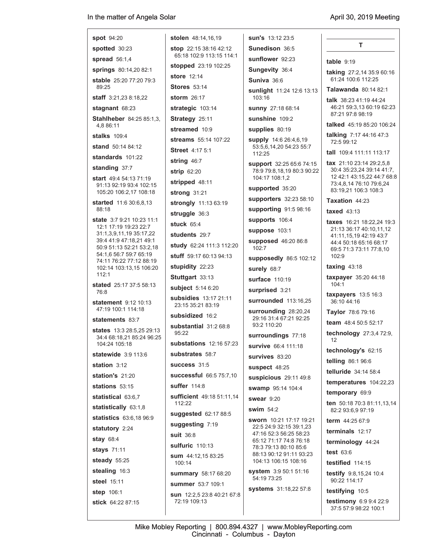| <b>spot</b> 94:20                                         | <b>stolen</b> 48:14,16,19                         | <b>sun's</b> 13:12 23:5                                |                                                            |
|-----------------------------------------------------------|---------------------------------------------------|--------------------------------------------------------|------------------------------------------------------------|
| spotted 30:23                                             | <b>stop</b> $22:1538:1642:12$                     | Sunedison 36:5                                         | т                                                          |
| spread $56:1,4$                                           | 65:18 102:9 113:15 114:1                          | sunflower 92:23                                        | table $9:19$                                               |
| springs 80:14,20 82:1                                     | <b>stopped</b> 23:19 102:25<br><b>store</b> 12:14 | Sungevity 36:4                                         | <b>taking</b> 27:2,14 35:9 60:16                           |
| stable 25:20 77:20 79:3<br>89:25                          | <b>Stores 53:14</b>                               | Suniva 36:6                                            | 61:24 100:6 112:25                                         |
| staff 3:21,23 8:18,22                                     | storm $26:17$                                     | <b>sunlight</b> 11:24 12:6 13:13<br>103:16             | <b>Talawanda 80:14 82:1</b>                                |
| stagnant 68:23                                            | strategic 103:14                                  | sunny 27:18 68:14                                      | <b>talk</b> 38:23 41:19 44:24<br>46:21 59:3,13 60:19 62:23 |
| Stahlheber 84:25 85:1,3,                                  | Strategy 25:11                                    | sunshine 109:2                                         | 87:21 97:8 98:19                                           |
| 4,8 86:11                                                 | streamed 10:9                                     | supplies 80:19                                         | <b>talked</b> 45:19 85:20 106:24                           |
| stalks 109:4                                              | streams 55:14 107:22                              | <b>supply</b> 14:6 26:4,6,19                           | talking 7:17 44:16 47:3                                    |
| <b>stand</b> 50:14 84:12                                  | <b>Street 4:17 5:1</b>                            | 53:5,6,14,20 54:23 55:7                                | 72:5 99:12                                                 |
| standards 101:22                                          | string 46:7                                       | 112:25                                                 | <b>tall</b> 109:4 111:11 113:17                            |
| standing 37:7                                             | strip 62:20                                       | support 32:25 65:6 74:15<br>78:9 79:8,18,19 80:3 90:22 | tax $21:1023:1429:2,5,8$<br>30:4 35:23,24 39:14 41:7,      |
| start 49:4 54:13 71:19                                    | stripped 48:11                                    | 104:17 108:1,2                                         | 12 42:1 43:15,22 44:7 68:8<br>73:4,8,14 76:10 79:6,24      |
| 91:13 92:19 93:4 102:15<br>105:20 106:2,17 108:18         | strong 31:21                                      | supported 35:20                                        | 83:19,21 106:3 108:3                                       |
| <b>started</b> 11:6 30:6,8,13                             | strongly 11:13 63:19                              | supporters 32:23 58:10                                 | Taxation 44:23                                             |
| 88:18                                                     | struggle 36:3                                     | supporting 91:5 98:16                                  | taxed $43:13$                                              |
| <b>state</b> 3:7 9:21 10:23 11:1<br>12:1 17:19 19:23 22:7 | stuck $65.4$                                      | supports 106:4                                         | taxes 16:21 18:22,24 19:3                                  |
| 31:1,3,9,11,19 35:17,22                                   | students 29:7                                     | suppose 103:1                                          | 21:13 36:17 40:10,11,12<br>41:11,15,19 42:19 43:7          |
| 39:4 41:9 47:18.21 49:1<br>50:9 51:13 52:21 53:2,18       | study 62:24 111:3 112:20                          | supposed 46:20 86:8<br>102:7                           | 44:4 50:18 65:16 68:17<br>69:5 71:3 73:11 77:8,10          |
| 54:1.6 56:7 59:7 65:19                                    | stuff 59:17 60:13 94:13                           | supposedly 86:5 102:12                                 | 102:9                                                      |
| 74:11 76:22 77:12 88:19<br>102:14 103:13,15 106:20        | stupidity 22:23                                   | surely 68:7                                            | $taxing$ 43:18                                             |
| 112:1                                                     | Stuttgart 33:13                                   | surface 110:19                                         | taxpayer 35:20 44:18                                       |
| stated 25:17 37:5 58:13<br>76:8                           | subject 5:14 6:20                                 | surprised 3:21                                         | 104:1                                                      |
| <b>statement</b> 9:12 10:13                               | subsidies 13:17 21:11                             | surrounded 113:16,25                                   | taxpayers $13.516.3$<br>36:10 44:16                        |
| 47:19 100:1 114:18                                        | 23:15 35:21 83:19                                 | surrounding 28:20,24                                   | Taylor 78:6 79:16                                          |
| statements 83:7                                           | subsidized 16:2<br>substantial 31:2 68:8          | 29:16 31:4 67:21 92:25<br>93:2 110:20                  | team $48:450:552:17$                                       |
| states 13:3 28:5,25 29:13<br>34:4 68:18,21 85:24 96:25    | 95:22                                             | surroundings 77:18                                     | <b>technology</b> 27:3,4 72:9,                             |
| 104:24 105:18                                             | substations 12:16 57:23                           | survive 66:4 111:18                                    | 12                                                         |
| statewide 3:9 113:6                                       | substrates 58:7                                   | survives 83:20                                         | technology's 62:15                                         |
| station 3:12                                              | success 31:5                                      | suspect 48:25                                          | telling 86:1 96:6                                          |
| <b>station's 21:20</b>                                    | successful 66:5 75:7,10                           | suspicious 29:11 49:8                                  | telluride 34:14 58:4                                       |
| stations $53:15$                                          | suffer 114:8                                      | swamp 95:14 104:4                                      | temperatures 104:22,23                                     |
| statistical 63:6,7                                        | <b>sufficient</b> 49:18 51:11,14                  | swear 9:20                                             | temporary 69:9                                             |
| statistically 63:1,8                                      | 112:22                                            | swim $54:2$                                            | ten 50:18 70:3 81:11,13,14<br>82:2 93:6,9 97:19            |
| statistics 63:6,18 96:9                                   | suggested 62:17 88:5                              | sworn 10:21 17:17 19:21                                | <b>term</b> $44:2567:9$                                    |
| statutory 2:24                                            | suggesting 7:19<br><b>suit 36:8</b>               | 22:5 24:9 32:15 39:1.23<br>47:16 52:3 56:25 58:23      | terminals 12:17                                            |
| <b>stay 68:4</b>                                          | <b>sulfuric</b> 110:13                            | 65:12 71:17 74:8 76:18                                 | terminology 44:24                                          |
| stays 71:11                                               | sum 44:12,15 83:25                                | 78:3 79:13 80:10 85:6<br>88:13 90:12 91:11 93:23       | test 63:6                                                  |
| steady 55:25                                              | 100:14                                            | 104:13 106:15 108:16                                   | testified 114:15                                           |
| stealing 16:3                                             | summary 58:17 68:20                               | <b>system</b> 3:9 50:1 51:16<br>54:19 73:25            | <b>testify</b> 9:8,15,24 10:4                              |
| steel 15:11                                               | summer 53:7 109:1                                 | systems 31:18,22 57:8                                  | 90:22 114:17                                               |
| <b>step 106:1</b>                                         | sun 12:2,5 23:8 40:21 67:8                        |                                                        | testifying 10:5                                            |
| stick 64:22 87:15                                         | 72:19 109:13                                      |                                                        | <b>testimony</b> $6:99:422:9$<br>37:5 57:9 98:22 100:1     |
|                                                           |                                                   |                                                        |                                                            |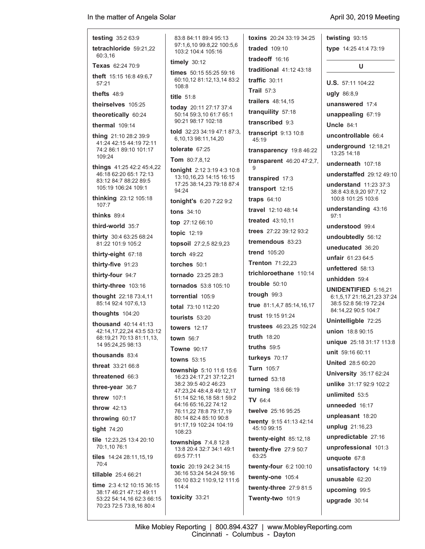**testing** 35:2 63:9 **tetrachloride** 59:21,22 60:3,16 **Texas** 62:24 70:9 **theft** 15:15 16:8 49:6,7 57:21 **thefts** 48:9 **theirselves** 105:25 **theoretically** 60:24 **thermal** 109:14 **thing** 21:10 28:2 39:9 41:24 42:15 44:19 72:11 74:2 86:1 89:10 101:17 109:24 **things** 41:25 42:2 45:4,22 46:18 62:20 65:1 72:13 83:12 84:7 88:22 89:5 105:19 106:24 109:1 **thinking** 23:12 105:18 107:7 **thinks** 89:4 **third-world** 35:7 **thirty** 30:4 63:25 68:24 81:22 101:9 105:2 **thirty-eight** 67:18 **thirty-five** 91:23 **thirty-four** 94:7 **thirty-three** 103:16 **thought** 22:18 73:4,11 85:14 92:4 107:6,13 **thoughts** 104:20 **thousand** 40:14 41:13 42:14,17,22,24 43:5 53:12 68:19,21 70:13 81:11,13, 14 95:24,25 98:13 **thousands** 83:4 **threat** 33:21 66:8 **threatened** 66:3 **three-year** 36:7 **threw** 107:1 **throw** 42:13 **throwing** 60:17 **tight** 74:20 **tile** 12:23,25 13:4 20:10 70:1,10 76:1 **tiles** 14:24 28:11,15,19 70:4 **tillable** 25:4 66:21 **time** 2:3 4:12 10:15 36:15 38:17 46:21 47:12 49:11 53:22 54:14,16 62:3 66:15 70:23 72:5 73:8,16 80:4 83:8 84:11 89:4 95:13 97:1,6,10 99:8,22 100:5,6

 103:2 104:4 105:16 **timely** 30:12 **times** 50:15 55:25 59:16 60:10,12 81:12,13,14 83:2 108:8 **title** 51:8 **today** 20:11 27:17 37:4 50:14 59:3,10 61:7 65:1 90:21 98:17 102:18 **told** 32:23 34:19 47:1 87:3, 6,10,13 98:11,14,20 **tolerate** 67:25 **Tom** 80:7,8,12 **tonight** 2:12 3:19 4:3 10:8 13:10,16,23 14:15 16:15 17:25 38:14,23 79:18 87:4 94:24 **tonight's** 6:20 7:22 9:2 **tons** 34:10 **top** 27:12 66:10 **topic** 12:19 **topsoil** 27:2,5 82:9,23 **torch** 49:22 **torches** 50:1 **tornado** 23:25 28:3 **tornados** 53:8 105:10 **torrential** 105:9 **total** 73:10 112:20 **tourists** 53:20 **towers** 12:17 **town** 56:7 **Towne** 90:17 **towns** 53:15 **township** 5:10 11:6 15:6 16:23 24:17,21 37:12,21 38:2 39:5 40:2 46:23 47:23,24 48:4,8 49:12,17 51:14 52:16,18 58:1 59:2 64:16 65:16,22 74:12 76:11,22 78:8 79:17,19 80:14 82:4 85:10 90:8 91:17,19 102:24 104:19 108:23 **townships** 7:4,8 12:8 13:8 20:4 32:7 34:1 49:1 69:5 77:11 **toxic** 20:19 24:2 34:15 36:16 53:24 54:24 59:16 60:10 83:2 110:9,12 111:6 114:4 **toxicity** 33:21

**toxins** 20:24 33:19 34:25 **traded** 109:10 **tradeoff** 16:16 **traditional** 41:12 43:18 **traffic** 30:11 **Trail** 57:3 **trailers** 48:14,15 **tranquility** 57:18 **transcribed** 9:3 **transcript** 9:13 10:8  $45.19$ **transparency** 19:8 46:22 **transparent** 46:20 47:2,7, 9 **transpired** 17:3 **transport** 12:15 **traps** 64:10 **travel** 12:10 48:14 **treated** 43:10,11 **trees** 27:22 39:12 93:2 **tremendous** 83:23 **trend** 105:20 **Trenton** 71:22,23 **trichloroethane** 110:14 **trouble** 50:10 **trough** 99:3 **true** 81:1,4,7 85:14,16,17 **trust** 19:15 91:24 **trustees** 46:23,25 102:24 **truth** 18:20 **truths** 59:5 **turkeys** 70:17 **Turn** 105:7 **turned** 53:18 **turning** 18:6 66:19 **TV** 64:4 **twelve** 25:16 95:25 **twenty** 9:15 41:13 42:14 45:10 99:15 **twenty-eight** 85:12,18 **twenty-five** 27:9 50:7 63:25 **twenty-four** 6:2 100:10 **twenty-one** 105:4 **twenty-three** 27:9 81:5

**twisting** 93:15 **type** 14:25 41:4 73:19 **U U.S.** 57:11 104:22 **ugly** 86:8,9 **unanswered** 17:4 **unappealing** 67:19 **Uncle** 84:1 **uncontrollable** 66:4 **underground** 12:18,21 13:25 14:18 **underneath** 107:18 **understaffed** 29:12 49:10 **understand** 11:23 37:3 38:8 43:8,9,20 97:7,12 100:8 101:25 103:6 **understanding** 43:16 97:1 **understood** 99:4 **undoubtedly** 56:12 **uneducated** 36:20 **unfair** 61:23 64:5 **unfettered** 58:13 **unhidden** 59:4 **UNIDENTIFIED** 5:16,21 6:1,5,17 21:16,21,23 37:24 38:5 52:8 56:19 72:24 84:14,22 90:5 104:7 **Unintelligble** 72:25 **union** 18:8 90:15 **unique** 25:18 31:17 113:8 **unit** 59:16 60:11 **United** 28:5 60:20 **University** 35:17 62:24 **unlike** 31:17 92:9 102:2 **unlimited** 53:5 **unneeded** 16:17 **unpleasant** 18:20 **unplug** 21:16,23 **unpredictable** 27:16 **unprofessional** 101:3 **unquote** 67:8 **unsatisfactory** 14:19 **unusable** 62:20 **upcoming** 99:5 **upgrade** 30:14

**Twenty-two** 101:9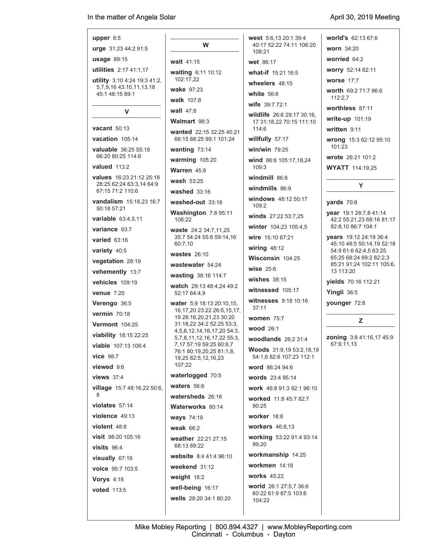## **upper** 8:5

**urge** 31:23 44:2 91:5

**usage** 89:15 **utilities** 2:17 41:1,17

**utility** 3:10 4:24 19:3 41:2, 5,7,9,16 43:10,11,13,18 45:1 48:15 89:1

## **V**

**vacant** 50:13

**vacation** 105:14 **valuable** 36:25 55:18 66:20 80:25 114:6

**valued** 113:2

**values** 16:23 21:12 25:18 28:25 62:24 63:3,14 64:9 67:15 71:2 110:6

**vandalism** 15:18,23 16:7 50:18 57:21

**variable** 63:4,5,11

**variance** 93:7

**varied** 63:16

**variety** 40:5

**vegetation** 28:19

**vehemently** 13:7

**vehicles** 109:19

**venue** 7:20

**Verengo** 36:5

**vermin** 70:18

**Vermont** 104:25

**viability** 18:15 22:25

**viable** 107:13 108:4

**vice** 98:7

**viewed** 9:6

**views** 37:4

**village** 15:7 48:16,22 50:6, 8

**violates** 57:14 **violence** 49:13

**violent** 48:8 **visit** 98:20 105:16

**visits** 96:4 **visually** 67:19

**voice** 95:7 103:5

**Vorys** 4:16

**voted** 113:5

**W wait** 41:15 **waiting** 6:11 10:12 102:17,22 **wake** 97:23 **walk** 107:8 **wall** 47:8 **Walmart** 98:3 **wanted** 22:15 32:25 45:21 66:15 88:25 99:1 101:24 **wanting** 73:14 **warming** 105:20 **Warren** 45:8 **wash** 53:25 **washed** 33:16 **washed-out** 33:18 **Washington** 7:8 95:11 108:22 **waste** 24:2 34:7,11,25 35:7 54:24 55:6 59:14,16 60:7,10 **wastes** 26:10 **wastewater** 54:24 **wasting** 38:16 114:7 **watch** 29:13 48:4,24 49:2 52:17 64:4,9 **water** 5:9 18:13 20:10,15, 16,17,20 23:22 26:5,15,17, 19 28:16,20,21,23 30:20 31:18,22 34:2 52:25 53:3, 4,5,6,12,14,16,17,20 54:3, 5,7,8,11,12,16,17,22 55:3, 7,17 57:19 59:25 60:6,7 76:1 80:19,20,25 81:1,8, 19,25 82:5,12,16,23 107:22 **waterlogged** 70:5 **waters** 56:6 **watersheds** 26:16 **Waterworks** 80:14 **ways** 74:19 **weak** 66:2 **weather** 22:21 27:15 68:13 89:22 **website** 8:4 41:4 96:10 **weekend** 31:12 **weight** 18:2 **well-being** 16:17

**wells** 28:20 34:1 80:20

**west** 5:6,13 20:1 39:4 40:17 52:22 74:11 106:20 108:21 **wet** 86:17 **what-if** 15:21 16:5 **wheelers** 48:15 **white** 56:6 **wife** 39:7 72:1 **wildlife** 26:6 29:17 30:16, 17 31:18,22 70:15 111:10 114:6 **willfully** 57:17 **win/win** 79:25 **wind** 86:6 105:17,18,24 109:3 **windmill** 86:8 **windmills** 86:9 **windows** 48:12 50:17 109:2 **winds** 27:22 53:7,25 **winter** 104:23 105:4,5 **wire** 15:10 67:21 **wiring** 48:12 **Wisconsin** 104:25 **wise** 25:6 **wishes** 38:15 **witnessed** 105:17 **witnesses** 9:18 10:16 37:11 **women** 75:7 **wood** 26:1 **woodlands** 26:2 31:4 **Woods** 31:9,19 53:2,18,19 54:1,6 82:6 107:23 112:1 **word** 86:24 94:6 **words** 23:4 95:14 **work** 46:8 91:3 92:1 96:10 **worked** 11:8 45:7 82:7 90:25 **worker** 18:8 **workers** 46:8,13 **working** 53:22 91:4 93:14

**world's** 62:13 67:6

**worn** 34:20

**worried** 64:2

**worry** 52:14 62:11

**worse** 17:7

**worth** 69:2 71:7 96:6  $112:27$ 

**worthless** 87:11

**write-up** 101:19

**written** 9:11

**wrong** 15:3 62:12 95:10 101:23

**wrote** 26:21 101:2

**WYATT** 114:19,25

### **yards** 70:8

**year** 19:1 28:7,8 41:14 42:2 55:21,23 68:16 81:17 82:8,10 86:7 104:1

**Y**

**years** 19:12 24:19 36:4 45:10 48:5 50:14,19 52:18 54:9 61:6 62:4,5 63:25 65:25 68:24 69:2 82:2,3 85:21 91:24 102:11 105:6, 13 113:20

**yields** 70:16 112:21

**Yingli** 36:5

**younger** 72:8

## **Z**

**zoning** 3:8 41:16,17 45:9 67:9,11,13

99:20

104:22

**workmanship** 14:25 **workmen** 14:18 **works** 45:22

**world** 26:1 27:5,7 36:6 60:22 61:9 87:5 103:6